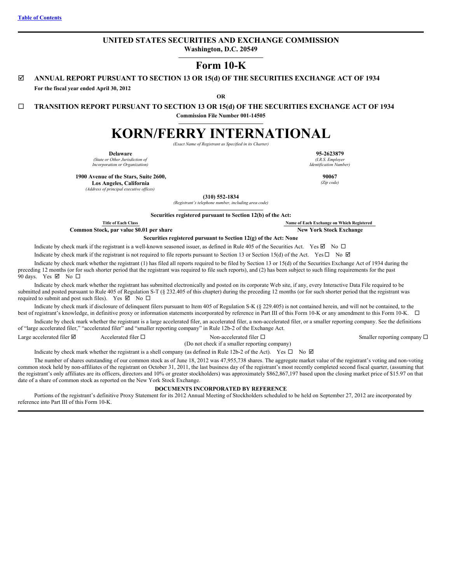# **UNITED STATES SECURITIES AND EXCHANGE COMMISSION Washington, D.C. 20549**

# **Form 10-K**

# þ **ANNUAL REPORT PURSUANT TO SECTION 13 OR 15(d) OF THE SECURITIES EXCHANGE ACT OF 1934**

**For the fiscal year ended April 30, 2012**

**OR**

¨ **TRANSITION REPORT PURSUANT TO SECTION 13 OR 15(d) OF THE SECURITIES EXCHANGE ACT OF 1934**

**Commission File Number 001-14505**

# **KORN/FERRY INTERNATIONAL**

*(Exact Name of Registrant as Specified in its Charter)*

**Delaware 95-2623879**

*(State or Other Jurisdiction of Incorporation or Organization)*

**1900 Avenue of the Stars, Suite 2600, 1900 190067 1.0s Angeles** California

 $Log$  *Angeles*, *California* 

*(Address of principal executive of ices)*

**(310) 552-1834** *(Registrant's telephone number, including area code)*

**Securities registered pursuant to Section 12(b) of the Act:**

**Title of Each Class Name of Each Exchange on Which Registered**

**Common Stock, par value \$0.01 per share New York Stock Exchange**

**Securities registered pursuant to Section 12(g) of the Act: None**

Indicate by check mark if the registrant is a well-known seasoned issuer, as defined in Rule 405 of the Securities Act. Yes  $\boxtimes$  No  $\Box$ 

Indicate by check mark if the registrant is not required to file reports pursuant to Section 13 or Section 15(d) of the Act. Yes  $\Box$  No  $\Box$ 

Indicate by check mark whether the registrant (1) has filed all reports required to be filed by Section 13 or 15(d) of the Securities Exchange Act of 1934 during the preceding 12 months (or for such shorter period that the registrant was required to file such reports), and (2) has been subject to such filing requirements for the past 90 days. Yes  $\Psi$  No  $\Pi$ 

Indicate by check mark whether the registrant has submitted electronically and posted on its corporate Web site, if any, every Interactive Data File required to be submitted and posted pursuant to Rule 405 of Regulation S-T (§ 232.405 of this chapter) during the preceding 12 months (or for such shorter period that the registrant was required to submit and post such files). Yes  $\boxtimes$  No  $\square$ 

Indicate by check mark if disclosure of delinquent filers pursuant to Item 405 of Regulation S-K (§ 229.405) is not contained herein, and will not be contained, to the best of registrant's knowledge, in definitive proxy or information statements incorporated by reference in Part III of this Form 10-K or any amendment to this Form 10-K.  $\Box$ 

Indicate by check mark whether the registrant is a large accelerated filer, an accelerated filer, a non-accelerated filer, or a smaller reporting company. See the definitions of "large accelerated filer," "accelerated filer" and "smaller reporting company" in Rule 12b-2 of the Exchange Act.

Large accelerated filer  $\Box$  Accelerated filer  $\Box$  Non-accelerated filer  $\Box$  Smaller reporting company  $\Box$ 

(Do not check if a smaller reporting company)

Indicate by check mark whether the registrant is a shell company (as defined in Rule 12b-2 of the Act). Yes  $\Box$  No  $\Box$ 

The number of shares outstanding of our common stock as of June 18, 2012 was 47,955,738 shares. The aggregate market value of the registrant's voting and non-voting common stock held by non-affiliates of the registrant on October 31, 2011, the last business day of the registrant's most recently completed second fiscal quarter, (assuming that the registrant's only affiliates are its officers, directors and 10% or greater stockholders) was approximately \$862,867,197 based upon the closing market price of \$15.97 on that date of a share of common stock as reported on the New York Stock Exchange.

# **DOCUMENTS INCORPORATED BY REFERENCE**

Portions of the registrant's definitive Proxy Statement for its 2012 Annual Meeting of Stockholders scheduled to be held on September 27, 2012 are incorporated by reference into Part III of this Form 10-K.

*(I.R.S. Employer Identification Number)*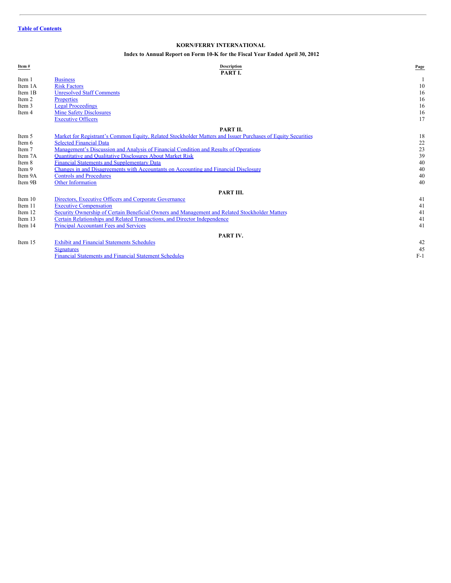# **KORN/FERRY INTERNATIONAL**

# <span id="page-1-0"></span>**Index to Annual Report on Form 10-K for the Fiscal Year Ended April 30, 2012**

| Item#   | <b>Description</b><br>PART I.                                                                                | Page  |
|---------|--------------------------------------------------------------------------------------------------------------|-------|
| Item 1  | <b>Business</b>                                                                                              |       |
| Item 1A | <b>Risk Factors</b>                                                                                          | 10    |
| Item 1B | <b>Unresolved Staff Comments</b>                                                                             | 16    |
| Item 2  | <b>Properties</b>                                                                                            | 16    |
| Item 3  | <b>Legal Proceedings</b>                                                                                     | 16    |
| Item 4  | <b>Mine Safety Disclosures</b>                                                                               | 16    |
|         | <b>Executive Officers</b>                                                                                    | 17    |
|         |                                                                                                              |       |
|         | PART II.                                                                                                     |       |
| Item 5  | Market for Registrant's Common Equity, Related Stockholder Matters and Issuer Purchases of Equity Securities | 18    |
| Item 6  | <b>Selected Financial Data</b>                                                                               | 22    |
| Item 7  | Management's Discussion and Analysis of Financial Condition and Results of Operations                        | 23    |
| Item 7A | <b>Ouantitative and Oualitative Disclosures About Market Risk</b>                                            | 39    |
| Item 8  | <b>Financial Statements and Supplementary Data</b>                                                           | 40    |
| Item 9  | Changes in and Disagreements with Accountants on Accounting and Financial Disclosure                         | 40    |
| Item 9A | <b>Controls and Procedures</b>                                                                               | 40    |
| Item 9B | <b>Other Information</b>                                                                                     | 40    |
|         | PART III.                                                                                                    |       |
| Item 10 | Directors, Executive Officers and Corporate Governance                                                       | 41    |
| Item 11 | <b>Executive Compensation</b>                                                                                | 41    |
| Item 12 | Security Ownership of Certain Beneficial Owners and Management and Related Stockholder Matters               | 41    |
| Item 13 | Certain Relationships and Related Transactions, and Director Independence                                    | 41    |
| Item 14 | <b>Principal Accountant Fees and Services</b>                                                                | 41    |
|         | PART IV.                                                                                                     |       |
| Item 15 | <b>Exhibit and Financial Statements Schedules</b>                                                            | 42    |
|         | <b>Signatures</b>                                                                                            | 45    |
|         | <b>Financial Statements and Financial Statement Schedules</b>                                                | $F-1$ |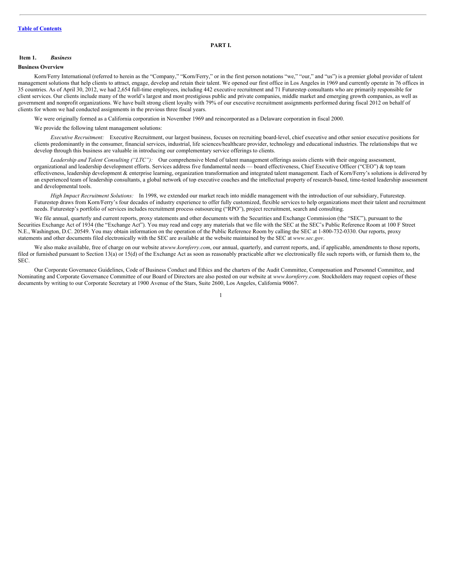# **PART I.**

#### <span id="page-2-0"></span>**Item 1.** *Business*

#### **Business Overview**

Korn/Ferry International (referred to herein as the "Company," "Korn/Ferry," or in the first person notations "we," "our," and "us") is a premier global provider of talent management solutions that help clients to attract, engage, develop and retain their talent. We opened our first office in Los Angeles in 1969 and currently operate in 76 offices in 35 countries. As of April 30, 2012, we had 2,654 full-time employees, including 442 executive recruitment and 71 Futurestep consultants who are primarily responsible for client services. Our clients include many of the world's largest and most prestigious public and private companies, middle market and emerging growth companies, as well as government and nonprofit organizations. We have built strong client loyalty with 79% of our executive recruitment assignments performed during fiscal 2012 on behalf of clients for whom we had conducted assignments in the previous three fiscal years.

We were originally formed as a California corporation in November 1969 and reincorporated as a Delaware corporation in fiscal 2000.

We provide the following talent management solutions:

*Executive Recruitment:* Executive Recruitment, our largest business, focuses on recruiting board-level, chief executive and other senior executive positions for clients predominantly in the consumer, financial services, industrial, life sciences/healthcare provider, technology and educational industries. The relationships that we develop through this business are valuable in introducing our complementary service offerings to clients.

*Leadership and Talent Consulting ("LTC"):* Our comprehensive blend of talent management offerings assists clients with their ongoing assessment, organizational and leadership development efforts. Services address five fundamental needs — board effectiveness, Chief Executive Officer ("CEO") & top team effectiveness, leadership development & enterprise learning, organization transformation and integrated talent management. Each of Korn/Ferry's solutions is delivered by an experienced team of leadership consultants, a global network of top executive coaches and the intellectual property of research-based, time-tested leadership assessment and developmental tools.

*High Impact Recruitment Solutions:* In 1998, we extended our market reach into middle management with the introduction of our subsidiary, Futurestep. Futurestep draws from Korn/Ferry's four decades of industry experience to offer fully customized, flexible services to help organizations meet their talent and recruitment needs. Futurestep's portfolio of services includes recruitment process outsourcing ("RPO"), project recruitment, search and consulting.

We file annual, quarterly and current reports, proxy statements and other documents with the Securities and Exchange Commission (the "SEC"), pursuant to the Securities Exchange Act of 1934 (the "Exchange Act"). You may read and copy any materials that we file with the SEC at the SEC's Public Reference Room at 100 F Street N.E., Washington, D.C. 20549. You may obtain information on the operation of the Public Reference Room by calling the SEC at 1-800-732-0330. Our reports, proxy statements and other documents filed electronically with the SEC are available at the website maintained by the SEC at *www.sec.gov*.

We also make available, free of charge on our website atwww.kornferry.com, our annual, quarterly, and current reports, and, if applicable, amendments to those reports, filed or furnished pursuant to Section 13(a) or 15(d) of the Exchange Act as soon as reasonably practicable after we electronically file such reports with, or furnish them to, the SEC.

Our Corporate Governance Guidelines, Code of Business Conduct and Ethics and the charters of the Audit Committee, Compensation and Personnel Committee, and Nominating and Corporate Governance Committee of our Board of Directors are also posted on our website at *www.kornferry.com*. Stockholders may request copies of these documents by writing to our Corporate Secretary at 1900 Avenue of the Stars, Suite 2600, Los Angeles, California 90067.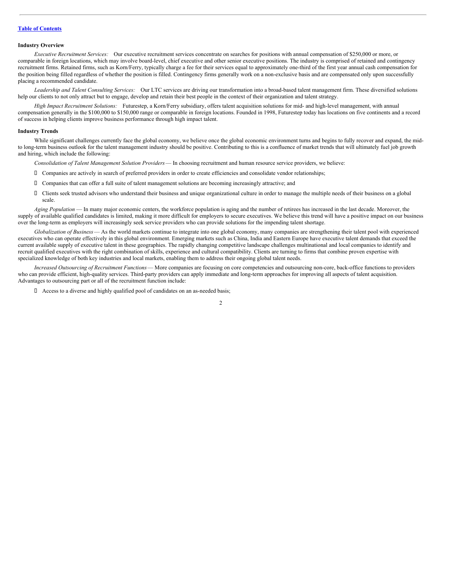#### **Industry Overview**

*Executive Recruitment Services:* Our executive recruitment services concentrate on searches for positions with annual compensation of \$250,000 or more, or comparable in foreign locations, which may involve board-level, chief executive and other senior executive positions. The industry is comprised of retained and contingency recruitment firms. Retained firms, such as Korn/Ferry, typically charge a fee for their services equal to approximately one-third of the first year annual cash compensation for the position being filled regardless of whether the position is filled. Contingency firms generally work on a non-exclusive basis and are compensated only upon successfully placing a recommended candidate.

*Leadership and Talent Consulting Services:* Our LTC services are driving our transformation into a broad-based talent management firm. These diversified solutions help our clients to not only attract but to engage, develop and retain their best people in the context of their organization and talent strategy.

*High Impact Recruitment Solutions:* Futurestep, a Korn/Ferry subsidiary, offers talent acquisition solutions for mid- and high-level management, with annual compensation generally in the \$100,000 to \$150,000 range or comparable in foreign locations. Founded in 1998, Futurestep today has locations on five continents and a record of success in helping clients improve business performance through high impact talent.

#### **Industry Trends**

While significant challenges currently face the global economy, we believe once the global economic environment turns and begins to fully recover and expand, the midto long-term business outlook for the talent management industry should be positive. Contributing to this is a confluence of market trends that will ultimately fuel job growth and hiring, which include the following:

*Consolidation of Talent Management Solution Providers*— In choosing recruitment and human resource service providers, we believe:

- Companies are actively in search of preferred providers in order to create efficiencies and consolidate vendor relationships;
- Companies that can offer a full suite of talent management solutions are becoming increasingly attractive; and
- Clients seek trusted advisors who understand their business and unique organizational culture in order to manage the multiple needs of their business on a global scale.

*Aging Population* — In many major economic centers, the workforce population is aging and the number of retirees has increased in the last decade. Moreover, the supply of available qualified candidates is limited, making it more difficult for employers to secure executives. We believe this trend will have a positive impact on our business over the long-term as employers will increasingly seek service providers who can provide solutions for the impending talent shortage.

*Globalization of Business*— As the world markets continue to integrate into one global economy, many companies are strengthening their talent pool with experienced executives who can operate effectively in this global environment. Emerging markets such as China, India and Eastern Europe have executive talent demands that exceed the current available supply of executive talent in these geographies. The rapidly changing competitive landscape challenges multinational and local companies to identify and recruit qualified executives with the right combination of skills, experience and cultural compatibility. Clients are turning to firms that combine proven expertise with specialized knowledge of both key industries and local markets, enabling them to address their ongoing global talent needs.

*Increased Outsourcing of Recruitment Functions*— More companies are focusing on core competencies and outsourcing non-core, back-office functions to providers who can provide efficient, high-quality services. Third-party providers can apply immediate and long-term approaches for improving all aspects of talent acquisition. Advantages to outsourcing part or all of the recruitment function include:

Access to a diverse and highly qualified pool of candidates on an as-needed basis;

#### $\overline{2}$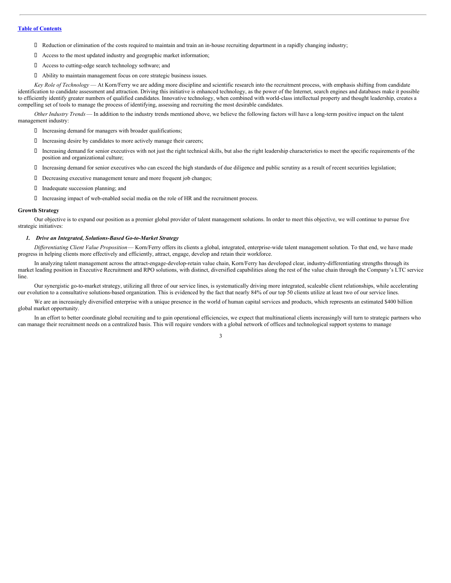Reduction or elimination of the costs required to maintain and train an in-house recruiting department in a rapidly changing industry;

- Access to the most updated industry and geographic market information;
- Access to cutting-edge search technology software; and
- Ability to maintain management focus on core strategic business issues.

*Key Role of Technology* — At Korn/Ferry we are adding more discipline and scientific research into the recruitment process, with emphasis shifting from candidate identification to candidate assessment and attraction. Driving this initiative is enhanced technology, as the power of the Internet, search engines and databases make it possible to efficiently identify greater numbers of qualified candidates. Innovative technology, when combined with world-class intellectual property and thought leadership, creates a compelling set of tools to manage the process of identifying, assessing and recruiting the most desirable candidates.

*Other Industry Trends*— In addition to the industry trends mentioned above, we believe the following factors will have a long-term positive impact on the talent management industry:

- Increasing demand for managers with broader qualifications;
- Increasing desire by candidates to more actively manage their careers;
- Increasing demand for senior executives with not just the right technical skills, but also the right leadership characteristics to meet the specific requirements of the position and organizational culture;
- Increasing demand for senior executives who can exceed the high standards of due diligence and public scrutiny as a result of recent securities legislation;
- Decreasing executive management tenure and more frequent job changes;
- Inadequate succession planning; and
- Increasing impact of web-enabled social media on the role of HR and the recruitment process.

# **Growth Strategy**

Our objective is to expand our position as a premier global provider of talent management solutions. In order to meet this objective, we will continue to pursue five strategic initiatives:

#### *1. Drive an Integrated, Solutions-Based Go-to-Market Strategy*

*Dif erentiating Client Value Proposition*— Korn/Ferry offers its clients a global, integrated, enterprise-wide talent management solution. To that end, we have made progress in helping clients more effectively and efficiently, attract, engage, develop and retain their workforce.

In analyzing talent management across the attract-engage-develop-retain value chain, Korn/Ferry has developed clear, industry-differentiating strengths through its market leading position in Executive Recruitment and RPO solutions, with distinct, diversified capabilities along the rest of the value chain through the Company's LTC service line.

Our synergistic go-to-market strategy, utilizing all three of our service lines, is systematically driving more integrated, scaleable client relationships, while accelerating our evolution to a consultative solutions-based organization. This is evidenced by the fact that nearly 84% of our top 50 clients utilize at least two of our service lines.

We are an increasingly diversified enterprise with a unique presence in the world of human capital services and products, which represents an estimated \$400 billion global market opportunity.

In an effort to better coordinate global recruiting and to gain operational efficiencies, we expect that multinational clients increasingly will turn to strategic partners who can manage their recruitment needs on a centralized basis. This will require vendors with a global network of offices and technological support systems to manage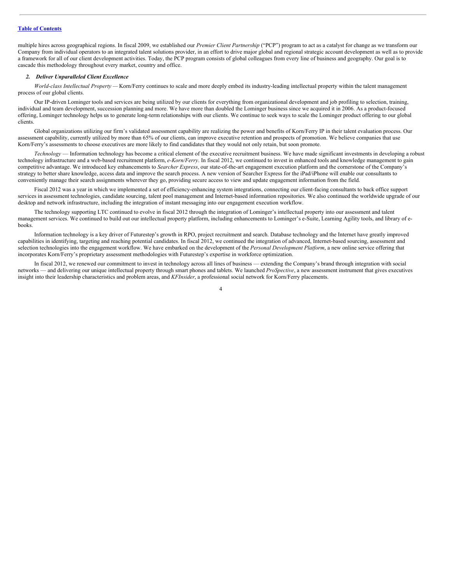multiple hires across geographical regions. In fiscal 2009, we established our *Premier Client Partnership* ("PCP") program to act as a catalyst for change as we transform our Company from individual operators to an integrated talent solutions provider, in an effort to drive major global and regional strategic account development as well as to provide a framework for all of our client development activities. Today, the PCP program consists of global colleagues from every line of business and geography. Our goal is to cascade this methodology throughout every market, country and office.

#### *2. Deliver Unparalleled Client Excellence*

*World-class Intellectual Property —* Korn/Ferry continues to scale and more deeply embed its industry-leading intellectual property within the talent management process of our global clients.

Our IP-driven Lominger tools and services are being utilized by our clients for everything from organizational development and job profiling to selection, training, individual and team development, succession planning and more. We have more than doubled the Lominger business since we acquired it in 2006. As a product-focused offering, Lominger technology helps us to generate long-term relationships with our clients. We continue to seek ways to scale the Lominger product offering to our global clients.

Global organizations utilizing our firm's validated assessment capability are realizing the power and benefits of Korn/Ferry IP in their talent evaluation process. Our assessment capability, currently utilized by more than 65% of our clients, can improve executive retention and prospects of promotion. We believe companies that use Korn/Ferry's assessments to choose executives are more likely to find candidates that they would not only retain, but soon promote.

*Technology* — Information technology has become a critical element of the executive recruitment business. We have made significant investments in developing a robust technology infrastructure and a web-based recruitment platform, *e-Korn/Ferry*. In fiscal 2012, we continued to invest in enhanced tools and knowledge management to gain competitive advantage. We introduced key enhancements to *Searcher Express*, our state-of-the-art engagement execution platform and the cornerstone of the Company's strategy to better share knowledge, access data and improve the search process. A new version of Searcher Express for the iPad/iPhone will enable our consultants to conveniently manage their search assignments wherever they go, providing secure access to view and update engagement information from the field.

Fiscal 2012 was a year in which we implemented a set of efficiency-enhancing system integrations, connecting our client-facing consultants to back office support services in assessment technologies, candidate sourcing, talent pool management and Internet-based information repositories. We also continued the worldwide upgrade of our desktop and network infrastructure, including the integration of instant messaging into our engagement execution workflow.

The technology supporting LTC continued to evolve in fiscal 2012 through the integration of Lominger's intellectual property into our assessment and talent management services. We continued to build out our intellectual property platform, including enhancements to Lominger's e-Suite, Learning Agility tools, and library of ebooks.

Information technology is a key driver of Futurestep's growth in RPO, project recruitment and search. Database technology and the Internet have greatly improved capabilities in identifying, targeting and reaching potential candidates. In fiscal 2012, we continued the integration of advanced, Internet-based sourcing, assessment and selection technologies into the engagement workflow. We have embarked on the development of the *Personal Development Platform*, a new online service offering that incorporates Korn/Ferry's proprietary assessment methodologies with Futurestep's expertise in workforce optimization.

In fiscal 2012, we renewed our commitment to invest in technology across all lines of business — extending the Company's brand through integration with social networks — and delivering our unique intellectual property through smart phones and tablets. We launched *ProSpective*, a new assessment instrument that gives executives insight into their leadership characteristics and problem areas, and *KFInsider*, a professional social network for Korn/Ferry placements.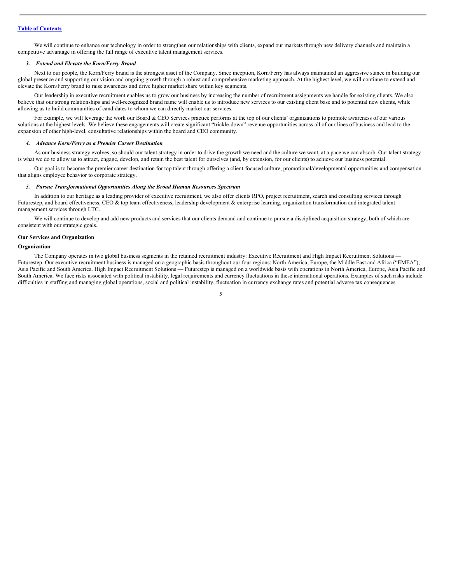We will continue to enhance our technology in order to strengthen our relationships with clients, expand our markets through new delivery channels and maintain a competitive advantage in offering the full range of executive talent management services.

# *3. Extend and Elevate the Korn/Ferry Brand*

Next to our people, the Korn/Ferry brand is the strongest asset of the Company. Since inception, Korn/Ferry has always maintained an aggressive stance in building our global presence and supporting our vision and ongoing growth through a robust and comprehensive marketing approach. At the highest level, we will continue to extend and elevate the Korn/Ferry brand to raise awareness and drive higher market share within key segments.

Our leadership in executive recruitment enables us to grow our business by increasing the number of recruitment assignments we handle for existing clients. We also believe that our strong relationships and well-recognized brand name will enable us to introduce new services to our existing client base and to potential new clients, while allowing us to build communities of candidates to whom we can directly market our services.

For example, we will leverage the work our Board & CEO Services practice performs at the top of our clients' organizations to promote awareness of our various solutions at the highest levels. We believe these engagements will create significant "trickle-down" revenue opportunities across all of our lines of business and lead to the expansion of other high-level, consultative relationships within the board and CEO community.

#### *4. Advance Korn/Ferry as a Premier Career Destination*

As our business strategy evolves, so should our talent strategy in order to drive the growth we need and the culture we want, at a pace we can absorb. Our talent strategy is what we do to allow us to attract, engage, develop, and retain the best talent for ourselves (and, by extension, for our clients) to achieve our business potential.

Our goal is to become the premier career destination for top talent through offering a client-focused culture, promotional/developmental opportunities and compensation that aligns employee behavior to corporate strategy.

# *5. Pursue Transformational Opportunities Along the Broad Human Resources Spectrum*

In addition to our heritage as a leading provider of executive recruitment, we also offer clients RPO, project recruitment, search and consulting services through Futurestep, and board effectiveness, CEO & top team effectiveness, leadership development & enterprise learning, organization transformation and integrated talent management services through LTC.

We will continue to develop and add new products and services that our clients demand and continue to pursue a disciplined acquisition strategy, both of which are consistent with our strategic goals.

#### **Our Services and Organization**

# **Organization**

The Company operates in two global business segments in the retained recruitment industry: Executive Recruitment and High Impact Recruitment Solutions -Futurestep. Our executive recruitment business is managed on a geographic basis throughout our four regions: North America, Europe, the Middle East and Africa ("EMEA"), Asia Pacific and South America. High Impact Recruitment Solutions — Futurestep is managed on a worldwide basis with operations in North America, Europe, Asia Pacific and South America. We face risks associated with political instability, legal requirements and currency fluctuations in these international operations. Examples of such risks include difficulties in staffing and managing global operations, social and political instability, fluctuation in currency exchange rates and potential adverse tax consequences.

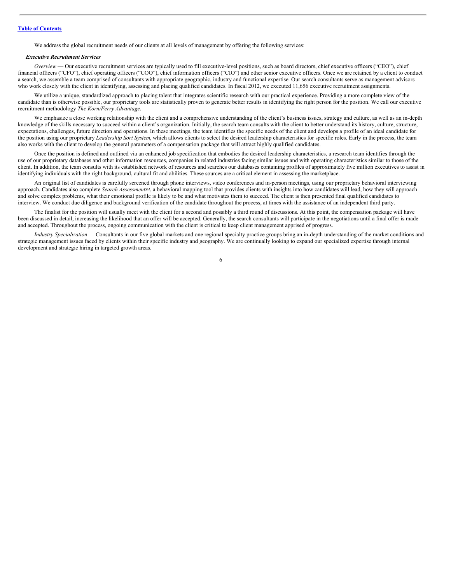We address the global recruitment needs of our clients at all levels of management by offering the following services:

#### *Executive Recruitment Services*

*Overview* — Our executive recruitment services are typically used to fill executive-level positions, such as board directors, chief executive officers ("CEO"), chief financial officers ("CFO"), chief operating officers ("COO"), chief information officers ("CIO") and other senior executive officers. Once we are retained by a client to conduct a search, we assemble a team comprised of consultants with appropriate geographic, industry and functional expertise. Our search consultants serve as management advisors who work closely with the client in identifying, assessing and placing qualified candidates. In fiscal 2012, we executed 11,656 executive recruitment assignments.

We utilize a unique, standardized approach to placing talent that integrates scientific research with our practical experience. Providing a more complete view of the candidate than is otherwise possible, our proprietary tools are statistically proven to generate better results in identifying the right person for the position. We call our executive recruitment methodology *The Korn/Ferry Advantage*.

We emphasize a close working relationship with the client and a comprehensive understanding of the client's business issues, strategy and culture, as well as an in-depth knowledge of the skills necessary to succeed within a client's organization. Initially, the search team consults with the client to better understand its history, culture, structure, expectations, challenges, future direction and operations. In these meetings, the team identifies the specific needs of the client and develops a profile of an ideal candidate for the position using our proprietary *Leadership Sort System*, which allows clients to select the desired leadership characteristics for specific roles. Early in the process, the team also works with the client to develop the general parameters of a compensation package that will attract highly qualified candidates.

Once the position is defined and outlined via an enhanced job specification that embodies the desired leadership characteristics, a research team identifies through the use of our proprietary databases and other information resources, companies in related industries facing similar issues and with operating characteristics similar to those of the client. In addition, the team consults with its established network of resources and searches our databases containing profiles of approximately five million executives to assist in identifying individuals with the right background, cultural fit and abilities. These sources are a critical element in assessing the marketplace.

An original list of candidates is carefully screened through phone interviews, video conferences and in-person meetings, using our proprietary behavioral interviewing approach. Candidates also complete *Search Assessment<sup>es M</sup>*, a behavioral mapping tool that provides clients with insights into how candidates will lead, how they will approach and solve complex problems, what their emotional profile is likely to be and what motivates them to succeed. The client is then presented final qualified candidates to interview. We conduct due diligence and background verification of the candidate throughout the process, at times with the assistance of an independent third party.

The finalist for the position will usually meet with the client for a second and possibly a third round of discussions. At this point, the compensation package will have been discussed in detail, increasing the likelihood that an offer will be accepted. Generally, the search consultants will participate in the negotiations until a final offer is made and accepted. Throughout the process, ongoing communication with the client is critical to keep client management apprised of progress.

*Industry Specialization* — Consultants in our five global markets and one regional specialty practice groups bring an in-depth understanding of the market conditions and strategic management issues faced by clients within their specific industry and geography. We are continually looking to expand our specialized expertise through internal development and strategic hiring in targeted growth areas.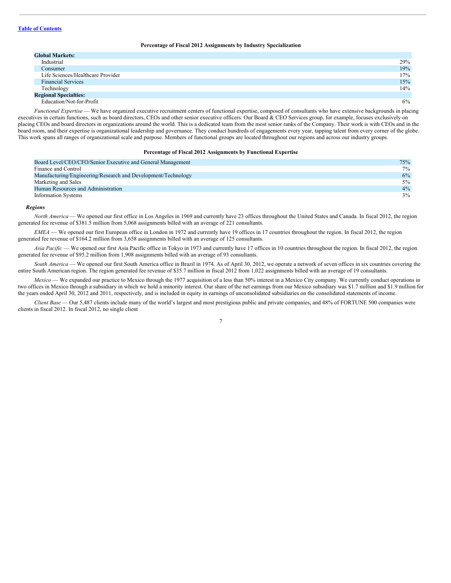# **Percentage of Fiscal 2012 Assignments by Industry Specialization**

| <b>Global Markets:</b>            |     |
|-----------------------------------|-----|
| Industrial                        | 29% |
| Consumer                          | 19% |
| Life Sciences/Healthcare Provider | 17% |
| <b>Financial Services</b>         | 15% |
| Technology                        | 14% |
| <b>Regional Specialties:</b>      |     |
| Education/Not-for-Profit          | 6%  |

*Functional Expertise* — We have organized executive recruitment centers of functional expertise, composed of consultants who have extensive backgrounds in placing executives in certain functions, such as board directors, CEOs and other senior executive officers. Our Board & CEO Services group, for example, focuses exclusively on placing CEOs and board directors in organizations around the world. This is a dedicated team from the most senior ranks of the Company. Their work is with CEOs and in the board room, and their expertise is organizational leadership and governance. They conduct hundreds of engagements every year, tapping talent from every corner of the globe. This work spans all ranges of organizational scale and purpose. Members of functional groups are located throughout our regions and across our industry groups.

#### **Percentage of Fiscal 2012 Assignments by Functional Expertise**

| Board Level/CEO/CFO/Senior Executive and General Management   | 75%   |
|---------------------------------------------------------------|-------|
| Finance and Control                                           | $7\%$ |
| Manufacturing/Engineering/Research and Development/Technology | $6\%$ |
| Marketing and Sales                                           | $5\%$ |
| Human Resources and Administration                            | $4\%$ |
| <b>Information Systems</b>                                    | $3\%$ |

#### *Regions*

*North America* — We opened our first office in Los Angeles in 1969 and currently have 23 offices throughout the United States and Canada. In fiscal 2012, the region generated fee revenue of \$381.5 million from 5,068 assignments billed with an average of 221 consultants.

*EMEA* — We opened our first European office in London in 1972 and currently have 19 offices in 17 countries throughout the region. In fiscal 2012, the region generated fee revenue of \$164.2 million from 3,658 assignments billed with an average of 125 consultants.

*Asia Pacific* — We opened our first Asia Pacific office in Tokyo in 1973 and currently have 17 offices in 10 countries throughout the region. In fiscal 2012, the region generated fee revenue of \$95.2 million from 1,908 assignments billed with an average of 93 consultants.

*South America* — We opened our first South America office in Brazil in 1974. As of April 30, 2012, we operate a network of seven offices in six countries covering the entire South American region. The region generated fee revenue of \$35.7 million in fiscal 2012 from 1,022 assignments billed with an average of 19 consultants.

*Mexico* — We expanded our practice to Mexico through the 1977 acquisition of a less than 50% interest in a Mexico City company. We currently conduct operations in two offices in Mexico through a subsidiary in which we hold a minority interest. Our share of the net earnings from our Mexico subsidiary was \$1.7 million and \$1.9 million for the years ended April 30, 2012 and 2011, respectively, and is included in equity in earnings of unconsolidated subsidiaries on the consolidated statements of income.

*Client Base* — Our 5,487 clients include many of the world's largest and most prestigious public and private companies, and 48% of FORTUNE 500 companies were clients in fiscal 2012. In fiscal 2012, no single client

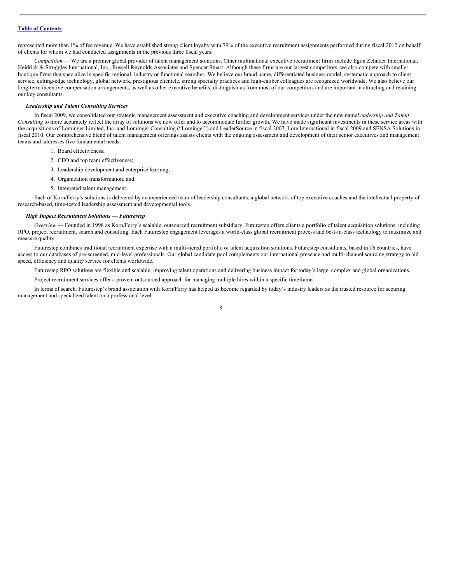represented more than 1% of fee revenue. We have established strong client loyalty with 79% of the executive recruitment assignments performed during fiscal 2012 on behalf of clients for whom we had conducted assignments in the previous three fiscal years.

*Competition* — We are a premier global provider of talent management solutions. Other multinational executive recruitment firms include Egon Zehnder International, Heidrick & Struggles International, Inc., Russell Reynolds Associates and Spencer Stuart. Although these firms are our largest competitors, we also compete with smaller boutique firms that specialize in specific regional, industry or functional searches. We believe our brand name, differentiated business model, systematic approach to client service, cutting-edge technology, global network, prestigious clientele, strong specialty practices and high-caliber colleagues are recognized worldwide. We also believe our long-term incentive compensation arrangements, as well as other executive benefits, distinguish us from most of our competitors and are important in attracting and retaining our key consultants.

# *Leadership and Talent Consulting Services*

In fiscal 2009, we consolidated our strategic management assessment and executive coaching and development services under the new name*Leadership and Talent Consulting* to more accurately reflect the array of solutions we now offer and to accommodate further growth. We have made significant investments in these service areas with the acquisitions of Lominger Limited, Inc. and Lominger Consulting ("Lominger") and LeaderSource in fiscal 2007, Lore International in fiscal 2009 and SENSA Solutions in fiscal 2010. Our comprehensive blend of talent management offerings assists clients with the ongoing assessment and development of their senior executives and management teams and addresses five fundamental needs:

- 1. Board effectiveness;
- 2. CEO and top team effectiveness;
- 3. Leadership development and enterprise learning;
- 4. Organization transformation; and
- 5. Integrated talent management.

Each of Korn/Ferry's solutions is delivered by an experienced team of leadership consultants, a global network of top executive coaches and the intellectual property of research-based, time-tested leadership assessment and developmental tools.

# *High Impact Recruitment Solutions — Futurestep*

*Overview* — Founded in 1998 as Korn/Ferry's scalable, outsourced recruitment subsidiary, Futurestep offers clients a portfolio of talent acquisition solutions, including RPO, project recruitment, search and consulting. Each Futurestep engagement leverages a world-class global recruitment process and best-in-class technology to maximize and measure quality.

Futurestep combines traditional recruitment expertise with a multi-tiered portfolio of talent acquisition solutions. Futurestep consultants, based in 16 countries, have access to our databases of pre-screened, mid-level professionals. Our global candidate pool complements our international presence and multi-channel sourcing strategy to aid speed, efficiency and quality service for clients worldwide.

Futurestep RPO solutions are flexible and scalable, improving talent operations and delivering business impact for today's large, complex and global organizations.

Project recruitment services offer a proven, outsourced approach for managing multiple hires within a specific timeframe.

In terms of search, Futurestep's brand association with Korn/Ferry has helped us become regarded by today's industry leaders as the trusted resource for securing management and specialized talent on a professional level.

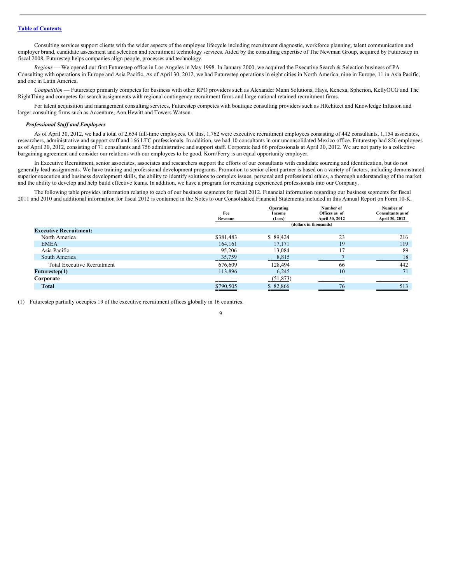Consulting services support clients with the wider aspects of the employee lifecycle including recruitment diagnostic, workforce planning, talent communication and employer brand, candidate assessment and selection and recruitment technology services. Aided by the consulting expertise of The Newman Group, acquired by Futurestep in fiscal 2008, Futurestep helps companies align people, processes and technology.

*Regions* — We opened our first Futurestep office in Los Angeles in May 1998. In January 2000, we acquired the Executive Search & Selection business of PA Consulting with operations in Europe and Asia Pacific. As of April 30, 2012, we had Futurestep operations in eight cities in North America, nine in Europe, 11 in Asia Pacific, and one in Latin America.

*Competition* — Futurestep primarily competes for business with other RPO providers such as Alexander Mann Solutions, Hays, Kenexa, Spherion, KellyOCG and The RightThing and competes for search assignments with regional contingency recruitment firms and large national retained recruitment firms.

For talent acquisition and management consulting services, Futurestep competes with boutique consulting providers such as HRchitect and Knowledge Infusion and larger consulting firms such as Accenture, Aon Hewitt and Towers Watson.

# *Professional Staf and Employees*

As of April 30, 2012, we had a total of 2,654 full-time employees. Of this, 1,762 were executive recruitment employees consisting of 442 consultants, 1,154 associates, researchers, administrative and support staff and 166 LTC professionals. In addition, we had 10 consultants in our unconsolidated Mexico office. Futurestep had 826 employees as of April 30, 2012, consisting of 71 consultants and 756 administrative and support staff. Corporate had 66 professionals at April 30, 2012. We are not party to a collective bargaining agreement and consider our relations with our employees to be good. Korn/Ferry is an equal opportunity employer.

In Executive Recruitment, senior associates, associates and researchers support the efforts of our consultants with candidate sourcing and identification, but do not generally lead assignments. We have training and professional development programs. Promotion to senior client partner is based on a variety of factors, including demonstrated superior execution and business development skills, the ability to identify solutions to complex issues, personal and professional ethics, a thorough understanding of the market and the ability to develop and help build effective teams. In addition, we have a program for recruiting experienced professionals into our Company.

The following table provides information relating to each of our business segments for fiscal 2012. Financial information regarding our business segments for fiscal 2011 and 2010 and additional information for fiscal 2012 is contained in the Notes to our Consolidated Financial Statements included in this Annual Report on Form 10-K.

|                                    |           | Operating | Number of                | Number of                |
|------------------------------------|-----------|-----------|--------------------------|--------------------------|
|                                    | Fee       | Income    | Offices as of            | <b>Consultants as of</b> |
|                                    | Revenue   | (Loss)    | April 30, 2012           | April 30, 2012           |
|                                    |           |           | (dollars in thousands)   |                          |
| <b>Executive Recruitment:</b>      |           |           |                          |                          |
| North America                      | \$381,483 | \$89,424  | 23                       | 216                      |
| <b>EMEA</b>                        | 164,161   | 17,171    | 19                       | 119                      |
| Asia Pacific                       | 95,206    | 13,084    |                          | 89                       |
| South America                      | 35,759    | 8,815     |                          | 18                       |
| <b>Total Executive Recruitment</b> | 676,609   | 128,494   | -66                      | 442                      |
| <b>Futurestep(1)</b>               | 113,896   | 6,245     | 10                       | 71                       |
| Corporate                          |           | (51, 873) | $\overline{\phantom{a}}$ | _                        |
| <b>Total</b>                       | \$790,505 | \$82,866  | 76                       | 513                      |
|                                    | ______    |           |                          |                          |

(1) Futurestep partially occupies 19 of the executive recruitment offices globally in 16 countries.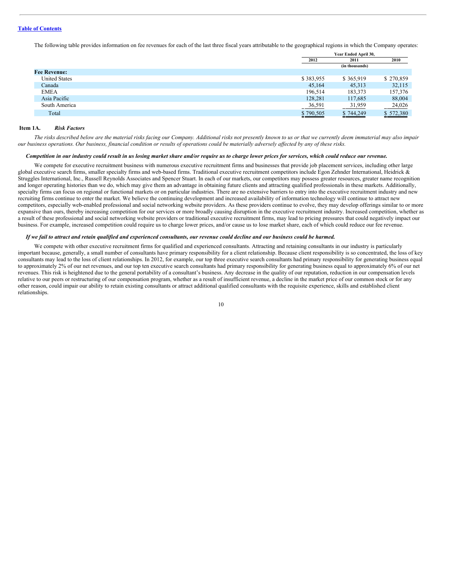The following table provides information on fee revenues for each of the last three fiscal years attributable to the geographical regions in which the Company operates:

|                      |           | Year Ended April 30, |           |  |
|----------------------|-----------|----------------------|-----------|--|
|                      | 2012      | 2011                 |           |  |
|                      |           | (in thousands)       |           |  |
| <b>Fee Revenue:</b>  |           |                      |           |  |
| <b>United States</b> | \$383,955 | \$365,919            | \$270,859 |  |
| Canada               | 45,164    | 45,313               | 32,115    |  |
| <b>EMEA</b>          | 196,514   | 183,373              | 157,376   |  |
| Asia Pacific         | 128,281   | 117,685              | 88,004    |  |
| South America        | 36,591    | 31,959               | 24,026    |  |
| Total                | \$790,505 | \$744,249            | \$572,380 |  |
|                      |           |                      |           |  |

# <span id="page-11-0"></span>**Item 1A.** *Risk Factors*

The risks described below are the material risks facing our Company. Additional risks not presently known to us or that we currently deem immaterial may also impair our business operations. Our business, financial condition or results of operations could be materially adversely affected by any of these risks.

#### Competition in our industry could result in us losing market share and/or require us to charge lower prices for services, which could reduce our revenue.

We compete for executive recruitment business with numerous executive recruitment firms and businesses that provide job placement services, including other large global executive search firms, smaller specialty firms and web-based firms. Traditional executive recruitment competitors include Egon Zehnder International, Heidrick & Struggles International, Inc., Russell Reynolds Associates and Spencer Stuart. In each of our markets, our competitors may possess greater resources, greater name recognition and longer operating histories than we do, which may give them an advantage in obtaining future clients and attracting qualified professionals in these markets. Additionally, specialty firms can focus on regional or functional markets or on particular industries. There are no extensive barriers to entry into the executive recruitment industry and new recruiting firms continue to enter the market. We believe the continuing development and increased availability of information technology will continue to attract new competitors, especially web-enabled professional and social networking website providers. As these providers continue to evolve, they may develop offerings similar to or more expansive than ours, thereby increasing competition for our services or more broadly causing disruption in the executive recruitment industry. Increased competition, whether as a result of these professional and social networking website providers or traditional executive recruitment firms, may lead to pricing pressures that could negatively impact our business. For example, increased competition could require us to charge lower prices, and/or cause us to lose market share, each of which could reduce our fee revenue.

#### If we fail to attract and retain qualified and experienced consultants, our revenue could decline and our business could be harmed.

We compete with other executive recruitment firms for qualified and experienced consultants. Attracting and retaining consultants in our industry is particularly important because, generally, a small number of consultants have primary responsibility for a client relationship. Because client responsibility is so concentrated, the loss of key consultants may lead to the loss of client relationships. In 2012, for example, our top three executive search consultants had primary responsibility for generating business equal to approximately 2% of our net revenues, and our top ten executive search consultants had primary responsibility for generating business equal to approximately 6% of our net revenues. This risk is heightened due to the general portability of a consultant's business. Any decrease in the quality of our reputation, reduction in our compensation levels relative to our peers or restructuring of our compensation program, whether as a result of insufficient revenue, a decline in the market price of our common stock or for any other reason, could impair our ability to retain existing consultants or attract additional qualified consultants with the requisite experience, skills and established client relationships.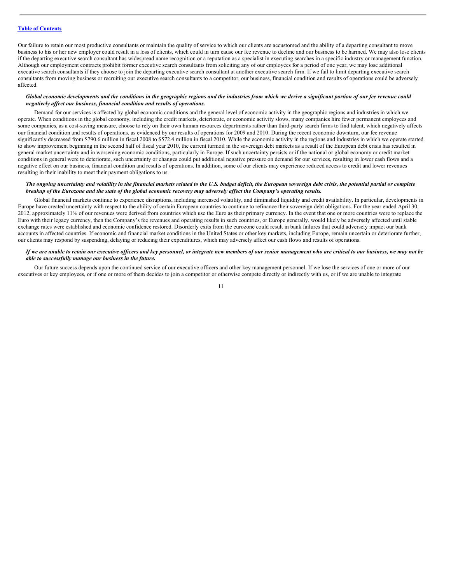Our failure to retain our most productive consultants or maintain the quality of service to which our clients are accustomed and the ability of a departing consultant to move business to his or her new employer could result in a loss of clients, which could in turn cause our fee revenue to decline and our business to be harmed. We may also lose clients if the departing executive search consultant has widespread name recognition or a reputation as a specialist in executing searches in a specific industry or management function. Although our employment contracts prohibit former executive search consultants from soliciting any of our employees for a period of one year, we may lose additional executive search consultants if they choose to join the departing executive search consultant at another executive search firm. If we fail to limit departing executive search consultants from moving business or recruiting our executive search consultants to a competitor, our business, financial condition and results of operations could be adversely affected.

## Global economic developments and the conditions in the geographic regions and the industries from which we derive a significant portion of our fee revenue could *negatively af ect our business, financial condition and results of operations.*

Demand for our services is affected by global economic conditions and the general level of economic activity in the geographic regions and industries in which we operate. When conditions in the global economy, including the credit markets, deteriorate, or economic activity slows, many companies hire fewer permanent employees and some companies, as a cost-saving measure, choose to rely on their own human resources departments rather than third-party search firms to find talent, which negatively affects our financial condition and results of operations, as evidenced by our results of operations for 2009 and 2010. During the recent economic downturn, our fee revenue significantly decreased from \$790.6 million in fiscal 2008 to \$572.4 million in fiscal 2010. While the economic activity in the regions and industries in which we operate started to show improvement beginning in the second half of fiscal year 2010, the current turmoil in the sovereign debt markets as a result of the European debt crisis has resulted in general market uncertainty and in worsening economic conditions, particularly in Europe. If such uncertainty persists or if the national or global economy or credit market conditions in general were to deteriorate, such uncertainty or changes could put additional negative pressure on demand for our services, resulting in lower cash flows and a negative effect on our business, financial condition and results of operations. In addition, some of our clients may experience reduced access to credit and lower revenues resulting in their inability to meet their payment obligations to us.

#### The ongoing uncertainty and volatility in the financial markets related to the U.S. budget deficit, the European sovereign debt crisis, the potential partial or complete breakup of the Eurozone and the state of the global economic recovery may adversely affect the Company's operating results.

Global financial markets continue to experience disruptions, including increased volatility, and diminished liquidity and credit availability. In particular, developments in Europe have created uncertainty with respect to the ability of certain European countries to continue to refinance their sovereign debt obligations. For the year ended April 30, 2012, approximately 11% of our revenues were derived from countries which use the Euro as their primary currency. In the event that one or more countries were to replace the Euro with their legacy currency, then the Company's fee revenues and operating results in such countries, or Europe generally, would likely be adversely affected until stable exchange rates were established and economic confidence restored. Disorderly exits from the eurozone could result in bank failures that could adversely impact our bank accounts in affected countries. If economic and financial market conditions in the United States or other key markets, including Europe, remain uncertain or deteriorate further, our clients may respond by suspending, delaying or reducing their expenditures, which may adversely affect our cash flows and results of operations.

# If we are unable to retain our executive officers and key personnel, or integrate new members of our senior management who are critical to our business, we may not be *able to successfully manage our business in the future.*

Our future success depends upon the continued service of our executive officers and other key management personnel. If we lose the services of one or more of our executives or key employees, or if one or more of them decides to join a competitor or otherwise compete directly or indirectly with us, or if we are unable to integrate

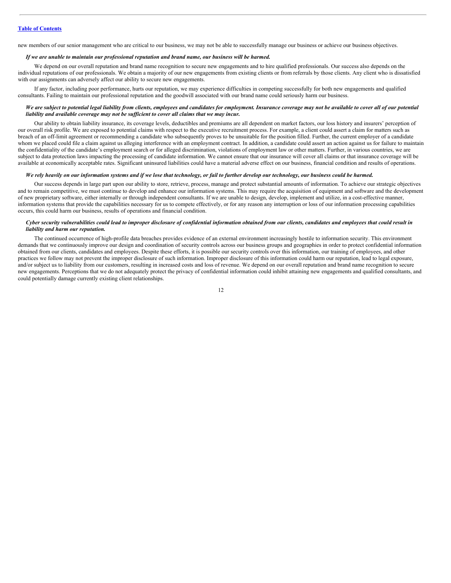new members of our senior management who are critical to our business, we may not be able to successfully manage our business or achieve our business objectives.

#### *If we are unable to maintain our professional reputation and brand name, our business will be harmed.*

We depend on our overall reputation and brand name recognition to secure new engagements and to hire qualified professionals. Our success also depends on the individual reputations of our professionals. We obtain a majority of our new engagements from existing clients or from referrals by those clients. Any client who is dissatisfied with our assignments can adversely affect our ability to secure new engagements.

If any factor, including poor performance, hurts our reputation, we may experience difficulties in competing successfully for both new engagements and qualified consultants. Failing to maintain our professional reputation and the goodwill associated with our brand name could seriously harm our business.

# We are subject to potential legal liability from clients, employees and candidates for employment. Insurance coverage may not be available to cover all of our potential *liability and available coverage may not be suf icient to cover all claims that we may incur.*

Our ability to obtain liability insurance, its coverage levels, deductibles and premiums are all dependent on market factors, our loss history and insurers' perception of our overall risk profile. We are exposed to potential claims with respect to the executive recruitment process. For example, a client could assert a claim for matters such as breach of an off-limit agreement or recommending a candidate who subsequently proves to be unsuitable for the position filled. Further, the current employer of a candidate whom we placed could file a claim against us alleging interference with an employment contract. In addition, a candidate could assert an action against us for failure to maintain the confidentiality of the candidate's employment search or for alleged discrimination, violations of employment law or other matters. Further, in various countries, we are subject to data protection laws impacting the processing of candidate information. We cannot ensure that our insurance will cover all claims or that insurance coverage will be available at economically acceptable rates. Significant uninsured liabilities could have a material adverse effect on our business, financial condition and results of operations.

# We rely heavily on our information systems and if we lose that technology, or fail to further develop our technology, our business could be harmed.

Our success depends in large part upon our ability to store, retrieve, process, manage and protect substantial amounts of information. To achieve our strategic objectives and to remain competitive, we must continue to develop and enhance our information systems. This may require the acquisition of equipment and software and the development of new proprietary software, either internally or through independent consultants. If we are unable to design, develop, implement and utilize, in a cost-effective manner, information systems that provide the capabilities necessary for us to compete effectively, or for any reason any interruption or loss of our information processing capabilities occurs, this could harm our business, results of operations and financial condition.

# Cyber security vulnerabilities could lead to improper disclosure of confidential information obtained from our clients, candidates and employees that could result in *liability and harm our reputation.*

The continued occurrence of high-profile data breaches provides evidence of an external environment increasingly hostile to information security. This environment demands that we continuously improve our design and coordination of security controls across our business groups and geographies in order to protect confidential information obtained from our clients, candidates and employees. Despite these efforts, it is possible our security controls over this information, our training of employees, and other practices we follow may not prevent the improper disclosure of such information. Improper disclosure of this information could harm our reputation, lead to legal exposure, and/or subject us to liability from our customers, resulting in increased costs and loss of revenue. We depend on our overall reputation and brand name recognition to secure new engagements. Perceptions that we do not adequately protect the privacy of confidential information could inhibit attaining new engagements and qualified consultants, and could potentially damage currently existing client relationships.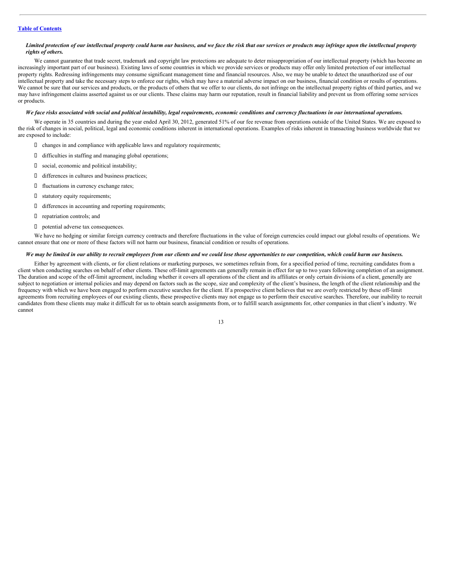# Limited protection of our intellectual property could harm our business, and we face the risk that our services or products may infringe upon the intellectual property *rights of others.*

We cannot guarantee that trade secret, trademark and copyright law protections are adequate to deter misappropriation of our intellectual property (which has become an increasingly important part of our business). Existing laws of some countries in which we provide services or products may offer only limited protection of our intellectual property rights. Redressing infringements may consume significant management time and financial resources. Also, we may be unable to detect the unauthorized use of our intellectual property and take the necessary steps to enforce our rights, which may have a material adverse impact on our business, financial condition or results of operations. We cannot be sure that our services and products, or the products of others that we offer to our clients, do not infringe on the intellectual property rights of third parties, and we may have infringement claims asserted against us or our clients. These claims may harm our reputation, result in financial liability and prevent us from offering some services or products.

# We face risks associated with social and political instability, legal requirements, economic conditions and currency fluctuations in our international operations.

We operate in 35 countries and during the year ended April 30, 2012, generated 51% of our fee revenue from operations outside of the United States. We are exposed to the risk of changes in social, political, legal and economic conditions inherent in international operations. Examples of risks inherent in transacting business worldwide that we are exposed to include:

- changes in and compliance with applicable laws and regulatory requirements;
- $\Box$  difficulties in staffing and managing global operations;
- social, economic and political instability;
- differences in cultures and business practices;
- fluctuations in currency exchange rates;
- statutory equity requirements;
- differences in accounting and reporting requirements;
- repatriation controls; and
- potential adverse tax consequences.

We have no hedging or similar foreign currency contracts and therefore fluctuations in the value of foreign currencies could impact our global results of operations. We cannot ensure that one or more of these factors will not harm our business, financial condition or results of operations.

# We may be limited in our ability to recruit employees from our clients and we could lose those opportunities to our competition, which could harm our business.

Either by agreement with clients, or for client relations or marketing purposes, we sometimes refrain from, for a specified period of time, recruiting candidates from a client when conducting searches on behalf of other clients. These off-limit agreements can generally remain in effect for up to two years following completion of an assignment. The duration and scope of the off-limit agreement, including whether it covers all operations of the client and its affiliates or only certain divisions of a client, generally are subject to negotiation or internal policies and may depend on factors such as the scope, size and complexity of the client's business, the length of the client relationship and the frequency with which we have been engaged to perform executive searches for the client. If a prospective client believes that we are overly restricted by these off-limit agreements from recruiting employees of our existing clients, these prospective clients may not engage us to perform their executive searches. Therefore, our inability to recruit candidates from these clients may make it difficult for us to obtain search assignments from, or to fulfill search assignments for, other companies in that client's industry. We cannot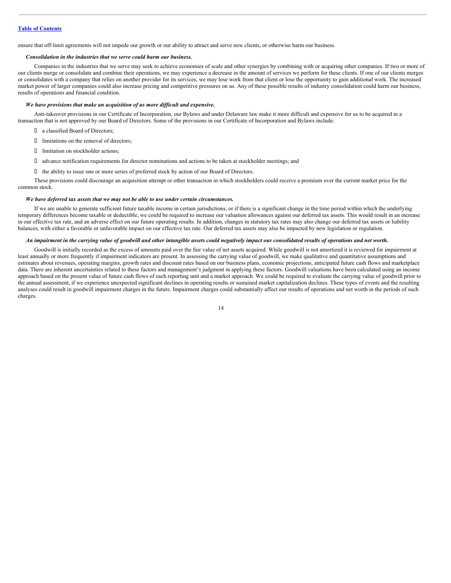ensure that off-limit agreements will not impede our growth or our ability to attract and serve new clients, or otherwise harm our business.

#### *Consolidation in the industries that we serve could harm our business.*

Companies in the industries that we serve may seek to achieve economies of scale and other synergies by combining with or acquiring other companies. If two or more of our clients merge or consolidate and combine their operations, we may experience a decrease in the amount of services we perform for these clients. If one of our clients merges or consolidates with a company that relies on another provider for its services, we may lose work from that client or lose the opportunity to gain additional work. The increased market power of larger companies could also increase pricing and competitive pressures on us. Any of these possible results of industry consolidation could harm our business, results of operations and financial condition.

# *We have provisions that make an acquisition of us more dif icult and expensive.*

Anti-takeover provisions in our Certificate of Incorporation, our Bylaws and under Delaware law make it more difficult and expensive for us to be acquired in a transaction that is not approved by our Board of Directors. Some of the provisions in our Certificate of Incorporation and Bylaws include:

- a classified Board of Directors;
- limitations on the removal of directors;
- limitation on stockholder actions;
- advance notification requirements for director nominations and actions to be taken at stockholder meetings; and
- the ability to issue one or more series of preferred stock by action of our Board of Directors.

These provisions could discourage an acquisition attempt or other transaction in which stockholders could receive a premium over the current market price for the common stock.

#### *We have deferred tax assets that we may not be able to use under certain circumstances.*

If we are unable to generate sufficient future taxable income in certain jurisdictions, or if there is a significant change in the time period within which the underlying temporary differences become taxable or deductible, we could be required to increase our valuation allowances against our deferred tax assets. This would result in an increase in our effective tax rate, and an adverse effect on our future operating results. In addition, changes in statutory tax rates may also change our deferred tax assets or liability balances, with either a favorable or unfavorable impact on our effective tax rate. Our deferred tax assets may also be impacted by new legislation or regulation.

#### An impairment in the carrying value of goodwill and other intangible assets could negatively impact our consolidated results of operations and net worth.

Goodwill is initially recorded as the excess of amounts paid over the fair value of net assets acquired. While goodwill is not amortized it is reviewed for impairment at least annually or more frequently if impairment indicators are present. In assessing the carrying value of goodwill, we make qualitative and quantitative assumptions and estimates about revenues, operating margins, growth rates and discount rates based on our business plans, economic projections, anticipated future cash flows and marketplace data. There are inherent uncertainties related to these factors and management's judgment in applying these factors. Goodwill valuations have been calculated using an income approach based on the present value of future cash flows of each reporting unit and a market approach. We could be required to evaluate the carrying value of goodwill prior to the annual assessment, if we experience unexpected significant declines in operating results or sustained market capitalization declines. These types of events and the resulting analyses could result in goodwill impairment charges in the future. Impairment charges could substantially affect our results of operations and net worth in the periods of such charges.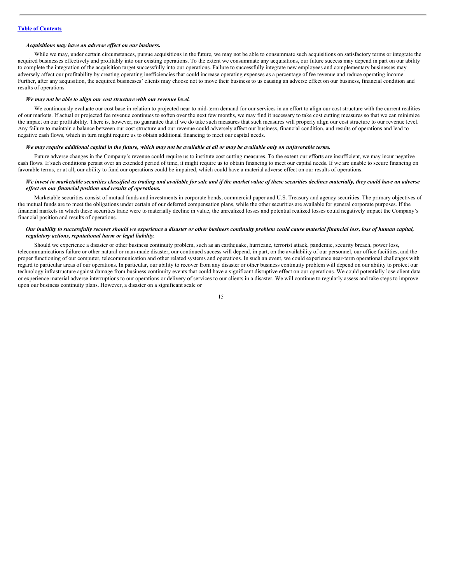# *Acquisitions may have an adverse ef ect on our business.*

While we may, under certain circumstances, pursue acquisitions in the future, we may not be able to consummate such acquisitions on satisfactory terms or integrate the acquired businesses effectively and profitably into our existing operations. To the extent we consummate any acquisitions, our future success may depend in part on our ability to complete the integration of the acquisition target successfully into our operations. Failure to successfully integrate new employees and complementary businesses may adversely affect our profitability by creating operating inefficiencies that could increase operating expenses as a percentage of fee revenue and reduce operating income. Further, after any acquisition, the acquired businesses' clients may choose not to move their business to us causing an adverse effect on our business, financial condition and results of operations.

#### *We may not be able to align our cost structure with our revenue level.*

We continuously evaluate our cost base in relation to projected near to mid-term demand for our services in an effort to align our cost structure with the current realities of our markets. If actual or projected fee revenue continues to soften over the next few months, we may find it necessary to take cost cutting measures so that we can minimize the impact on our profitability. There is, however, no guarantee that if we do take such measures that such measures will properly align our cost structure to our revenue level. Any failure to maintain a balance between our cost structure and our revenue could adversely affect our business, financial condition, and results of operations and lead to negative cash flows, which in turn might require us to obtain additional financing to meet our capital needs.

#### We may require additional capital in the future, which may not be available at all or may be available only on unfavorable terms.

Future adverse changes in the Company's revenue could require us to institute cost cutting measures. To the extent our efforts are insufficient, we may incur negative cash flows. If such conditions persist over an extended period of time, it might require us to obtain financing to meet our capital needs. If we are unable to secure financing on favorable terms, or at all, our ability to fund our operations could be impaired, which could have a material adverse effect on our results of operations.

# We invest in marketable securities classified as trading and available for sale and if the market value of these securities declines materially, they could have an adverse *ef ect on our financial position and results of operations.*

Marketable securities consist of mutual funds and investments in corporate bonds, commercial paper and U.S. Treasury and agency securities. The primary objectives of the mutual funds are to meet the obligations under certain of our deferred compensation plans, while the other securities are available for general corporate purposes. If the financial markets in which these securities trade were to materially decline in value, the unrealized losses and potential realized losses could negatively impact the Company's financial position and results of operations.

# Our inability to successfully recover should we experience a disaster or other business continuity problem could cause material financial loss, loss of human capital, *regulatory actions, reputational harm or legal liability.*

Should we experience a disaster or other business continuity problem, such as an earthquake, hurricane, terrorist attack, pandemic, security breach, power loss, telecommunications failure or other natural or man-made disaster, our continued success will depend, in part, on the availability of our personnel, our office facilities, and the proper functioning of our computer, telecommunication and other related systems and operations. In such an event, we could experience near-term operational challenges with regard to particular areas of our operations. In particular, our ability to recover from any disaster or other business continuity problem will depend on our ability to protect our technology infrastructure against damage from business continuity events that could have a significant disruptive effect on our operations. We could potentially lose client data or experience material adverse interruptions to our operations or delivery of services to our clients in a disaster. We will continue to regularly assess and take steps to improve upon our business continuity plans. However, a disaster on a significant scale or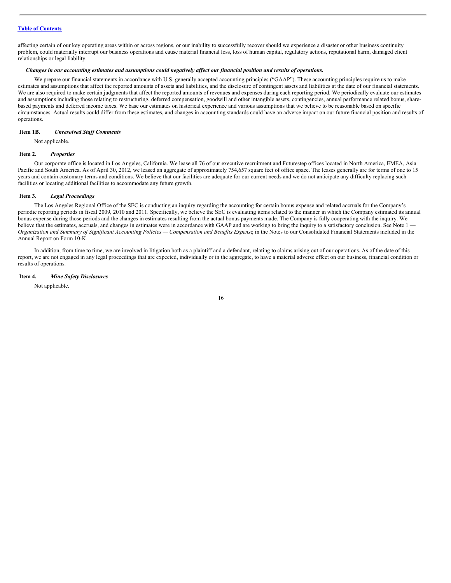affecting certain of our key operating areas within or across regions, or our inability to successfully recover should we experience a disaster or other business continuity problem, could materially interrupt our business operations and cause material financial loss, loss of human capital, regulatory actions, reputational harm, damaged client relationships or legal liability.

# Changes in our accounting estimates and assumptions could negatively affect our financial position and results of operations.

We prepare our financial statements in accordance with U.S. generally accepted accounting principles ("GAAP"). These accounting principles require us to make estimates and assumptions that affect the reported amounts of assets and liabilities, and the disclosure of contingent assets and liabilities at the date of our financial statements. We are also required to make certain judgments that affect the reported amounts of revenues and expenses during each reporting period. We periodically evaluate our estimates and assumptions including those relating to restructuring, deferred compensation, goodwill and other intangible assets, contingencies, annual performance related bonus, sharebased payments and deferred income taxes. We base our estimates on historical experience and various assumptions that we believe to be reasonable based on specific circumstances. Actual results could differ from these estimates, and changes in accounting standards could have an adverse impact on our future financial position and results of operations.

# <span id="page-17-0"></span>**Item 1B.** *Unresolved Staf Comments*

Not applicable.

#### <span id="page-17-1"></span>**Item 2.** *Properties*

Our corporate office is located in Los Angeles, California. We lease all 76 of our executive recruitment and Futurestep offices located in North America, EMEA, Asia Pacific and South America. As of April 30, 2012, we leased an aggregate of approximately 754,657 square feet of office space. The leases generally are for terms of one to 15 years and contain customary terms and conditions. We believe that our facilities are adequate for our current needs and we do not anticipate any difficulty replacing such facilities or locating additional facilities to accommodate any future growth.

#### <span id="page-17-2"></span>**Item 3.** *Legal Proceedings*

The Los Angeles Regional Office of the SEC is conducting an inquiry regarding the accounting for certain bonus expense and related accruals for the Company's periodic reporting periods in fiscal 2009, 2010 and 2011. Specifically, we believe the SEC is evaluating items related to the manner in which the Company estimated its annual bonus expense during those periods and the changes in estimates resulting from the actual bonus payments made. The Company is fully cooperating with the inquiry. We believe that the estimates, accruals, and changes in estimates were in accordance with GAAP and are working to bring the inquiry to a satisfactory conclusion. See Note 1 Organization and Summary of Significant Accounting Policies - Compensation and Benefits Expense, in the Notes to our Consolidated Financial Statements included in the Annual Report on Form 10-K.

In addition, from time to time, we are involved in litigation both as a plaintiff and a defendant, relating to claims arising out of our operations. As of the date of this report, we are not engaged in any legal proceedings that are expected, individually or in the aggregate, to have a material adverse effect on our business, financial condition or results of operations.

# <span id="page-17-3"></span>**Item 4.** *Mine Safety Disclosures*

Not applicable.

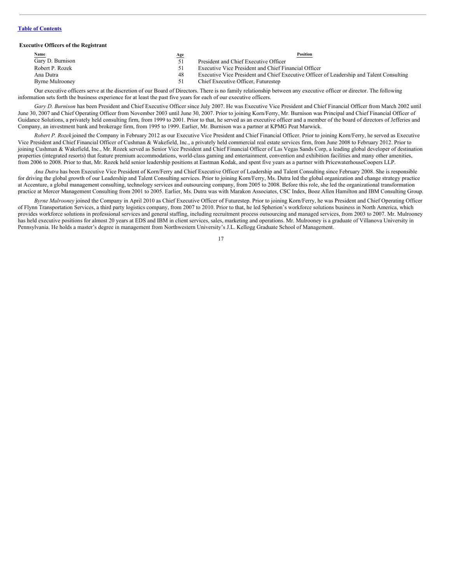# <span id="page-18-0"></span>**Executive Officers of the Registrant**

| <b>Name</b>      | <u>Age</u> | <b>Position</b>                                                                          |
|------------------|------------|------------------------------------------------------------------------------------------|
| Gary D. Burnison | 51         | President and Chief Executive Officer                                                    |
| Robert P. Rozek  | 51         | Executive Vice President and Chief Financial Officer                                     |
| Ana Dutra        | 48         | Executive Vice President and Chief Executive Officer of Leadership and Talent Consulting |
| Byrne Mulrooney  | 51         | Chief Executive Officer, Futurestep                                                      |

Our executive officers serve at the discretion of our Board of Directors. There is no family relationship between any executive officer or director. The following information sets forth the business experience for at least the past five years for each of our executive officers.

*Gary D. Burnison* has been President and Chief Executive Officer since July 2007. He was Executive Vice President and Chief Financial Officer from March 2002 until June 30, 2007 and Chief Operating Officer from November 2003 until June 30, 2007. Prior to joining Korn/Ferry, Mr. Burnison was Principal and Chief Financial Officer of Guidance Solutions, a privately held consulting firm, from 1999 to 2001. Prior to that, he served as an executive officer and a member of the board of directors of Jefferies and Company, an investment bank and brokerage firm, from 1995 to 1999. Earlier, Mr. Burnison was a partner at KPMG Peat Marwick.

*Robert P. Rozek* joined the Company in February 2012 as our Executive Vice President and Chief Financial Officer. Prior to joining Korn/Ferry, he served as Executive Vice President and Chief Financial Officer of Cushman & Wakefield, Inc., a privately held commercial real estate services firm, from June 2008 to February 2012. Prior to joining Cushman & Wakefield, Inc., Mr. Rozek served as Senior Vice President and Chief Financial Officer of Las Vegas Sands Corp, a leading global developer of destination properties (integrated resorts) that feature premium accommodations, world-class gaming and entertainment, convention and exhibition facilities and many other amenities, from 2006 to 2008. Prior to that, Mr. Rozek held senior leadership positions at Eastman Kodak, and spent five years as a partner with PricewaterhouseCoopers LLP.

*Ana Dutra* has been Executive Vice President of Korn/Ferry and Chief Executive Officer of Leadership and Talent Consulting since February 2008. She is responsible for driving the global growth of our Leadership and Talent Consulting services. Prior to joining Korn/Ferry, Ms. Dutra led the global organization and change strategy practice at Accenture, a global management consulting, technology services and outsourcing company, from 2005 to 2008. Before this role, she led the organizational transformation practice at Mercer Management Consulting from 2001 to 2005. Earlier, Ms. Dutra was with Marakon Associates, CSC Index, Booz Allen Hamilton and IBM Consulting Group.

*Byrne Mulrooney* joined the Company in April 2010 as Chief Executive Officer of Futurestep. Prior to joining Korn/Ferry, he was President and Chief Operating Officer of Flynn Transportation Services, a third party logistics company, from 2007 to 2010. Prior to that, he led Spherion's workforce solutions business in North America, which provides workforce solutions in professional services and general staffing, including recruitment process outsourcing and managed services, from 2003 to 2007. Mr. Mulrooney has held executive positions for almost 20 years at EDS and IBM in client services, sales, marketing and operations. Mr. Mulrooney is a graduate of Villanova University in Pennsylvania. He holds a master's degree in management from Northwestern University's J.L. Kellogg Graduate School of Management.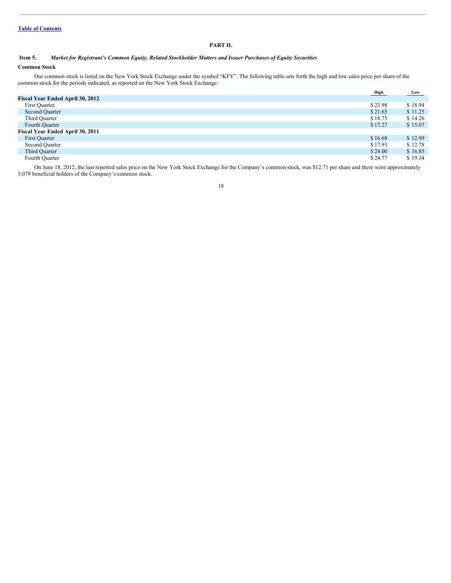# **PART II.**

# <span id="page-19-0"></span>Item 5. Market for Registrant's Common Equity, Related Stockholder Matters and Issuer Purchases of Equity Securities

# **Common Stock**

Our common stock is listed on the New York Stock Exchange under the symbol "KFY". The following table sets forth the high and low sales price per share of the common stock for the periods indicated, as reported on the New York Stock Exchange:

|                                         | High    | Low     |
|-----------------------------------------|---------|---------|
| <b>Fiscal Year Ended April 30, 2012</b> |         |         |
| First Ouarter                           | \$23.98 | \$18.94 |
| <b>Second Quarter</b>                   | \$21.65 | \$11.25 |
| Third Quarter                           | \$18.75 | \$14.26 |
| Fourth Quarter                          | \$17.27 | \$15.07 |
| Fiscal Year Ended April 30, 2011        |         |         |
| First Ouarter                           | \$16.68 | \$12.99 |
| Second Quarter                          | \$17.93 | \$12.78 |
| Third Quarter                           | \$24.00 | \$16.85 |
| Fourth Quarter                          | \$24.77 | \$19.34 |

On June 18, 2012, the last reported sales price on the New York Stock Exchange for the Company's common stock, was \$12.71 per share and there were approximately 5,079 beneficial holders of the Company's common stock.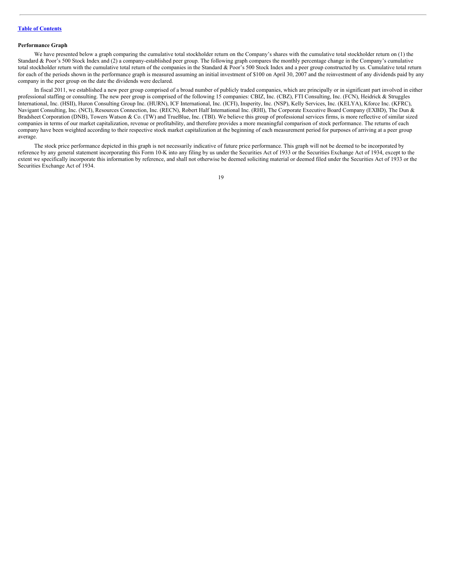#### **Performance Graph**

We have presented below a graph comparing the cumulative total stockholder return on the Company's shares with the cumulative total stockholder return on (1) the Standard & Poor's 500 Stock Index and (2) a company-established peer group. The following graph compares the monthly percentage change in the Company's cumulative total stockholder return with the cumulative total return of the companies in the Standard & Poor's 500 Stock Index and a peer group constructed by us. Cumulative total return for each of the periods shown in the performance graph is measured assuming an initial investment of \$100 on April 30, 2007 and the reinvestment of any dividends paid by any company in the peer group on the date the dividends were declared.

In fiscal 2011, we established a new peer group comprised of a broad number of publicly traded companies, which are principally or in significant part involved in either professional staffing or consulting. The new peer group is comprised of the following 15 companies: CBIZ, Inc. (CBZ), FTI Consulting, Inc. (FCN), Heidrick & Struggles International, Inc. (HSII), Huron Consulting Group Inc. (HURN), ICF International, Inc. (ICFI), Insperity, Inc. (NSP), Kelly Services, Inc. (KELYA), Kforce Inc. (KFRC), Navigant Consulting, Inc. (NCI), Resources Connection, Inc. (RECN), Robert Half International Inc. (RHI), The Corporate Executive Board Company (EXBD), The Dun & Bradsheet Corporation (DNB), Towers Watson & Co. (TW) and TrueBlue, Inc. (TBI). We believe this group of professional services firms, is more reflective of similar sized companies in terms of our market capitalization, revenue or profitability, and therefore provides a more meaningful comparison of stock performance. The returns of each company have been weighted according to their respective stock market capitalization at the beginning of each measurement period for purposes of arriving at a peer group average.

The stock price performance depicted in this graph is not necessarily indicative of future price performance. This graph will not be deemed to be incorporated by reference by any general statement incorporating this Form 10-K into any filing by us under the Securities Act of 1933 or the Securities Exchange Act of 1934, except to the extent we specifically incorporate this information by reference, and shall not otherwise be deemed soliciting material or deemed filed under the Securities Act of 1933 or the Securities Exchange Act of 1934.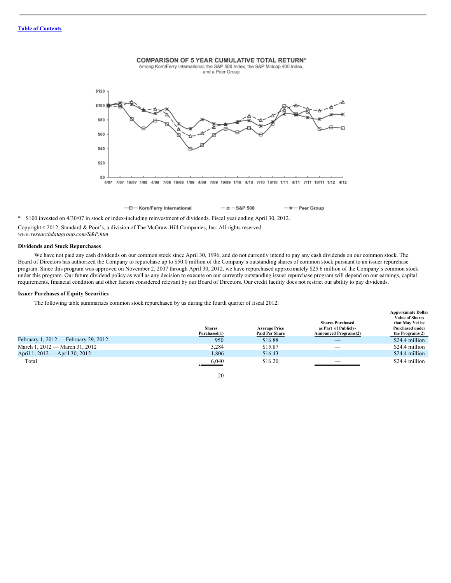

-B-Korn/Ferry International  $\triangle$  - S&P 500 \* Peer Group

\* \$100 invested on 4/30/07 in stock or index-including reinvestment of dividends. Fiscal year ending April 30, 2012.

Copyright © 2012, Standard & Poor's, a division of The McGraw-Hill Companies, Inc. All rights reserved. *www.researchdatagroup.com/S&P.htm*

# **Dividends and Stock Repurchases**

We have not paid any cash dividends on our common stock since April 30, 1996, and do not currently intend to pay any cash dividends on our common stock. The Board of Directors has authorized the Company to repurchase up to \$50.0 million of the Company's outstanding shares of common stock pursuant to an issuer repurchase program. Since this program was approved on November 2, 2007 through April 30, 2012, we have repurchased approximately \$25.6 million of the Company's common stock under this program. Our future dividend policy as well as any decision to execute on our currently outstanding issuer repurchase program will depend on our earnings, capital requirements, financial condition and other factors considered relevant by our Board of Directors. Our credit facility does not restrict our ability to pay dividends.

# **Issuer Purchases of Equity Securities**

The following table summarizes common stock repurchased by us during the fourth quarter of fiscal 2012:

| <b>Shares</b> | <b>Average Price</b> | <b>Shares Purchased</b><br>as Part of Publicly- | <b>Value of Shares</b><br>that May Yet be<br><b>Purchased under</b> |
|---------------|----------------------|-------------------------------------------------|---------------------------------------------------------------------|
|               |                      |                                                 | the Programs(2)                                                     |
| 950           | \$16.88              |                                                 | \$24.4 million                                                      |
| 3.284         | \$15.87              | --                                              | \$24.4 million                                                      |
| 1,806         | \$16.43              | $\overline{\phantom{a}}$                        | \$24.4 million                                                      |
| 6,040         | \$16.20              |                                                 | \$24.4 million                                                      |
|               | Purchased(1)         | <b>Paid Per Share</b>                           | <b>Announced Programs(2)</b>                                        |

**Approximate Dollar**

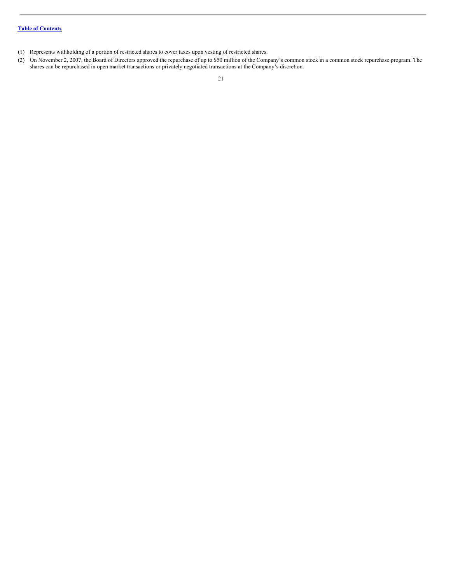- (1) Represents withholding of a portion of restricted shares to cover taxes upon vesting of restricted shares.
- (2) On November 2, 2007, the Board of Directors approved the repurchase of up to \$50 million of the Company's common stock in a common stock repurchase program. The shares can be repurchased in open market transactions or privately negotiated transactions at the Company's discretion.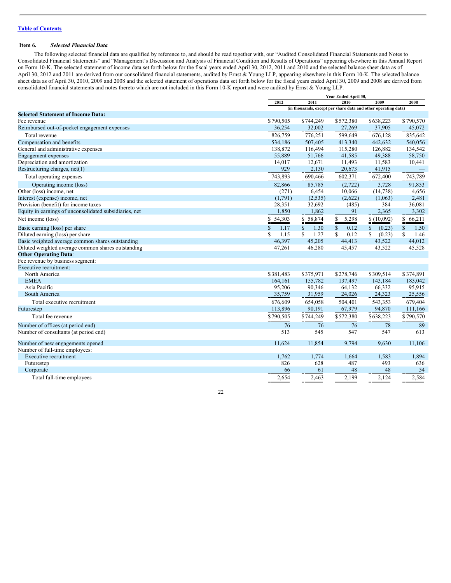# <span id="page-23-0"></span>**Item 6.** *Selected Financial Data*

The following selected financial data are qualified by reference to, and should be read together with, our "Audited Consolidated Financial Statements and Notes to Consolidated Financial Statements" and "Management's Discussion and Analysis of Financial Condition and Results of Operations" appearing elsewhere in this Annual Report on Form 10-K. The selected statement of income data set forth below for the fiscal years ended April 30, 2012, 2011 and 2010 and the selected balance sheet data as of April 30, 2012 and 2011 are derived from our consolidated financial statements, audited by Ernst & Young LLP, appearing elsewhere in this Form 10-K. The selected balance sheet data as of April 30, 2010, 2009 and 2008 and the selected statement of operations data set forth below for the fiscal years ended April 30, 2009 and 2008 are derived from consolidated financial statements and notes thereto which are not included in this Form 10-K report and were audited by Ernst & Young LLP.

|                                                        |                      |                                                                | Year Ended April 30,   |                        |                      |
|--------------------------------------------------------|----------------------|----------------------------------------------------------------|------------------------|------------------------|----------------------|
|                                                        | 2012                 | 2011                                                           | 2010                   | 2009                   | 2008                 |
|                                                        |                      | (in thousands, except per share data and other operating data) |                        |                        |                      |
| <b>Selected Statement of Income Data:</b>              |                      |                                                                |                        |                        |                      |
| Fee revenue                                            | \$790,505            | \$744,249                                                      | \$572,380              | \$638,223              | \$790,570            |
| Reimbursed out-of-pocket engagement expenses           | 36,254               | 32,002                                                         | 27,269                 | 37,905                 | 45,072               |
| Total revenue                                          | 826,759              | 776,251                                                        | 599,649                | 676,128                | 835,642              |
| Compensation and benefits                              | 534,186              | 507,405                                                        | 413,340                | 442,632                | 540,056              |
| General and administrative expenses                    | 138,872              | 116,494                                                        | 115,280                | 126,882                | 134,542              |
| Engagement expenses                                    | 55,889               | 51,766                                                         | 41,585                 | 49,388                 | 58,750               |
| Depreciation and amortization                          | 14,017               | 12,671                                                         | 11,493                 | 11,583                 | 10,441               |
| Restructuring charges, net(1)                          | 929                  | 2,130                                                          | 20,673                 | 41,915                 |                      |
| Total operating expenses                               | 743,893              | 690,466                                                        | 602,371                | 672,400                | 743,789              |
| Operating income (loss)                                | 82,866               | 85,785                                                         | (2,722)                | 3,728                  | 91,853               |
| Other (loss) income, net                               | (271)                | 6,454                                                          | 10,066                 | (14, 738)              | 4,656                |
| Interest (expense) income, net                         | (1,791)              | (2, 535)                                                       | (2,622)                | (1,063)                | 2,481                |
| Provision (benefit) for income taxes                   | 28,351               | 32,692                                                         | (485)                  | 384                    | 36,081               |
| Equity in earnings of unconsolidated subsidiaries, net | 1,850                | 1,862                                                          | 91                     | 2,365                  | 3,302                |
| Net income (loss)                                      | 54,303<br>\$         | \$58,874                                                       | 5,298<br>$\frac{1}{2}$ | \$(10,092)             | 66,211<br>\$         |
| Basic earning (loss) per share                         | $\mathbb{S}$<br>1.17 | $\mathbb{S}$<br>1.30                                           | $\mathsf{\$}$<br>0.12  | $\mathbb{S}$<br>(0.23) | $\mathbb{S}$<br>1.50 |
| Diluted earning (loss) per share                       | S<br>1.15            | S<br>1.27                                                      | \$<br>0.12             | S<br>(0.23)            | S.<br>1.46           |
| Basic weighted average common shares outstanding       | 46,397               | 45,205                                                         | 44,413                 | 43,522                 | 44,012               |
| Diluted weighted average common shares outstanding     | 47,261               | 46,280                                                         | 45,457                 | 43,522                 | 45,528               |
| <b>Other Operating Data:</b>                           |                      |                                                                |                        |                        |                      |
| Fee revenue by business segment:                       |                      |                                                                |                        |                        |                      |
| Executive recruitment:                                 |                      |                                                                |                        |                        |                      |
| North America                                          | \$381,483            | \$375,971                                                      | \$278,746              | \$309,514              | \$374,891            |
| <b>EMEA</b>                                            | 164,161              | 155,782                                                        | 137,497                | 143,184                | 183,042              |
| Asia Pacific                                           | 95,206               | 90,346                                                         | 64,132                 | 66,332                 | 95,915               |
| South America                                          | 35,759               | 31,959                                                         | 24,026                 | 24,323                 | 25,556               |
| Total executive recruitment                            | 676.609              | 654,058                                                        | 504,401                | 543,353                | 679,404              |
| Futurestep                                             | 113,896              | 90,191                                                         | 67,979                 | 94,870                 | 111,166              |
| Total fee revenue                                      | \$790,505            | \$744,249                                                      | \$572,380              | \$638,223              | \$790,570            |
| Number of offices (at period end)                      | 76                   | 76                                                             | 76                     | 78                     | 89                   |
| Number of consultants (at period end)                  | 513                  | 545                                                            | 547                    | 547                    | 613                  |
| Number of new engagements opened                       | 11,624               | 11,854                                                         | 9,794                  | 9,630                  | 11,106               |
| Number of full-time employees:                         |                      |                                                                |                        |                        |                      |
| Executive recruitment                                  | 1,762                | 1,774                                                          | 1,664                  | 1,583                  | 1,894                |
| Futurestep                                             | 826                  | 628                                                            | 487                    | 493                    | 636                  |
| Corporate                                              | 66                   | 61                                                             | 48                     | 48                     | 54                   |
| Total full-time employees                              | 2,654                | 2,463                                                          | 2,199                  | 2,124                  | 2,584                |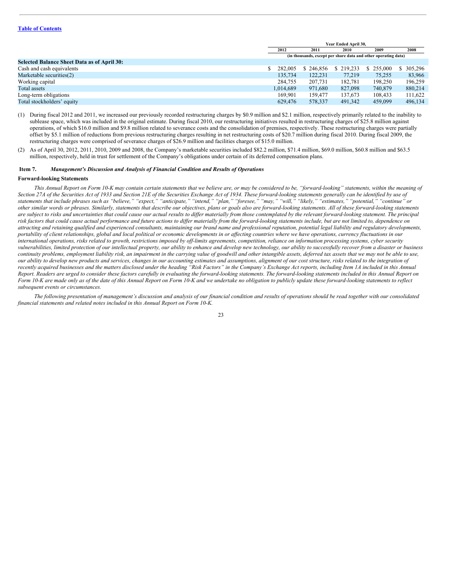|                                                    | Year Ended April 30. |           |           |                                                                |            |
|----------------------------------------------------|----------------------|-----------|-----------|----------------------------------------------------------------|------------|
|                                                    | 2012                 | 2011      | 2010      | 2009                                                           | 2008       |
|                                                    |                      |           |           | (in thousands, except per share data and other operating data) |            |
| <b>Selected Balance Sheet Data as of April 30:</b> |                      |           |           |                                                                |            |
| Cash and cash equivalents                          | 282,005              | \$246,856 | \$219,233 | \$255,000                                                      | \$ 305,296 |
| Marketable securities(2)                           | 135,734              | 122,231   | 77.219    | 75.255                                                         | 83,966     |
| Working capital                                    | 284,755              | 207.731   | 182.781   | 198.250                                                        | 196.259    |
| Total assets                                       | 1,014,689            | 971,680   | 827,098   | 740,879                                                        | 880,214    |
| Long-term obligations                              | 169.901              | 159.477   | 137.673   | 108.433                                                        | 111,622    |
| Total stockholders' equity                         | 629,476              | 578,337   | 491.342   | 459,099                                                        | 496,134    |
|                                                    |                      |           |           |                                                                |            |

(1) During fiscal 2012 and 2011, we increased our previously recorded restructuring charges by \$0.9 million and \$2.1 million, respectively primarily related to the inability to sublease space, which was included in the original estimate. During fiscal 2010, our restructuring initiatives resulted in restructuring charges of \$25.8 million against operations, of which \$16.0 million and \$9.8 million related to severance costs and the consolidation of premises, respectively. These restructuring charges were partially offset by \$5.1 million of reductions from previous restructuring charges resulting in net restructuring costs of \$20.7 million during fiscal 2010. During fiscal 2009, the restructuring charges were comprised of severance charges of \$26.9 million and facilities charges of \$15.0 million.

(2) As of April 30, 2012, 2011, 2010, 2009 and 2008, the Company's marketable securities included \$82.2 million, \$71.4 million, \$69.0 million, \$60.8 million and \$63.5 million, respectively, held in trust for settlement of the Company's obligations under certain of its deferred compensation plans.

#### <span id="page-24-0"></span>**Item 7.** *Management's Discussion and Analysis of Financial Condition and Results of Operations*

#### **Forward-looking Statements**

This Annual Report on Form 10-K may contain certain statements that we believe are, or may be considered to be, "forward-looking" statements, within the meaning of Section 27A of the Securities Act of 1933 and Section 21E of the Securities Exchange Act of 1934. These forward-looking statements generally can be identified by use of statements that include phrases such as "believe," "expect," "anticipate," "intend," "plan," "foresee," "may," "will," "likely," "estimates," "potential," "continue" or other similar words or phrases. Similarly, statements that describe our objectives, plans or goals also are forward-looking statements. All of these forward-looking statements are subject to risks and uncertainties that could cause our actual results to differ materially from those contemplated by the relevant forward-looking statement. The principal risk factors that could cause actual performance and future actions to differ materially from the forward-looking statements include, but are not limited to, dependence on attracting and retaining qualified and experienced consultants, maintaining our brand name and professional reputation, potential legal liability and regulatory developments, portability of client relationships, global and local political or economic developments in or affecting countries where we have operations, currency fluctuations in our international operations, risks related to growth, restrictions imposed by off-limits agreements, competition, reliance on information processing systems, cyber security vulnerabilities, limited protection of our intellectual property, our ability to enhance and develop new technology, our ability to successfully recover from a disaster or business continuity problems, employment liability risk, an impairment in the carrying value of goodwill and other intangible assets, deferred tax assets that we may not be able to use, our ability to develop new products and services, changes in our accounting estimates and assumptions, alignment of our cost structure, risks related to the integration of recently acquired businesses and the matters disclosed under the heading "Risk Factors" in the Company's Exchange Act reports, including Item 1A included in this Annual Report. Readers are urged to consider these factors carefully in evaluating the forward-looking statements. The forward-looking statements included in this Annual Report on Form 10-K are made only as of the date of this Annual Report on Form 10-K and we undertake no obligation to publicly update these forward-looking statements to reflect *subsequent events or circumstances.*

The following presentation of management's discussion and analysis of our financial condition and results of operations should be read together with our consolidated *financial statements and related notes included in this Annual Report on Form 10-K.*

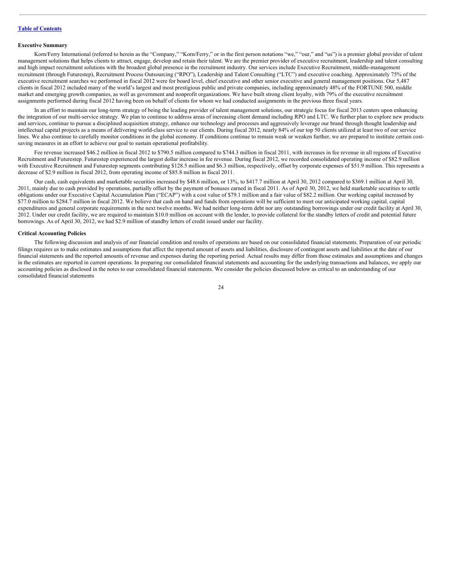#### **Executive Summary**

Korn/Ferry International (referred to herein as the "Company," "Korn/Ferry," or in the first person notations "we," "our," and "us") is a premier global provider of talent management solutions that helps clients to attract, engage, develop and retain their talent. We are the premier provider of executive recruitment, leadership and talent consulting and high impact recruitment solutions with the broadest global presence in the recruitment industry. Our services include Executive Recruitment, middle-management recruitment (through Futurestep), Recruitment Process Outsourcing ("RPO"), Leadership and Talent Consulting ("LTC") and executive coaching. Approximately 75% of the executive recruitment searches we performed in fiscal 2012 were for board level, chief executive and other senior executive and general management positions. Our 5,487 clients in fiscal 2012 included many of the world's largest and most prestigious public and private companies, including approximately 48% of the FORTUNE 500, middle market and emerging growth companies, as well as government and nonprofit organizations. We have built strong client loyalty, with 79% of the executive recruitment assignments performed during fiscal 2012 having been on behalf of clients for whom we had conducted assignments in the previous three fiscal years.

In an effort to maintain our long-term strategy of being the leading provider of talent management solutions, our strategic focus for fiscal 2013 centers upon enhancing the integration of our multi-service strategy. We plan to continue to address areas of increasing client demand including RPO and LTC. We further plan to explore new products and services, continue to pursue a disciplined acquisition strategy, enhance our technology and processes and aggressively leverage our brand through thought leadership and intellectual capital projects as a means of delivering world-class service to our clients. During fiscal 2012, nearly 84% of our top 50 clients utilized at least two of our service lines. We also continue to carefully monitor conditions in the global economy. If conditions continue to remain weak or weaken further, we are prepared to institute certain costsaving measures in an effort to achieve our goal to sustain operational profitability.

Fee revenue increased \$46.2 million in fiscal 2012 to \$790.5 million compared to \$744.3 million in fiscal 2011, with increases in fee revenue in all regions of Executive Recruitment and Futurestep. Futurestep experienced the largest dollar increase in fee revenue. During fiscal 2012, we recorded consolidated operating income of \$82.9 million with Executive Recruitment and Futurestep segments contributing \$128.5 million and \$6.3 million, respectively, offset by corporate expenses of \$51.9 million. This represents a decrease of \$2.9 million in fiscal 2012, from operating income of \$85.8 million in fiscal 2011.

Our cash, cash equivalents and marketable securities increased by \$48.6 million, or 13%, to \$417.7 million at April 30, 2012 compared to \$369.1 million at April 30, 2011, mainly due to cash provided by operations, partially offset by the payment of bonuses earned in fiscal 2011. As of April 30, 2012, we held marketable securities to settle obligations under our Executive Capital Accumulation Plan ("ECAP") with a cost value of \$79.1 million and a fair value of \$82.2 million. Our working capital increased by \$77.0 million to \$284.7 million in fiscal 2012. We believe that cash on hand and funds from operations will be sufficient to meet our anticipated working capital, capital expenditures and general corporate requirements in the next twelve months. We had neither long-term debt nor any outstanding borrowings under our credit facility at April 30, 2012. Under our credit facility, we are required to maintain \$10.0 million on account with the lender, to provide collateral for the standby letters of credit and potential future borrowings. As of April 30, 2012, we had \$2.9 million of standby letters of credit issued under our facility.

#### **Critical Accounting Policies**

The following discussion and analysis of our financial condition and results of operations are based on our consolidated financial statements. Preparation of our periodic filings requires us to make estimates and assumptions that affect the reported amount of assets and liabilities, disclosure of contingent assets and liabilities at the date of our financial statements and the reported amounts of revenue and expenses during the reporting period. Actual results may differ from those estimates and assumptions and changes in the estimates are reported in current operations. In preparing our consolidated financial statements and accounting for the underlying transactions and balances, we apply our accounting policies as disclosed in the notes to our consolidated financial statements. We consider the policies discussed below as critical to an understanding of our consolidated financial statements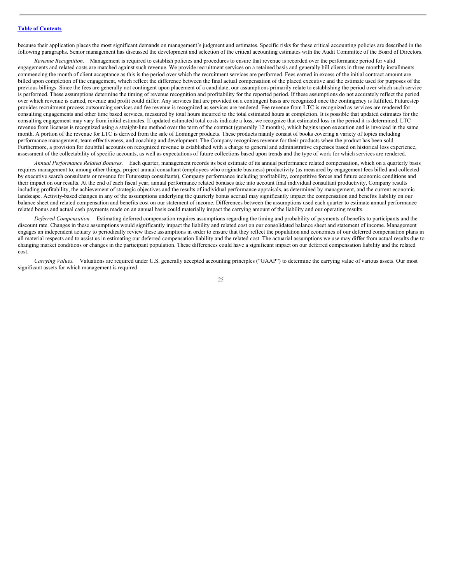because their application places the most significant demands on management's judgment and estimates. Specific risks for these critical accounting policies are described in the following paragraphs. Senior management has discussed the development and selection of the critical accounting estimates with the Audit Committee of the Board of Directors.

*Revenue Recognition.* Management is required to establish policies and procedures to ensure that revenue is recorded over the performance period for valid engagements and related costs are matched against such revenue. We provide recruitment services on a retained basis and generally bill clients in three monthly installments commencing the month of client acceptance as this is the period over which the recruitment services are performed. Fees earned in excess of the initial contract amount are billed upon completion of the engagement, which reflect the difference between the final actual compensation of the placed executive and the estimate used for purposes of the previous billings. Since the fees are generally not contingent upon placement of a candidate, our assumptions primarily relate to establishing the period over which such service is performed. These assumptions determine the timing of revenue recognition and profitability for the reported period. If these assumptions do not accurately reflect the period over which revenue is earned, revenue and profit could differ. Any services that are provided on a contingent basis are recognized once the contingency is fulfilled. Futurestep provides recruitment process outsourcing services and fee revenue is recognized as services are rendered. Fee revenue from LTC is recognized as services are rendered for consulting engagements and other time based services, measured by total hours incurred to the total estimated hours at completion. It is possible that updated estimates for the consulting engagement may vary from initial estimates. If updated estimated total costs indicate a loss, we recognize that estimated loss in the period it is determined. LTC revenue from licenses is recognized using a straight-line method over the term of the contract (generally 12 months), which begins upon execution and is invoiced in the same month. A portion of the revenue for LTC is derived from the sale of Lominger products. These products mainly consist of books covering a variety of topics including performance management, team effectiveness, and coaching and development. The Company recognizes revenue for their products when the product has been sold. Furthermore, a provision for doubtful accounts on recognized revenue is established with a charge to general and administrative expenses based on historical loss experience, assessment of the collectability of specific accounts, as well as expectations of future collections based upon trends and the type of work for which services are rendered.

*Annual Performance Related Bonuses.* Each quarter, management records its best estimate of its annual performance related compensation, which on a quarterly basis requires management to, among other things, project annual consultant (employees who originate business) productivity (as measured by engagement fees billed and collected by executive search consultants or revenue for Futurestep consultants), Company performance including profitability, competitive forces and future economic conditions and their impact on our results. At the end of each fiscal year, annual performance related bonuses take into account final individual consultant productivity, Company results including profitability, the achievement of strategic objectives and the results of individual performance appraisals, as determined by management, and the current economic landscape. Activity-based changes in any of the assumptions underlying the quarterly bonus accrual may significantly impact the compensation and benefits liability on our balance sheet and related compensation and benefits cost on our statement of income. Differences between the assumptions used each quarter to estimate annual performance related bonus and actual cash payments made on an annual basis could materially impact the carrying amount of the liability and our operating results.

*Deferred Compensation.* Estimating deferred compensation requires assumptions regarding the timing and probability of payments of benefits to participants and the discount rate. Changes in these assumptions would significantly impact the liability and related cost on our consolidated balance sheet and statement of income. Management engages an independent actuary to periodically review these assumptions in order to ensure that they reflect the population and economics of our deferred compensation plans in all material respects and to assist us in estimating our deferred compensation liability and the related cost. The actuarial assumptions we use may differ from actual results due to changing market conditions or changes in the participant population. These differences could have a significant impact on our deferred compensation liability and the related cost.

*Carrying Values.* Valuations are required under U.S. generally accepted accounting principles ("GAAP") to determine the carrying value of various assets. Our most significant assets for which management is required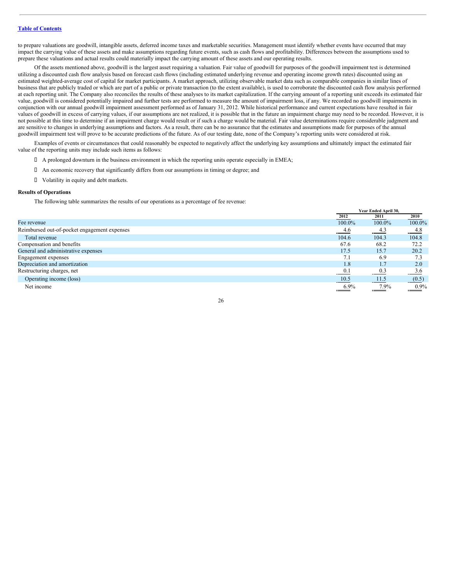to prepare valuations are goodwill, intangible assets, deferred income taxes and marketable securities. Management must identify whether events have occurred that may impact the carrying value of these assets and make assumptions regarding future events, such as cash flows and profitability. Differences between the assumptions used to prepare these valuations and actual results could materially impact the carrying amount of these assets and our operating results.

Of the assets mentioned above, goodwill is the largest asset requiring a valuation. Fair value of goodwill for purposes of the goodwill impairment test is determined utilizing a discounted cash flow analysis based on forecast cash flows (including estimated underlying revenue and operating income growth rates) discounted using an estimated weighted-average cost of capital for market participants. A market approach, utilizing observable market data such as comparable companies in similar lines of business that are publicly traded or which are part of a public or private transaction (to the extent available), is used to corroborate the discounted cash flow analysis performed at each reporting unit. The Company also reconciles the results of these analyses to its market capitalization. If the carrying amount of a reporting unit exceeds its estimated fair value, goodwill is considered potentially impaired and further tests are performed to measure the amount of impairment loss, if any. We recorded no goodwill impairments in conjunction with our annual goodwill impairment assessment performed as of January 31, 2012. While historical performance and current expectations have resulted in fair values of goodwill in excess of carrying values, if our assumptions are not realized, it is possible that in the future an impairment charge may need to be recorded. However, it is not possible at this time to determine if an impairment charge would result or if such a charge would be material. Fair value determinations require considerable judgment and are sensitive to changes in underlying assumptions and factors. As a result, there can be no assurance that the estimates and assumptions made for purposes of the annual goodwill impairment test will prove to be accurate predictions of the future. As of our testing date, none of the Company's reporting units were considered at risk.

Examples of events or circumstances that could reasonably be expected to negatively affect the underlying key assumptions and ultimately impact the estimated fair value of the reporting units may include such items as follows:

- $\Box$  A prolonged downturn in the business environment in which the reporting units operate especially in EMEA;
- An economic recovery that significantly differs from our assumptions in timing or degree; and
- Volatility in equity and debt markets.

# **Results of Operations**

The following table summarizes the results of our operations as a percentage of fee revenue:

|                                              |           | Year Ended April 30, |         |  |
|----------------------------------------------|-----------|----------------------|---------|--|
|                                              | 2012      | 2011                 | 2010    |  |
| Fee revenue                                  | $100.0\%$ | $100.0\%$            | 100.0%  |  |
| Reimbursed out-of-pocket engagement expenses | 4.6       | 4.3                  | $-4.8$  |  |
| Total revenue                                | 104.6     | 104.3                | 104.8   |  |
| Compensation and benefits                    | 67.6      | 68.2                 | 72.2    |  |
| General and administrative expenses          | 17.5      | 15.7                 | 20.2    |  |
| Engagement expenses                          | 7.1       | 6.9                  |         |  |
| Depreciation and amortization                | 1.8       | 1.7                  | 2.0     |  |
| Restructuring charges, net                   | 0.1       | 0.3                  | 3.6     |  |
| Operating income (loss)                      | 10.5      | 11.5                 | (0.5)   |  |
| Net income                                   | 6.9%      | 7.9%                 | $0.9\%$ |  |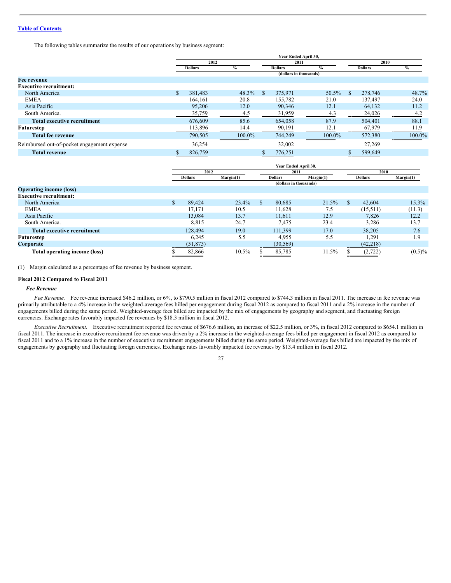The following tables summarize the results of our operations by business segment:

|                                             |                |               |  | Year Ended April 30,   |               |     |                |               |  |
|---------------------------------------------|----------------|---------------|--|------------------------|---------------|-----|----------------|---------------|--|
|                                             | 2012           |               |  | 2011                   |               |     | 2010           |               |  |
|                                             | <b>Dollars</b> | $\frac{6}{9}$ |  | <b>Dollars</b>         | $\frac{0}{0}$ |     | <b>Dollars</b> | $\frac{9}{0}$ |  |
|                                             |                |               |  | (dollars in thousands) |               |     |                |               |  |
| <b>Fee revenue</b>                          |                |               |  |                        |               |     |                |               |  |
| <b>Executive recruitment:</b>               |                |               |  |                        |               |     |                |               |  |
| North America                               | 381.483        | 48.3%         |  | 375,971                | 50.5%         | \$. | 278,746        | 48.7%         |  |
| <b>EMEA</b>                                 | 164.161        | 20.8          |  | 155,782                | 21.0          |     | 137.497        | 24.0          |  |
| Asia Pacific                                | 95,206         | 12.0          |  | 90,346                 | 12.1          |     | 64,132         | 11.2          |  |
| South America.                              | 35,759         | 4.5           |  | 31,959                 | 4.3           |     | 24,026         | 4.2           |  |
| <b>Total executive recruitment</b>          | 676,609        | 85.6          |  | 654,058                | 87.9          |     | 504,401        | 88.1          |  |
| Futurestep                                  | 113,896        | 14.4          |  | 90,191                 | 12.1          |     | 67,979         | 11.9          |  |
| <b>Total fee revenue</b>                    | 790,505        | 100.0%        |  | 744,249                | 100.0%        |     | 572,380        | 100.0%        |  |
| Reimbursed out-of-pocket engagement expense | 36,254         |               |  | 32,002                 |               |     | 27,269         |               |  |
| <b>Total revenue</b>                        | 826,759        |               |  | 776.251                |               |     | 599,649        |               |  |

|                                    |                | Year Ended April 30,   |           |                |           |           |                |           |           |  |
|------------------------------------|----------------|------------------------|-----------|----------------|-----------|-----------|----------------|-----------|-----------|--|
|                                    |                | 2012                   |           |                | 2011      |           |                | 2010      |           |  |
|                                    | <b>Dollars</b> |                        | Margin(1) | <b>Dollars</b> |           | Margin(1) | <b>Dollars</b> |           | Margin(1) |  |
|                                    |                | (dollars in thousands) |           |                |           |           |                |           |           |  |
| <b>Operating income (loss)</b>     |                |                        |           |                |           |           |                |           |           |  |
| <b>Executive recruitment:</b>      |                |                        |           |                |           |           |                |           |           |  |
| North America                      | S.             | 89,424                 | $23.4\%$  | S.             | 80,685    | 21.5%     | \$.            | 42,604    | 15.3%     |  |
| <b>EMEA</b>                        |                | 17.171                 | 10.5      |                | 11.628    | 7.5       |                | (15, 511) | (11.3)    |  |
| Asia Pacific                       |                | 13.084                 | 13.7      |                | 11.611    | 12.9      |                | 7.826     | 12.2      |  |
| South America.                     |                | 8,815                  | 24.7      |                | 7,475     | 23.4      |                | 3,286     | 13.7      |  |
| <b>Total executive recruitment</b> |                | 128,494                | 19.0      |                | 111,399   | 17.0      |                | 38,205    | 7.6       |  |
| <b>Futurestep</b>                  |                | 6,245                  | 5.5       |                | 4,955     | 5.5       |                | 1,291     | 1.9       |  |
| Corporate                          |                | (51, 873)              |           |                | (30, 569) |           |                | (42,218)  |           |  |
| Total operating income (loss)      |                | 82,866                 | 10.5%     |                | 85,785    | 11.5%     |                | (2,722)   | $(0.5)\%$ |  |

(1) Margin calculated as a percentage of fee revenue by business segment.

# **Fiscal 2012 Compared to Fiscal 2011**

*Fee Revenue*

*Fee Revenue.* Fee revenue increased \$46.2 million, or 6%, to \$790.5 million in fiscal 2012 compared to \$744.3 million in fiscal 2011. The increase in fee revenue was primarily attributable to a 4% increase in the weighted-average fees billed per engagement during fiscal 2012 as compared to fiscal 2011 and a 2% increase in the number of engagements billed during the same period. Weighted-average fees billed are impacted by the mix of engagements by geography and segment, and fluctuating foreign currencies. Exchange rates favorably impacted fee revenues by \$18.3 million in fiscal 2012.

*Executive Recruitment.* Executive recruitment reported fee revenue of \$676.6 million, an increase of \$22.5 million, or 3%, in fiscal 2012 compared to \$654.1 million in fiscal 2011. The increase in executive recruitment fee revenue was driven by a 2% increase in the weighted-average fees billed per engagement in fiscal 2012 as compared to fiscal 2011 and to a 1% increase in the number of executive recruitment engagements billed during the same period. Weighted-average fees billed are impacted by the mix of engagements by geography and fluctuating foreign currencies. Exchange rates favorably impacted fee revenues by \$13.4 million in fiscal 2012.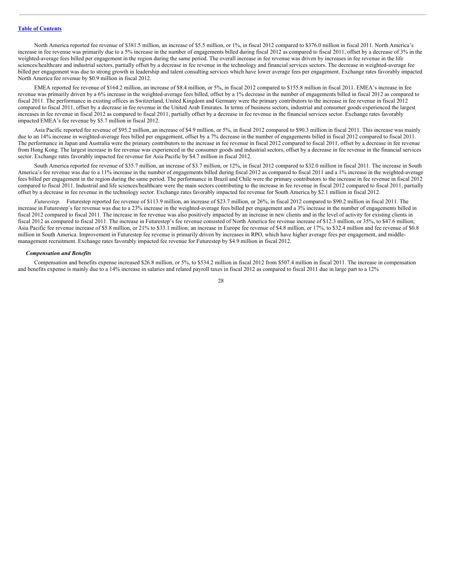North America reported fee revenue of \$381.5 million, an increase of \$5.5 million, or 1%, in fiscal 2012 compared to \$376.0 million in fiscal 2011. North America's increase in fee revenue was primarily due to a 5% increase in the number of engagements billed during fiscal 2012 as compared to fiscal 2011, offset by a decrease of 3% in the weighted-average fees billed per engagement in the region during the same period. The overall increase in fee revenue was driven by increases in fee revenue in the life sciences/healthcare and industrial sectors, partially offset by a decrease in fee revenue in the technology and financial services sectors. The decrease in weighted-average fee billed per engagement was due to strong growth in leadership and talent consulting services which have lower average fees per engagement. Exchange rates favorably impacted North America fee revenue by \$0.9 million in fiscal 2012.

EMEA reported fee revenue of \$164.2 million, an increase of \$8.4 million, or 5%, in fiscal 2012 compared to \$155.8 million in fiscal 2011. EMEA's increase in fee revenue was primarily driven by a 6% increase in the weighted-average fees billed, offset by a 1% decrease in the number of engagements billed in fiscal 2012 as compared to fiscal 2011. The performance in existing offices in Switzerland, United Kingdom and Germany were the primary contributors to the increase in fee revenue in fiscal 2012 compared to fiscal 2011, offset by a decrease in fee revenue in the United Arab Emirates. In terms of business sectors, industrial and consumer goods experienced the largest increases in fee revenue in fiscal 2012 as compared to fiscal 2011, partially offset by a decrease in fee revenue in the financial services sector. Exchange rates favorably impacted EMEA's fee revenue by \$5.7 million in fiscal 2012.

Asia Pacific reported fee revenue of \$95.2 million, an increase of \$4.9 million, or 5%, in fiscal 2012 compared to \$90.3 million in fiscal 2011. This increase was mainly due to an 14% increase in weighted-average fees billed per engagement, offset by a 7% decrease in the number of engagements billed in fiscal 2012 compared to fiscal 2011. The performance in Japan and Australia were the primary contributors to the increase in fee revenue in fiscal 2012 compared to fiscal 2011, offset by a decrease in fee revenue from Hong Kong. The largest increase in fee revenue was experienced in the consumer goods and industrial sectors, offset by a decrease in fee revenue in the financial services sector. Exchange rates favorably impacted fee revenue for Asia Pacific by \$4.7 million in fiscal 2012.

South America reported fee revenue of \$35.7 million, an increase of \$3.7 million, or 12%, in fiscal 2012 compared to \$32.0 million in fiscal 2011. The increase in South America's fee revenue was due to a 11% increase in the number of engagements billed during fiscal 2012 as compared to fiscal 2011 and a 1% increase in the weighted-average fees billed per engagement in the region during the same period. The performance in Brazil and Chile were the primary contributors to the increase in fee revenue in fiscal 2012 compared to fiscal 2011. Industrial and life sciences/healthcare were the main sectors contributing to the increase in fee revenue in fiscal 2012 compared to fiscal 2011, partially offset by a decrease in fee revenue in the technology sector. Exchange rates favorably impacted fee revenue for South America by \$2.1 million in fiscal 2012.

*Futurestep.* Futurestep reported fee revenue of \$113.9 million, an increase of \$23.7 million, or 26%, in fiscal 2012 compared to \$90.2 million in fiscal 2011. The increase in Futurestep's fee revenue was due to a 23% increase in the weighted-average fees billed per engagement and a 3% increase in the number of engagements billed in fiscal 2012 compared to fiscal 2011. The increase in fee revenue was also positively impacted by an increase in new clients and in the level of activity for existing clients in fiscal 2012 as compared to fiscal 2011. The increase in Futurestep's fee revenue consisted of North America fee revenue increase of \$12.3 million, or 35%, to \$47.6 million; Asia Pacific fee revenue increase of \$5.8 million, or 21% to \$33.1 million; an increase in Europe fee revenue of \$4.8 million, or 17%, to \$32.4 million and fee revenue of \$0.8 million in South America. Improvement in Futurestep fee revenue is primarily driven by increases in RPO, which have higher average fees per engagement, and middlemanagement recruitment. Exchange rates favorably impacted fee revenue for Futurestep by \$4.9 million in fiscal 2012.

#### *Compensation and Benefits*

Compensation and benefits expense increased \$26.8 million, or 5%, to \$534.2 million in fiscal 2012 from \$507.4 million in fiscal 2011. The increase in compensation and benefits expense is mainly due to a 14% increase in salaries and related payroll taxes in fiscal 2012 as compared to fiscal 2011 due in large part to a 12%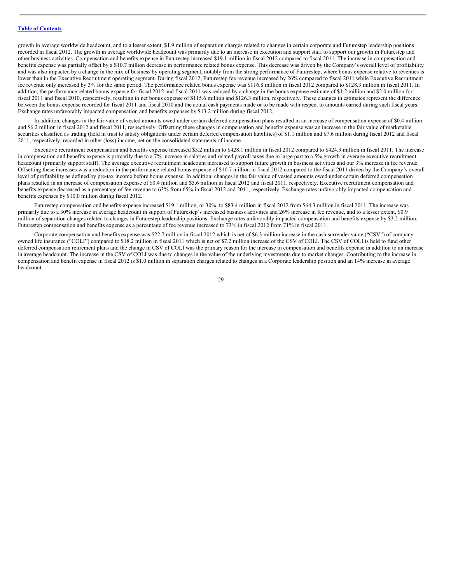growth in average worldwide headcount, and to a lesser extent, \$1.9 million of separation charges related to changes in certain corporate and Futurestep leadership positions recorded in fiscal 2012. The growth in average worldwide headcount was primarily due to an increase in execution and support staff to support our growth in Futurestep and other business activities. Compensation and benefits expense in Futurestep increased \$19.1 million in fiscal 2012 compared to fiscal 2011. The increase in compensation and benefits expense was partially offset by a \$10.7 million decrease in performance related bonus expense. This decrease was driven by the Company's overall level of profitability and was also impacted by a change in the mix of business by operating segment, notably from the strong performance of Futurestep, where bonus expense relative to revenues is lower than in the Executive Recruitment operating segment. During fiscal 2012, Futurestep fee revenue increased by 26% compared to fiscal 2011 while Executive Recruitment fee revenue only increased by 3% for the same period. The performance related bonus expense was \$116.8 million in fiscal 2012 compared to \$128.3 million in fiscal 2011. In addition, the performance related bonus expense for fiscal 2012 and fiscal 2011 was reduced by a change in the bonus expense estimate of \$1.2 million and \$2.0 million for fiscal 2011 and fiscal 2010, respectively, resulting in net bonus expense of \$115.6 million and \$126.3 million, respectively. These changes in estimates represent the difference between the bonus expense recorded for fiscal 2011 and fiscal 2010 and the actual cash payments made or to be made with respect to amounts earned during such fiscal years. Exchange rates unfavorably impacted compensation and benefits expenses by \$13.2 million during fiscal 2012.

In addition, changes in the fair value of vested amounts owed under certain deferred compensation plans resulted in an increase of compensation expense of \$0.4 million and \$6.2 million in fiscal 2012 and fiscal 2011, respectively. Offsetting these changes in compensation and benefits expense was an increase in the fair value of marketable securities classified as trading (held in trust to satisfy obligations under certain deferred compensation liabilities) of \$1.1 million and \$7.6 million during fiscal 2012 and fiscal 2011, respectively, recorded in other (loss) income, net on the consolidated statements of income.

Executive recruitment compensation and benefits expense increased \$3.2 million to \$428.1 million in fiscal 2012 compared to \$424.9 million in fiscal 2011. The increase in compensation and benefits expense is primarily due to a 7% increase in salaries and related payroll taxes due in large part to a 5% growth in average executive recruitment headcount (primarily support staff). The average executive recruitment headcount increased to support future growth in business activities and our 3% increase in fee revenue. Offsetting these increases was a reduction in the performance related bonus expense of \$10.7 million in fiscal 2012 compared to the fiscal 2011 driven by the Company's overall level of profitability as defined by pre-tax income before bonus expense. In addition, changes in the fair value of vested amounts owed under certain deferred compensation plans resulted in an increase of compensation expense of \$0.4 million and \$5.6 million in fiscal 2012 and fiscal 2011, respectively. Executive recruitment compensation and benefits expense decreased as a percentage of fee revenue to 63% from 65% in fiscal 2012 and 2011, respectively. Exchange rates unfavorably impacted compensation and benefits expenses by \$10.0 million during fiscal 2012.

Futurestep compensation and benefits expense increased \$19.1 million, or 30%, to \$83.4 million in fiscal 2012 from \$64.3 million in fiscal 2011. The increase was primarily due to a 30% increase in average headcount in support of Futurestep's increased business activities and 26% increase in fee revenue, and to a lesser extent, \$0.9 million of separation changes related to changes in Futurestep leadership positions. Exchange rates unfavorably impacted compensation and benefits expense by \$3.2 million. Futurestep compensation and benefits expense as a percentage of fee revenue increased to 73% in fiscal 2012 from 71% in fiscal 2011.

Corporate compensation and benefits expense was \$22.7 million in fiscal 2012 which is net of \$6.3 million increase in the cash surrender value ("CSV") of company owned life insurance ("COLI") compared to \$18.2 million in fiscal 2011 which is net of \$7.2 million increase of the CSV of COLI. The CSV of COLI is held to fund other deferred compensation retirement plans and the change in CSV of COLI was the primary reason for the increase in compensation and benefits expense in addition to an increase in average headcount. The increase in the CSV of COLI was due to changes in the value of the underlying investments due to market changes. Contributing to the increase in compensation and benefit expense in fiscal 2012 is \$1.0 million in separation charges related to changes in a Corporate leadership position and an 14% increase in average headcount.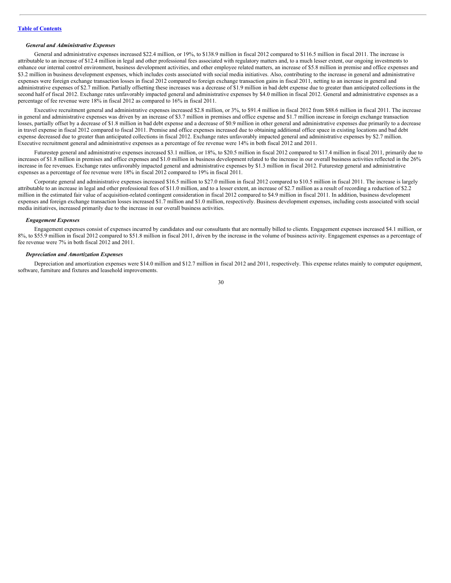# *General and Administrative Expenses*

General and administrative expenses increased \$22.4 million, or 19%, to \$138.9 million in fiscal 2012 compared to \$116.5 million in fiscal 2011. The increase is attributable to an increase of \$12.4 million in legal and other professional fees associated with regulatory matters and, to a much lesser extent, our ongoing investments to enhance our internal control environment, business development activities, and other employee related matters, an increase of \$5.8 million in premise and office expenses and \$3.2 million in business development expenses, which includes costs associated with social media initiatives. Also, contributing to the increase in general and administrative expenses were foreign exchange transaction losses in fiscal 2012 compared to foreign exchange transaction gains in fiscal 2011, netting to an increase in general and administrative expenses of \$2.7 million. Partially offsetting these increases was a decrease of \$1.9 million in bad debt expense due to greater than anticipated collections in the second half of fiscal 2012. Exchange rates unfavorably impacted general and administrative expenses by \$4.0 million in fiscal 2012. General and administrative expenses as a percentage of fee revenue were 18% in fiscal 2012 as compared to 16% in fiscal 2011.

Executive recruitment general and administrative expenses increased \$2.8 million, or 3%, to \$91.4 million in fiscal 2012 from \$88.6 million in fiscal 2011. The increase in general and administrative expenses was driven by an increase of \$3.7 million in premises and office expense and \$1.7 million increase in foreign exchange transaction losses, partially offset by a decrease of \$1.8 million in bad debt expense and a decrease of \$0.9 million in other general and administrative expenses due primarily to a decrease in travel expense in fiscal 2012 compared to fiscal 2011. Premise and office expenses increased due to obtaining additional office space in existing locations and bad debt expense decreased due to greater than anticipated collections in fiscal 2012. Exchange rates unfavorably impacted general and administrative expenses by \$2.7 million. Executive recruitment general and administrative expenses as a percentage of fee revenue were 14% in both fiscal 2012 and 2011.

Futurestep general and administrative expenses increased \$3.1 million, or 18%, to \$20.5 million in fiscal 2012 compared to \$17.4 million in fiscal 2011, primarily due to increases of \$1.8 million in premises and office expenses and \$1.0 million in business development related to the increase in our overall business activities reflected in the 26% increase in fee revenues. Exchange rates unfavorably impacted general and administrative expenses by \$1.3 million in fiscal 2012. Futurestep general and administrative expenses as a percentage of fee revenue were 18% in fiscal 2012 compared to 19% in fiscal 2011.

Corporate general and administrative expenses increased \$16.5 million to \$27.0 million in fiscal 2012 compared to \$10.5 million in fiscal 2011. The increase is largely attributable to an increase in legal and other professional fees of \$11.0 million, and to a lesser extent, an increase of \$2.7 million as a result of recording a reduction of \$2.2 million in the estimated fair value of acquisition-related contingent consideration in fiscal 2012 compared to \$4.9 million in fiscal 2011. In addition, business development expenses and foreign exchange transaction losses increased \$1.7 million and \$1.0 million, respectively. Business development expenses, including costs associated with social media initiatives, increased primarily due to the increase in our overall business activities.

#### *Engagement Expenses*

Engagement expenses consist of expenses incurred by candidates and our consultants that are normally billed to clients. Engagement expenses increased \$4.1 million, or 8%, to \$55.9 million in fiscal 2012 compared to \$51.8 million in fiscal 2011, driven by the increase in the volume of business activity. Engagement expenses as a percentage of fee revenue were 7% in both fiscal 2012 and 2011.

# *Depreciation and Amortization Expenses*

Depreciation and amortization expenses were \$14.0 million and \$12.7 million in fiscal 2012 and 2011, respectively. This expense relates mainly to computer equipment, software, furniture and fixtures and leasehold improvements.

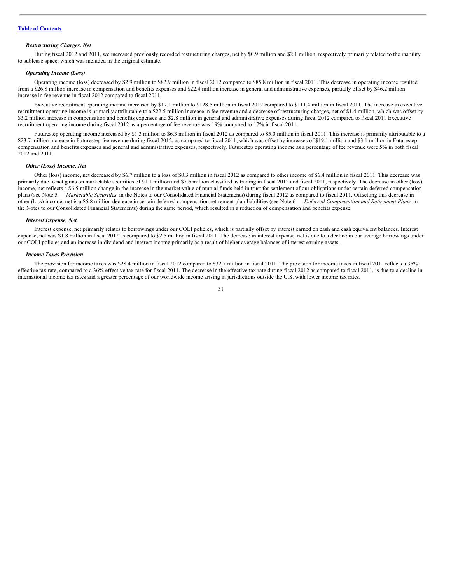# *Restructuring Charges, Net*

During fiscal 2012 and 2011, we increased previously recorded restructuring charges, net by \$0.9 million and \$2.1 million, respectively primarily related to the inability to sublease space, which was included in the original estimate.

#### *Operating Income (Loss)*

Operating income (loss) decreased by \$2.9 million to \$82.9 million in fiscal 2012 compared to \$85.8 million in fiscal 2011. This decrease in operating income resulted from a \$26.8 million increase in compensation and benefits expenses and \$22.4 million increase in general and administrative expenses, partially offset by \$46.2 million increase in fee revenue in fiscal 2012 compared to fiscal 2011.

Executive recruitment operating income increased by \$17.1 million to \$128.5 million in fiscal 2012 compared to \$111.4 million in fiscal 2011. The increase in executive recruitment operating income is primarily attributable to a \$22.5 million increase in fee revenue and a decrease of restructuring charges, net of \$1.4 million, which was offset by \$3.2 million increase in compensation and benefits expenses and \$2.8 million in general and administrative expenses during fiscal 2012 compared to fiscal 2011 Executive recruitment operating income during fiscal 2012 as a percentage of fee revenue was 19% compared to 17% in fiscal 2011.

Futurestep operating income increased by \$1.3 million to \$6.3 million in fiscal 2012 as compared to \$5.0 million in fiscal 2011. This increase is primarily attributable to a \$23.7 million increase in Futurestep fee revenue during fiscal 2012, as compared to fiscal 2011, which was offset by increases of \$19.1 million and \$3.1 million in Futurestep compensation and benefits expenses and general and administrative expenses, respectively. Futurestep operating income as a percentage of fee revenue were 5% in both fiscal 2012 and 2011.

#### *Other (Loss) Income, Net*

Other (loss) income, net decreased by \$6.7 million to a loss of \$0.3 million in fiscal 2012 as compared to other income of \$6.4 million in fiscal 2011. This decrease was primarily due to net gains on marketable securities of \$1.1 million and \$7.6 million classified as trading in fiscal 2012 and fiscal 2011, respectively. The decrease in other (loss) income, net reflects a \$6.5 million change in the increase in the market value of mutual funds held in trust for settlement of our obligations under certain deferred compensation plans (see Note 5 — *Marketable Securities,* in the Notes to our Consolidated Financial Statements) during fiscal 2012 as compared to fiscal 2011. Offsetting this decrease in other (loss) income, net is a \$5.8 million decrease in certain deferred compensation retirement plan liabilities (see Note 6 — *Deferred Compensation and Retirement Plans,* in the Notes to our Consolidated Financial Statements) during the same period, which resulted in a reduction of compensation and benefits expense.

#### *Interest Expense, Net*

Interest expense, net primarily relates to borrowings under our COLI policies, which is partially offset by interest earned on cash and cash equivalent balances. Interest expense, net was \$1.8 million in fiscal 2012 as compared to \$2.5 million in fiscal 2011. The decrease in interest expense, net is due to a decline in our average borrowings under our COLI policies and an increase in dividend and interest income primarily as a result of higher average balances of interest earning assets.

#### *Income Taxes Provision*

The provision for income taxes was \$28.4 million in fiscal 2012 compared to \$32.7 million in fiscal 2011. The provision for income taxes in fiscal 2012 reflects a 35% effective tax rate, compared to a 36% effective tax rate for fiscal 2011. The decrease in the effective tax rate during fiscal 2012 as compared to fiscal 2011, is due to a decline in international income tax rates and a greater percentage of our worldwide income arising in jurisdictions outside the U.S. with lower income tax rates.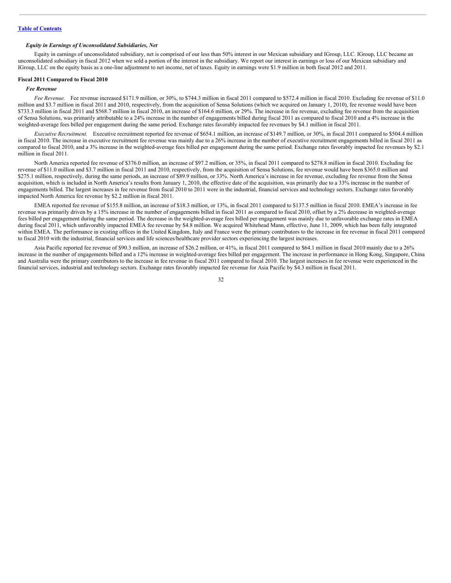# *Equity in Earnings of Unconsolidated Subsidiaries, Net*

Equity in earnings of unconsolidated subsidiary, net is comprised of our less than 50% interest in our Mexican subsidiary and IGroup, LLC. IGroup, LLC became an unconsolidated subsidiary in fiscal 2012 when we sold a portion of the interest in the subsidiary. We report our interest in earnings or loss of our Mexican subsidiary and IGroup, LLC on the equity basis as a one-line adjustment to net income, net of taxes. Equity in earnings were \$1.9 million in both fiscal 2012 and 2011.

# **Fiscal 2011 Compared to Fiscal 2010**

#### *Fee Revenue*

Fee Revenue. Fee revenue increased \$171.9 million, or 30%, to \$744.3 million in fiscal 2011 compared to \$572.4 million in fiscal 2010. Excluding fee revenue of \$11.0 million and \$3.7 million in fiscal 2011 and 2010, respectively, from the acquisition of Sensa Solutions (which we acquired on January 1, 2010), fee revenue would have been \$733.3 million in fiscal 2011 and \$568.7 million in fiscal 2010, an increase of \$164.6 million, or 29%. The increase in fee revenue, excluding fee revenue from the acquisition of Sensa Solutions, was primarily attributable to a 24% increase in the number of engagements billed during fiscal 2011 as compared to fiscal 2010 and a 4% increase in the weighted-average fees billed per engagement during the same period. Exchange rates favorably impacted fee revenues by \$4.1 million in fiscal 2011.

*Executive Recruitment.* Executive recruitment reported fee revenue of \$654.1 million, an increase of \$149.7 million, or 30%, in fiscal 2011 compared to \$504.4 million in fiscal 2010. The increase in executive recruitment fee revenue was mainly due to a 26% increase in the number of executive recruitment engagements billed in fiscal 2011 as compared to fiscal 2010, and a 3% increase in the weighted-average fees billed per engagement during the same period. Exchange rates favorably impacted fee revenues by \$2.1 million in fiscal 2011.

North America reported fee revenue of \$376.0 million, an increase of \$97.2 million, or 35%, in fiscal 2011 compared to \$278.8 million in fiscal 2010. Excluding fee revenue of \$11.0 million and \$3.7 million in fiscal 2011 and 2010, respectively, from the acquisition of Sensa Solutions, fee revenue would have been \$365.0 million and \$275.1 million, respectively, during the same periods, an increase of \$89.9 million, or 33%. North America's increase in fee revenue, excluding fee revenue from the Sensa acquisition, which is included in North America's results from January 1, 2010, the effective date of the acquisition, was primarily due to a 33% increase in the number of engagements billed. The largest increases in fee revenue from fiscal 2010 to 2011 were in the industrial, financial services and technology sectors. Exchange rates favorably impacted North America fee revenue by \$2.2 million in fiscal 2011.

EMEA reported fee revenue of \$155.8 million, an increase of \$18.3 million, or 13%, in fiscal 2011 compared to \$137.5 million in fiscal 2010. EMEA's increase in fee revenue was primarily driven by a 15% increase in the number of engagements billed in fiscal 2011 as compared to fiscal 2010, offset by a 2% decrease in weighted-average fees billed per engagement during the same period. The decrease in the weighted-average fees billed per engagement was mainly due to unfavorable exchange rates in EMEA during fiscal 2011, which unfavorably impacted EMEA fee revenue by \$4.8 million. We acquired Whitehead Mann, effective, June 11, 2009, which has been fully integrated within EMEA. The performance in existing offices in the United Kingdom, Italy and France were the primary contributors to the increase in fee revenue in fiscal 2011 compared to fiscal 2010 with the industrial, financial services and life sciences/healthcare provider sectors experiencing the largest increases.

Asia Pacific reported fee revenue of \$90.3 million, an increase of \$26.2 million, or 41%, in fiscal 2011 compared to \$64.1 million in fiscal 2010 mainly due to a 26% increase in the number of engagements billed and a 12% increase in weighted-average fees billed per engagement. The increase in performance in Hong Kong, Singapore, China and Australia were the primary contributors to the increase in fee revenue in fiscal 2011 compared to fiscal 2010. The largest increases in fee revenue were experienced in the financial services, industrial and technology sectors. Exchange rates favorably impacted fee revenue for Asia Pacific by \$4.3 million in fiscal 2011.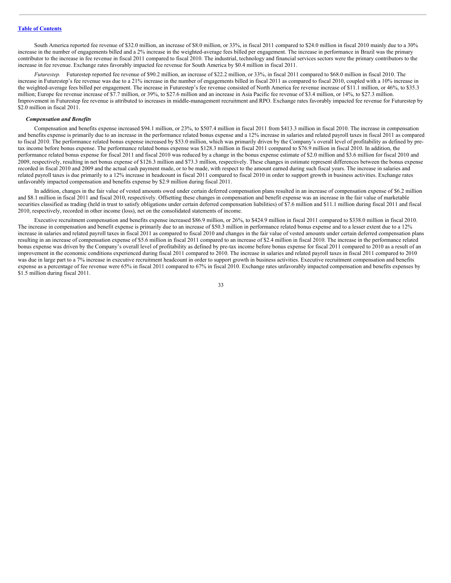South America reported fee revenue of \$32.0 million, an increase of \$8.0 million, or 33%, in fiscal 2011 compared to \$24.0 million in fiscal 2010 mainly due to a 30% increase in the number of engagements billed and a 2% increase in the weighted-average fees billed per engagement. The increase in performance in Brazil was the primary contributor to the increase in fee revenue in fiscal 2011 compared to fiscal 2010. The industrial, technology and financial services sectors were the primary contributors to the increase in fee revenue. Exchange rates favorably impacted fee revenue for South America by \$0.4 million in fiscal 2011.

*Futurestep.* Futurestep reported fee revenue of \$90.2 million, an increase of \$22.2 million, or 33%, in fiscal 2011 compared to \$68.0 million in fiscal 2010. The increase in Futurestep's fee revenue was due to a 21% increase in the number of engagements billed in fiscal 2011 as compared to fiscal 2010, coupled with a 10% increase in the weighted-average fees billed per engagement. The increase in Futurestep's fee revenue consisted of North America fee revenue increase of \$11.1 million, or 46%, to \$35.3 million; Europe fee revenue increase of \$7.7 million, or 39%, to \$27.6 million and an increase in Asia Pacific fee revenue of \$3.4 million, or 14%, to \$27.3 million. Improvement in Futurestep fee revenue is attributed to increases in middle-management recruitment and RPO. Exchange rates favorably impacted fee revenue for Futurestep by \$2.0 million in fiscal 2011.

#### *Compensation and Benefits*

Compensation and benefits expense increased \$94.1 million, or 23%, to \$507.4 million in fiscal 2011 from \$413.3 million in fiscal 2010. The increase in compensation and benefits expense is primarily due to an increase in the performance related bonus expense and a 12% increase in salaries and related payroll taxes in fiscal 2011 as compared to fiscal 2010. The performance related bonus expense increased by \$53.0 million, which was primarily driven by the Company's overall level of profitability as defined by pretax income before bonus expense. The performance related bonus expense was \$128.3 million in fiscal 2011 compared to \$76.9 million in fiscal 2010. In addition, the performance related bonus expense for fiscal 2011 and fiscal 2010 was reduced by a change in the bonus expense estimate of \$2.0 million and \$3.6 million for fiscal 2010 and 2009, respectively, resulting in net bonus expense of \$126.3 million and \$73.3 million, respectively. These changes in estimate represent differences between the bonus expense recorded in fiscal 2010 and 2009 and the actual cash payment made, or to be made, with respect to the amount earned during such fiscal years. The increase in salaries and related payroll taxes is due primarily to a 12% increase in headcount in fiscal 2011 compared to fiscal 2010 in order to support growth in business activities. Exchange rates unfavorably impacted compensation and benefits expense by \$2.9 million during fiscal 2011.

In addition, changes in the fair value of vested amounts owed under certain deferred compensation plans resulted in an increase of compensation expense of \$6.2 million and \$8.1 million in fiscal 2011 and fiscal 2010, respectively. Offsetting these changes in compensation and benefit expense was an increase in the fair value of marketable securities classified as trading (held in trust to satisfy obligations under certain deferred compensation liabilities) of \$7.6 million and \$11.1 million during fiscal 2011 and fiscal 2010, respectively, recorded in other income (loss), net on the consolidated statements of income.

Executive recruitment compensation and benefits expense increased \$86.9 million, or 26%, to \$424.9 million in fiscal 2011 compared to \$338.0 million in fiscal 2010. The increase in compensation and benefit expense is primarily due to an increase of \$50.3 million in performance related bonus expense and to a lesser extent due to a 12% increase in salaries and related payroll taxes in fiscal 2011 as compared to fiscal 2010 and changes in the fair value of vested amounts under certain deferred compensation plans resulting in an increase of compensation expense of \$5.6 million in fiscal 2011 compared to an increase of \$2.4 million in fiscal 2010. The increase in the performance related bonus expense was driven by the Company's overall level of profitability as defined by pre-tax income before bonus expense for fiscal 2011 compared to 2010 as a result of an improvement in the economic conditions experienced during fiscal 2011 compared to 2010. The increase in salaries and related payroll taxes in fiscal 2011 compared to 2010 was due in large part to a 7% increase in executive recruitment headcount in order to support growth in business activities. Executive recruitment compensation and benefits expense as a percentage of fee revenue were 65% in fiscal 2011 compared to 67% in fiscal 2010. Exchange rates unfavorably impacted compensation and benefits expenses by \$1.5 million during fiscal 2011.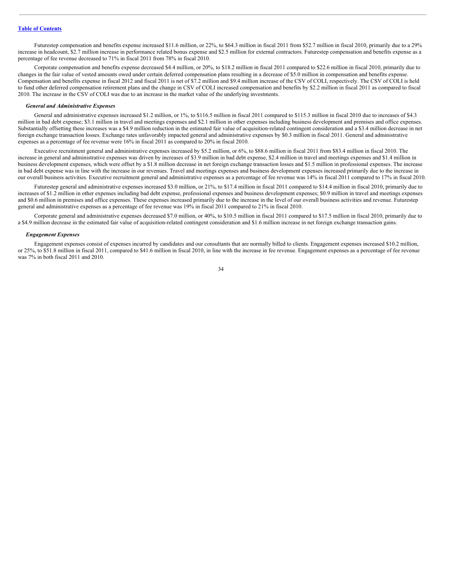Futurestep compensation and benefits expense increased \$11.6 million, or 22%, to \$64.3 million in fiscal 2011 from \$52.7 million in fiscal 2010, primarily due to a 29% increase in headcount, \$2.7 million increase in performance related bonus expense and \$2.5 million for external contractors. Futurestep compensation and benefits expense as a percentage of fee revenue decreased to 71% in fiscal 2011 from 78% in fiscal 2010.

Corporate compensation and benefits expense decreased \$4.4 million, or 20%, to \$18.2 million in fiscal 2011 compared to \$22.6 million in fiscal 2010, primarily due to changes in the fair value of vested amounts owed under certain deferred compensation plans resulting in a decrease of \$5.0 million in compensation and benefits expense. Compensation and benefits expense in fiscal 2012 and fiscal 2011 is net of \$7.2 million and \$9.4 million increase of the CSV of COLI, respectively. The CSV of COLI is held to fund other deferred compensation retirement plans and the change in CSV of COLI increased compensation and benefits by \$2.2 million in fiscal 2011 as compared to fiscal 2010. The increase in the CSV of COLI was due to an increase in the market value of the underlying investments.

#### *General and Administrative Expenses*

General and administrative expenses increased \$1.2 million, or 1%, to \$116.5 million in fiscal 2011 compared to \$115.3 million in fiscal 2010 due to increases of \$4.3 million in bad debt expense; \$3.1 million in travel and meetings expenses and \$2.1 million in other expenses including business development and premises and office expenses. Substantially offsetting these increases was a \$4.9 million reduction in the estimated fair value of acquisition-related contingent consideration and a \$3.4 million decrease in net foreign exchange transaction losses. Exchange rates unfavorably impacted general and administrative expenses by \$0.3 million in fiscal 2011. General and administrative expenses as a percentage of fee revenue were 16% in fiscal 2011 as compared to 20% in fiscal 2010.

Executive recruitment general and administrative expenses increased by \$5.2 million, or 6%, to \$88.6 million in fiscal 2011 from \$83.4 million in fiscal 2010. The increase in general and administrative expenses was driven by increases of \$3.9 million in bad debt expense, \$2.4 million in travel and meetings expenses and \$1.4 million in business development expenses, which were offset by a \$1.8 million decrease in net foreign exchange transaction losses and \$1.5 million in professional expenses. The increase in bad debt expense was in line with the increase in our revenues. Travel and meetings expenses and business development expenses increased primarily due to the increase in our overall business activities. Executive recruitment general and administrative expenses as a percentage of fee revenue was 14% in fiscal 2011 compared to 17% in fiscal 2010.

Futurestep general and administrative expenses increased \$3.0 million, or 21%, to \$17.4 million in fiscal 2011 compared to \$14.4 million in fiscal 2010, primarily due to increases of \$1.2 million in other expenses including bad debt expense, professional expenses and business development expenses; \$0.9 million in travel and meetings expenses and \$0.6 million in premises and office expenses. These expenses increased primarily due to the increase in the level of our overall business activities and revenue. Futurestep general and administrative expenses as a percentage of fee revenue was 19% in fiscal 2011 compared to 21% in fiscal 2010.

Corporate general and administrative expenses decreased \$7.0 million, or 40%, to \$10.5 million in fiscal 2011 compared to \$17.5 million in fiscal 2010, primarily due to a \$4.9 million decrease in the estimated fair value of acquisition-related contingent consideration and \$1.6 million increase in net foreign exchange transaction gains.

#### *Engagement Expenses*

Engagement expenses consist of expenses incurred by candidates and our consultants that are normally billed to clients. Engagement expenses increased \$10.2 million, or 25%, to \$51.8 million in fiscal 2011, compared to \$41.6 million in fiscal 2010, in line with the increase in fee revenue. Engagement expenses as a percentage of fee revenue was 7% in both fiscal 2011 and 2010.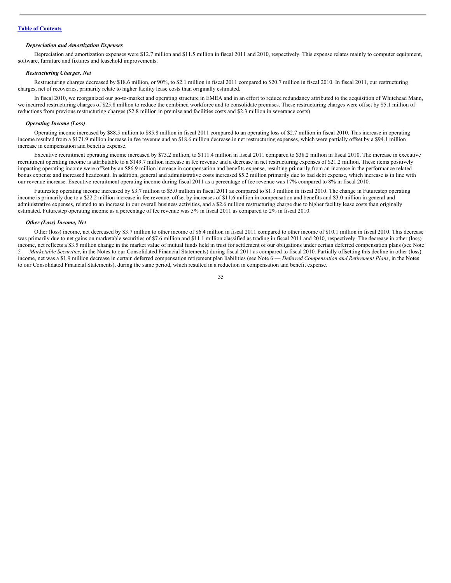# **Table of [Contents](#page-1-0)**

### *Depreciation and Amortization Expenses*

Depreciation and amortization expenses were \$12.7 million and \$11.5 million in fiscal 2011 and 2010, respectively. This expense relates mainly to computer equipment, software, furniture and fixtures and leasehold improvements.

#### *Restructuring Charges, Net*

Restructuring charges decreased by \$18.6 million, or 90%, to \$2.1 million in fiscal 2011 compared to \$20.7 million in fiscal 2010. In fiscal 2011, our restructuring charges, net of recoveries, primarily relate to higher facility lease costs than originally estimated.

In fiscal 2010, we reorganized our go-to-market and operating structure in EMEA and in an effort to reduce redundancy attributed to the acquisition of Whitehead Mann, we incurred restructuring charges of \$25.8 million to reduce the combined workforce and to consolidate premises. These restructuring charges were offset by \$5.1 million of reductions from previous restructuring charges (\$2.8 million in premise and facilities costs and \$2.3 million in severance costs).

#### *Operating Income (Loss)*

Operating income increased by \$88.5 million to \$85.8 million in fiscal 2011 compared to an operating loss of \$2.7 million in fiscal 2010. This increase in operating income resulted from a \$171.9 million increase in fee revenue and an \$18.6 million decrease in net restructuring expenses, which were partially offset by a \$94.1 million increase in compensation and benefits expense.

Executive recruitment operating income increased by \$73.2 million, to \$111.4 million in fiscal 2011 compared to \$38.2 million in fiscal 2010. The increase in executive recruitment operating income is attributable to a \$149.7 million increase in fee revenue and a decrease in net restructuring expenses of \$21.2 million. These items positively impacting operating income were offset by an \$86.9 million increase in compensation and benefits expense, resulting primarily from an increase in the performance related bonus expense and increased headcount. In addition, general and administrative costs increased \$5.2 million primarily due to bad debt expense, which increase is in line with our revenue increase. Executive recruitment operating income during fiscal 2011 as a percentage of fee revenue was 17% compared to 8% in fiscal 2010.

Futurestep operating income increased by \$3.7 million to \$5.0 million in fiscal 2011 as compared to \$1.3 million in fiscal 2010. The change in Futurestep operating income is primarily due to a \$22.2 million increase in fee revenue, offset by increases of \$11.6 million in compensation and benefits and \$3.0 million in general and administrative expenses, related to an increase in our overall business activities, and a \$2.6 million restructuring charge due to higher facility lease costs than originally estimated. Futurestep operating income as a percentage of fee revenue was 5% in fiscal 2011 as compared to 2% in fiscal 2010.

#### *Other (Loss) Income, Net*

Other (loss) income, net decreased by \$3.7 million to other income of \$6.4 million in fiscal 2011 compared to other income of \$10.1 million in fiscal 2010. This decrease was primarily due to net gains on marketable securities of \$7.6 million and \$11.1 million classified as trading in fiscal 2011 and 2010, respectively. The decrease in other (loss) income, net reflects a \$3.5 million change in the market value of mutual funds held in trust for settlement of our obligations under certain deferred compensation plans (see Note 5 — Marketable Securities, in the Notes to our Consolidated Financial Statements) during fiscal 2011 as compared to fiscal 2010. Partially offsetting this decline in other (loss) income, net was a \$1.9 million decrease in certain deferred compensation retirement plan liabilities (see Note 6 — *Deferred Compensation and Retirement Plans*, in the Notes to our Consolidated Financial Statements), during the same period, which resulted in a reduction in compensation and benefit expense.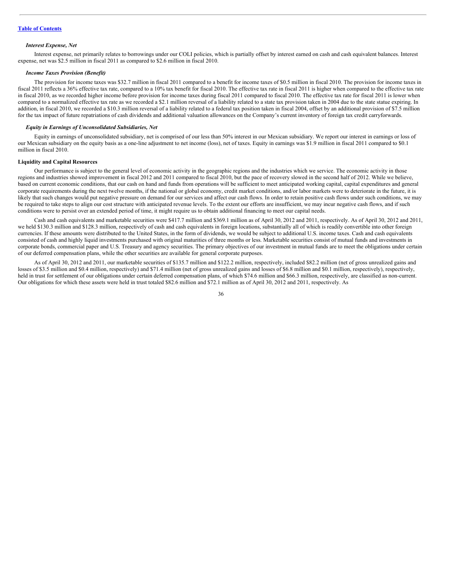### *Interest Expense, Net*

Interest expense, net primarily relates to borrowings under our COLI policies, which is partially offset by interest earned on cash and cash equivalent balances. Interest expense, net was \$2.5 million in fiscal 2011 as compared to \$2.6 million in fiscal 2010.

#### *Income Taxes Provision (Benefit)*

The provision for income taxes was \$32.7 million in fiscal 2011 compared to a benefit for income taxes of \$0.5 million in fiscal 2010. The provision for income taxes in fiscal 2011 reflects a 36% effective tax rate, compared to a 10% tax benefit for fiscal 2010. The effective tax rate in fiscal 2011 is higher when compared to the effective tax rate in fiscal 2010, as we recorded higher income before provision for income taxes during fiscal 2011 compared to fiscal 2010. The effective tax rate for fiscal 2011 is lower when compared to a normalized effective tax rate as we recorded a \$2.1 million reversal of a liability related to a state tax provision taken in 2004 due to the state statue expiring. In addition, in fiscal 2010, we recorded a \$10.3 million reversal of a liability related to a federal tax position taken in fiscal 2004, offset by an additional provision of \$7.5 million for the tax impact of future repatriations of cash dividends and additional valuation allowances on the Company's current inventory of foreign tax credit carryforwards.

#### *Equity in Earnings of Unconsolidated Subsidiaries, Net*

Equity in earnings of unconsolidated subsidiary, net is comprised of our less than 50% interest in our Mexican subsidiary. We report our interest in earnings or loss of our Mexican subsidiary on the equity basis as a one-line adjustment to net income (loss), net of taxes. Equity in earnings was \$1.9 million in fiscal 2011 compared to \$0.1 million in fiscal 2010.

#### **Liquidity and Capital Resources**

Our performance is subject to the general level of economic activity in the geographic regions and the industries which we service. The economic activity in those regions and industries showed improvement in fiscal 2012 and 2011 compared to fiscal 2010, but the pace of recovery slowed in the second half of 2012. While we believe, based on current economic conditions, that our cash on hand and funds from operations will be sufficient to meet anticipated working capital, capital expenditures and general corporate requirements during the next twelve months, if the national or global economy, credit market conditions, and/or labor markets were to deteriorate in the future, it is likely that such changes would put negative pressure on demand for our services and affect our cash flows. In order to retain positive cash flows under such conditions, we may be required to take steps to align our cost structure with anticipated revenue levels. To the extent our efforts are insufficient, we may incur negative cash flows, and if such conditions were to persist over an extended period of time, it might require us to obtain additional financing to meet our capital needs.

Cash and cash equivalents and marketable securities were \$417.7 million and \$369.1 million as of April 30, 2012 and 2011, respectively. As of April 30, 2012 and 2011, we held \$130.3 million and \$128.3 million, respectively of cash and cash equivalents in foreign locations, substantially all of which is readily convertible into other foreign currencies. If these amounts were distributed to the United States, in the form of dividends, we would be subject to additional U.S. income taxes. Cash and cash equivalents consisted of cash and highly liquid investments purchased with original maturities of three months or less. Marketable securities consist of mutual funds and investments in corporate bonds, commercial paper and U.S. Treasury and agency securities. The primary objectives of our investment in mutual funds are to meet the obligations under certain of our deferred compensation plans, while the other securities are available for general corporate purposes.

As of April 30, 2012 and 2011, our marketable securities of \$135.7 million and \$122.2 million, respectively, included \$82.2 million (net of gross unrealized gains and losses of \$3.5 million and \$0.4 million, respectively) and \$71.4 million (net of gross unrealized gains and losses of \$6.8 million and \$0.1 million, respectively), respectively, held in trust for settlement of our obligations under certain deferred compensation plans, of which \$74.6 million and \$66.3 million, respectively, are classified as non-current. Our obligations for which these assets were held in trust totaled \$82.6 million and \$72.1 million as of April 30, 2012 and 2011, respectively. As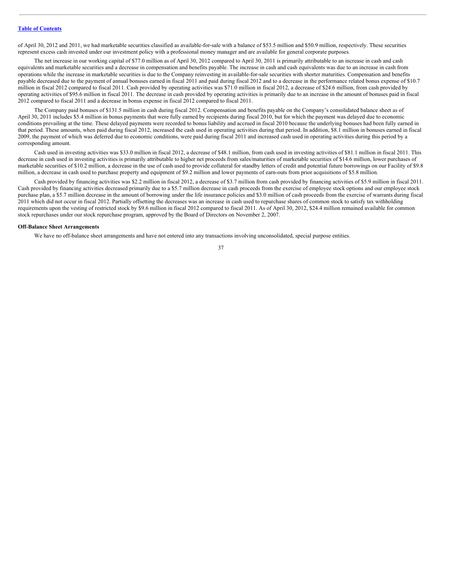of April 30, 2012 and 2011, we had marketable securities classified as available-for-sale with a balance of \$53.5 million and \$50.9 million, respectively. These securities represent excess cash invested under our investment policy with a professional money manager and are available for general corporate purposes.

The net increase in our working capital of \$77.0 million as of April 30, 2012 compared to April 30, 2011 is primarily attributable to an increase in cash and cash equivalents and marketable securities and a decrease in compensation and benefits payable. The increase in cash and cash equivalents was due to an increase in cash from operations while the increase in marketable securities is due to the Company reinvesting in available-for-sale securities with shorter maturities. Compensation and benefits payable decreased due to the payment of annual bonuses earned in fiscal 2011 and paid during fiscal 2012 and to a decrease in the performance related bonus expense of \$10.7 million in fiscal 2012 compared to fiscal 2011. Cash provided by operating activities was \$71.0 million in fiscal 2012, a decrease of \$24.6 million, from cash provided by operating activities of \$95.6 million in fiscal 2011. The decrease in cash provided by operating activities is primarily due to an increase in the amount of bonuses paid in fiscal 2012 compared to fiscal 2011 and a decrease in bonus expense in fiscal 2012 compared to fiscal 2011.

The Company paid bonuses of \$131.5 million in cash during fiscal 2012. Compensation and benefits payable on the Company's consolidated balance sheet as of April 30, 2011 includes \$5.4 million in bonus payments that were fully earned by recipients during fiscal 2010, but for which the payment was delayed due to economic conditions prevailing at the time. These delayed payments were recorded to bonus liability and accrued in fiscal 2010 because the underlying bonuses had been fully earned in that period. These amounts, when paid during fiscal 2012, increased the cash used in operating activities during that period. In addition, \$8.1 million in bonuses earned in fiscal 2009, the payment of which was deferred due to economic conditions, were paid during fiscal 2011 and increased cash used in operating activities during this period by a corresponding amount.

Cash used in investing activities was \$33.0 million in fiscal 2012, a decrease of \$48.1 million, from cash used in investing activities of \$81.1 million in fiscal 2011. This decrease in cash used in investing activities is primarily attributable to higher net proceeds from sales/maturities of marketable securities of \$14.6 million, lower purchases of marketable securities of \$10.2 million, a decrease in the use of cash used to provide collateral for standby letters of credit and potential future borrowings on our Facility of \$9.8 million, a decrease in cash used to purchase property and equipment of \$9.2 million and lower payments of earn-outs from prior acquisitions of \$5.8 million.

Cash provided by financing activities was \$2.2 million in fiscal 2012, a decrease of \$3.7 million from cash provided by financing activities of \$5.9 million in fiscal 2011. Cash provided by financing activities decreased primarily due to a \$5.7 million decrease in cash proceeds from the exercise of employee stock options and our employee stock purchase plan, a \$5.7 million decrease in the amount of borrowing under the life insurance policies and \$3.0 million of cash proceeds from the exercise of warrants during fiscal 2011 which did not occur in fiscal 2012. Partially offsetting the decreases was an increase in cash used to repurchase shares of common stock to satisfy tax withholding requirements upon the vesting of restricted stock by \$9.6 million in fiscal 2012 compared to fiscal 2011. As of April 30, 2012, \$24.4 million remained available for common stock repurchases under our stock repurchase program, approved by the Board of Directors on November 2, 2007.

#### **Off-Balance Sheet Arrangements**

We have no off-balance sheet arrangements and have not entered into any transactions involving unconsolidated, special purpose entities.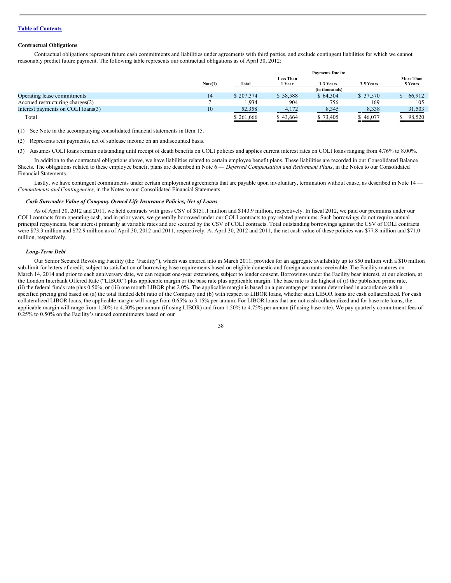## **Contractual Obligations**

Contractual obligations represent future cash commitments and liabilities under agreements with third parties, and exclude contingent liabilities for which we cannot reasonably predict future payment. The following table represents our contractual obligations as of April 30, 2012:

|                                    |         |           | <b>Payments Due in:</b> |                |           |                    |
|------------------------------------|---------|-----------|-------------------------|----------------|-----------|--------------------|
|                                    |         |           | <b>Less Than</b>        |                |           |                    |
|                                    | Note(1) | Total     | 1 Year                  | 1-3 Years      | 3-5 Years | 5 Years            |
|                                    |         |           |                         | (in thousands) |           |                    |
| Operating lease commitments        | 14      | \$207,374 | \$38,588                | \$64.304       | \$ 37,570 | 66,912             |
| Accrued restructuring charges(2)   |         | 1.934     | 904                     | 756            | 169       | 105                |
| Interest payments on COLI loans(3) | 10      | 52,358    | 4,172                   | 8,345          | 8,338     | 31,503             |
| Total                              |         | \$261,666 | \$43,664<br>=====       | \$73,405       | \$46,077  | 98,520<br>———————— |

(1) See Note in the accompanying consolidated financial statements in Item 15.

(2) Represents rent payments, net of sublease income on an undiscounted basis.

(3) Assumes COLI loans remain outstanding until receipt of death benefits on COLI policies and applies current interest rates on COLI loans ranging from 4.76% to 8.00%.

In addition to the contractual obligations above, we have liabilities related to certain employee benefit plans. These liabilities are recorded in our Consolidated Balance Sheets. The obligations related to these employee benefit plans are described in Note 6 — *Deferred Compensation and Retirement Plans*, in the Notes to our Consolidated Financial Statements.

Lastly, we have contingent commitments under certain employment agreements that are payable upon involuntary, termination without cause, as described in Note 14 *Commitments and Contingencies*, in the Notes to our Consolidated Financial Statements.

#### *Cash Surrender Value of Company Owned Life Insurance Policies, Net of Loans*

As of April 30, 2012 and 2011, we held contracts with gross CSV of \$151.1 million and \$143.9 million, respectively. In fiscal 2012, we paid our premiums under our COLI contracts from operating cash, and in prior years, we generally borrowed under our COLI contracts to pay related premiums. Such borrowings do not require annual principal repayments, bear interest primarily at variable rates and are secured by the CSV of COLI contracts. Total outstanding borrowings against the CSV of COLI contracts were \$73.3 million and \$72.9 million as of April 30, 2012 and 2011, respectively. At April 30, 2012 and 2011, the net cash value of these policies was \$77.8 million and \$71.0 million, respectively.

#### *Long-Term Debt*

Our Senior Secured Revolving Facility (the "Facility"), which was entered into in March 2011, provides for an aggregate availability up to \$50 million with a \$10 million sub-limit for letters of credit, subject to satisfaction of borrowing base requirements based on eligible domestic and foreign accounts receivable. The Facility matures on March 14, 2014 and prior to each anniversary date, we can request one-year extensions, subject to lender consent. Borrowings under the Facility bear interest, at our election, at the London Interbank Offered Rate ("LIBOR") plus applicable margin or the base rate plus applicable margin. The base rate is the highest of (i) the published prime rate, (ii) the federal funds rate plus 0.50%, or (iii) one month LIBOR plus 2.0%. The applicable margin is based on a percentage per annum determined in accordance with a specified pricing grid based on (a) the total funded debt ratio of the Company and (b) with respect to LIBOR loans, whether such LIBOR loans are cash collateralized. For cash collateralized LIBOR loans, the applicable margin will range from 0.65% to 3.15% per annum. For LIBOR loans that are not cash collateralized and for base rate loans, the applicable margin will range from 1.50% to 4.50% per annum (if using LIBOR) and from 1.50% to 4.75% per annum (if using base rate). We pay quarterly commitment fees of 0.25% to 0.50% on the Facility's unused commitments based on our

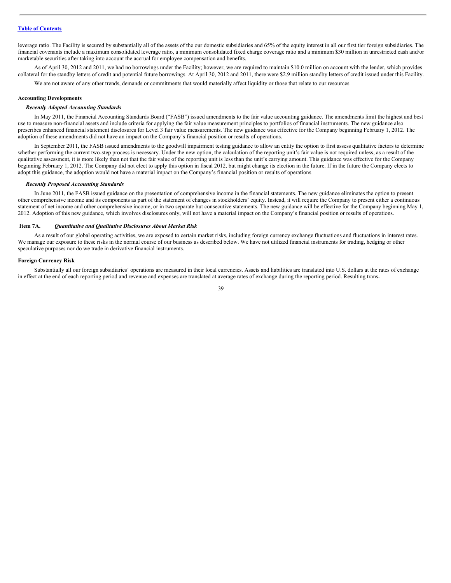leverage ratio. The Facility is secured by substantially all of the assets of the our domestic subsidiaries and 65% of the equity interest in all our first tier foreign subsidiaries. The financial covenants include a maximum consolidated leverage ratio, a minimum consolidated fixed charge coverage ratio and a minimum \$30 million in unrestricted cash and/or marketable securities after taking into account the accrual for employee compensation and benefits.

As of April 30, 2012 and 2011, we had no borrowings under the Facility; however, we are required to maintain \$10.0 million on account with the lender, which provides collateral for the standby letters of credit and potential future borrowings. At April 30, 2012 and 2011, there were \$2.9 million standby letters of credit issued under this Facility.

We are not aware of any other trends, demands or commitments that would materially affect liquidity or those that relate to our resources.

#### **Accounting Developments**

## *Recently Adopted Accounting Standards*

In May 2011, the Financial Accounting Standards Board ("FASB") issued amendments to the fair value accounting guidance. The amendments limit the highest and best use to measure non-financial assets and include criteria for applying the fair value measurement principles to portfolios of financial instruments. The new guidance also prescribes enhanced financial statement disclosures for Level 3 fair value measurements. The new guidance was effective for the Company beginning February 1, 2012. The adoption of these amendments did not have an impact on the Company's financial position or results of operations.

In September 2011, the FASB issued amendments to the goodwill impairment testing guidance to allow an entity the option to first assess qualitative factors to determine whether performing the current two-step process is necessary. Under the new option, the calculation of the reporting unit's fair value is not required unless, as a result of the qualitative assessment, it is more likely than not that the fair value of the reporting unit is less than the unit's carrying amount. This guidance was effective for the Company beginning February 1, 2012. The Company did not elect to apply this option in fiscal 2012, but might change its election in the future. If in the future the Company elects to adopt this guidance, the adoption would not have a material impact on the Company's financial position or results of operations.

#### *Recently Proposed Accounting Standards*

In June 2011, the FASB issued guidance on the presentation of comprehensive income in the financial statements. The new guidance eliminates the option to present other comprehensive income and its components as part of the statement of changes in stockholders' equity. Instead, it will require the Company to present either a continuous statement of net income and other comprehensive income, or in two separate but consecutive statements. The new guidance will be effective for the Company beginning May 1, 2012. Adoption of this new guidance, which involves disclosures only, will not have a material impact on the Company's financial position or results of operations.

### **Item 7A.** *Quantitative and Qualitative Disclosures About Market Risk*

As a result of our global operating activities, we are exposed to certain market risks, including foreign currency exchange fluctuations and fluctuations in interest rates. We manage our exposure to these risks in the normal course of our business as described below. We have not utilized financial instruments for trading, hedging or other speculative purposes nor do we trade in derivative financial instruments.

#### **Foreign Currency Risk**

Substantially all our foreign subsidiaries' operations are measured in their local currencies. Assets and liabilities are translated into U.S. dollars at the rates of exchange in effect at the end of each reporting period and revenue and expenses are translated at average rates of exchange during the reporting period. Resulting trans-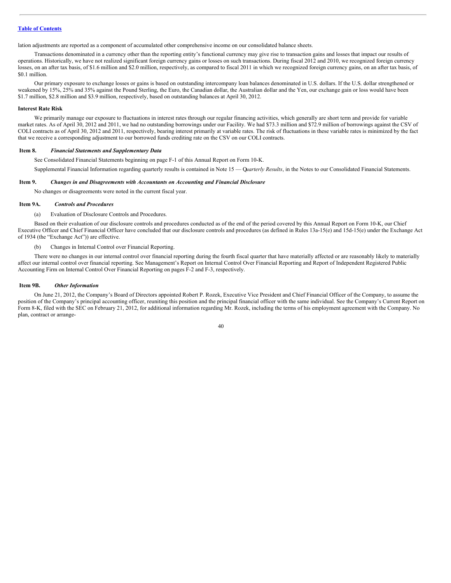# **Table of [Contents](#page-1-0)**

lation adjustments are reported as a component of accumulated other comprehensive income on our consolidated balance sheets.

Transactions denominated in a currency other than the reporting entity's functional currency may give rise to transaction gains and losses that impact our results of operations. Historically, we have not realized significant foreign currency gains or losses on such transactions. During fiscal 2012 and 2010, we recognized foreign currency losses, on an after tax basis, of \$1.6 million and \$2.0 million, respectively, as compared to fiscal 2011 in which we recognized foreign currency gains, on an after tax basis, of \$0.1 million.

Our primary exposure to exchange losses or gains is based on outstanding intercompany loan balances denominated in U.S. dollars. If the U.S. dollar strengthened or weakened by 15%, 25% and 35% against the Pound Sterling, the Euro, the Canadian dollar, the Australian dollar and the Yen, our exchange gain or loss would have been \$1.7 million, \$2.8 million and \$3.9 million, respectively, based on outstanding balances at April 30, 2012.

#### **Interest Rate Risk**

We primarily manage our exposure to fluctuations in interest rates through our regular financing activities, which generally are short term and provide for variable market rates. As of April 30, 2012 and 2011, we had no outstanding borrowings under our Facility. We had \$73.3 million and \$72.9 million of borrowings against the CSV of COLI contracts as of April 30, 2012 and 2011, respectively, bearing interest primarily at variable rates. The risk of fluctuations in these variable rates is minimized by the fact that we receive a corresponding adjustment to our borrowed funds crediting rate on the CSV on our COLI contracts.

#### **Item 8.** *Financial Statements and Supplementary Data*

See Consolidated Financial Statements beginning on page F-1 of this Annual Report on Form 10-K.

Supplemental Financial Information regarding quarterly results is contained in Note 15 — Q*uarterly Results*, in the Notes to our Consolidated Financial Statements.

#### **Item 9.** *Changes in and Disagreements with Accountants on Accounting and Financial Disclosure*

No changes or disagreements were noted in the current fiscal year.

#### **Item 9A.** *Controls and Procedures*

#### (a) Evaluation of Disclosure Controls and Procedures.

Based on their evaluation of our disclosure controls and procedures conducted as of the end of the period covered by this Annual Report on Form 10-K, our Chief Executive Officer and Chief Financial Officer have concluded that our disclosure controls and procedures (as defined in Rules 13a-15(e) and 15d-15(e) under the Exchange Act of 1934 (the "Exchange Act")) are effective.

## (b) Changes in Internal Control over Financial Reporting.

There were no changes in our internal control over financial reporting during the fourth fiscal quarter that have materially affected or are reasonably likely to materially affect our internal control over financial reporting. See Management's Report on Internal Control Over Financial Reporting and Report of Independent Registered Public Accounting Firm on Internal Control Over Financial Reporting on pages F-2 and F-3, respectively.

#### **Item 9B.** *Other Information*

On June 21, 2012, the Company's Board of Directors appointed Robert P. Rozek, Executive Vice President and Chief Financial Officer of the Company, to assume the position of the Company's principal accounting officer, reuniting this position and the principal financial officer with the same individual. See the Company's Current Report on Form 8-K, filed with the SEC on February 21, 2012, for additional information regarding Mr. Rozek, including the terms of his employment agreement with the Company. No plan, contract or arrange-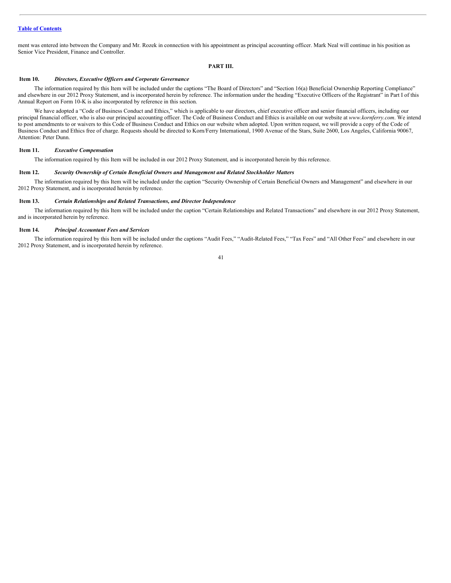# **Table of [Contents](#page-1-0)**

ment was entered into between the Company and Mr. Rozek in connection with his appointment as principal accounting officer. Mark Neal will continue in his position as Senior Vice President, Finance and Controller.

# **PART III.**

#### **Item 10.** *Directors, Executive Of icers and Corporate Governance*

The information required by this Item will be included under the captions "The Board of Directors" and "Section 16(a) Beneficial Ownership Reporting Compliance" and elsewhere in our 2012 Proxy Statement, and is incorporated herein by reference. The information under the heading "Executive Officers of the Registrant" in Part I of this Annual Report on Form 10-K is also incorporated by reference in this section.

We have adopted a "Code of Business Conduct and Ethics," which is applicable to our directors, chief executive officer and senior financial officers, including our principal financial officer, who is also our principal accounting officer. The Code of Business Conduct and Ethics is available on our website at *www.kornferry.com*. We intend to post amendments to or waivers to this Code of Business Conduct and Ethics on our website when adopted. Upon written request, we will provide a copy of the Code of Business Conduct and Ethics free of charge. Requests should be directed to Korn/Ferry International, 1900 Avenue of the Stars, Suite 2600, Los Angeles, California 90067, Attention: Peter Dunn.

### **Item 11.** *Executive Compensation*

The information required by this Item will be included in our 2012 Proxy Statement, and is incorporated herein by this reference.

## **Item 12.** *Security Ownership of Certain Beneficial Owners and Management and Related Stockholder Matters*

The information required by this Item will be included under the caption "Security Ownership of Certain Beneficial Owners and Management" and elsewhere in our 2012 Proxy Statement, and is incorporated herein by reference.

## **Item 13.** *Certain Relationships and Related Transactions, and Director Independence*

The information required by this Item will be included under the caption "Certain Relationships and Related Transactions" and elsewhere in our 2012 Proxy Statement, and is incorporated herein by reference.

## **Item 14.** *Principal Accountant Fees and Services*

The information required by this Item will be included under the captions "Audit Fees," "Audit-Related Fees," "Tax Fees" and "All Other Fees" and elsewhere in our 2012 Proxy Statement, and is incorporated herein by reference.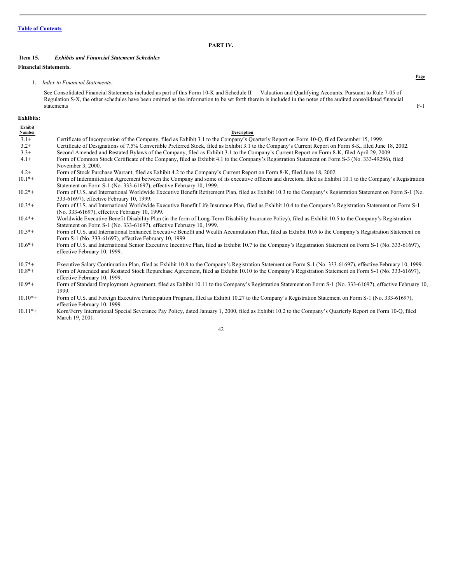# **PART IV.**

#### **Item 15.** *Exhibits and Financial Statement Schedules*

#### **Financial Statements.**

1. *Index to Financial Statements:*

See Consolidated Financial Statements included as part of this Form 10-K and Schedule II — Valuation and Qualifying Accounts. Pursuant to Rule 7-05 of Regulation S-X, the other schedules have been omitted as the information to be set forth therein is included in the notes of the audited consolidated financial statements F-1

#### **Exhibits:**

# **Exhibit Description** 3.1+ Certificate of Incorporation of the Company, filed as Exhibit 3.1 to the Company's Quarterly Report on Form 10-Q, filed December 15, 1999. 3.2+ Certificate of Designations of 7.5% Convertible Preferred Stock, filed as Exhibit 3.1 to the Company's Current Report on Form 8-K, filed June 18, 2002. 3.3+ Second Amended and Restated Bylaws of the Company, filed as Exhibit 3.1 to the Company's Current Report on Form 8-K, filed April 29, 2009. 4.1+ Form of Common Stock Certificate of the Company, filed as Exhibit 4.1 to the Company's Registration Statement on Form S-3 (No. 333-49286), filed November 3, 2000. 4.2+ Form of Stock Purchase Warrant, filed as Exhibit 4.2 to the Company's Current Report on Form 8-K, filed June 18, 2002. 10.1\*+ Form of Indemnification Agreement between the Company and some of its executive officers and directors, filed as Exhibit 10.1 to the Company's Registration Statement on Form S-1 (No. 333-61697), effective February 10, 1999. 10.2\*+ Form of U.S. and International Worldwide Executive Benefit Retirement Plan, filed as Exhibit 10.3 to the Company's Registration Statement on Form S-1 (No. 333-61697), effective February 10, 1999. 10.3\*+ Form of U.S. and International Worldwide Executive Benefit Life Insurance Plan, filed as Exhibit 10.4 to the Company's Registration Statement on Form S-1 (No. 333-61697), effective February 10, 1999. 10.4\*+ Worldwide Executive Benefit Disability Plan (in the form of Long-Term Disability Insurance Policy), filed as Exhibit 10.5 to the Company's Registration Statement on Form S-1 (No. 333-61697), effective February 10, 1999. 10.5\*+ Form of U.S. and International Enhanced Executive Benefit and Wealth Accumulation Plan, filed as Exhibit 10.6 to the Company's Registration Statement on Form S-1 (No. 333-61697), effective February 10, 1999. 10.6\*+ Form of U.S. and International Senior Executive Incentive Plan, filed as Exhibit 10.7 to the Company's Registration Statement on Form S-1 (No. 333-61697), effective February 10, 1999. 10.7\*+ Executive Salary Continuation Plan, filed as Exhibit 10.8 to the Company's Registration Statement on Form S-1 (No. 333-61697), effective February 10, 1999. 10.8\*+ Form of Amended and Restated Stock Repurchase Agreement, filed as Exhibit 10.10 to the Company's Registration Statement on Form S-1 (No. 333-61697), effective February 10, 1999.

10.9\*+ Form of Standard Employment Agreement, filed as Exhibit 10.11 to the Company's Registration Statement on Form S-1 (No. 333-61697), effective February 10, 1999.

10.10\*+ Form of U.S. and Foreign Executive Participation Program, filed as Exhibit 10.27 to the Company's Registration Statement on Form S-1 (No. 333-61697), effective February 10, 1999.

10.11\*+ Korn/Ferry International Special Severance Pay Policy, dated January 1, 2000, filed as Exhibit 10.2 to the Company's Quarterly Report on Form 10-Q, filed March 19, 2001.

**Page**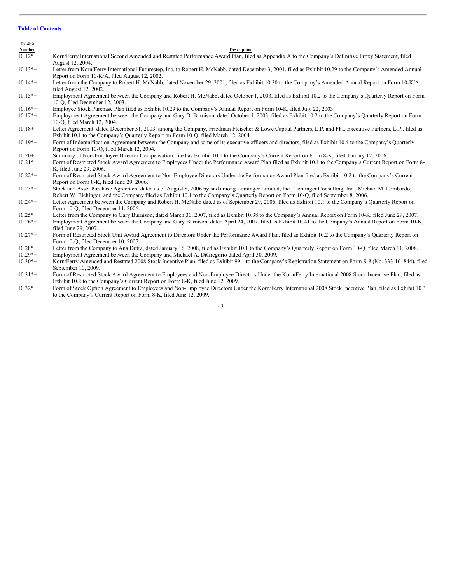# **Table of [Contents](#page-1-0)**

| Exhibit                |                                                                                                                                                                                                                                                                                           |
|------------------------|-------------------------------------------------------------------------------------------------------------------------------------------------------------------------------------------------------------------------------------------------------------------------------------------|
| Number                 | <b>Description</b>                                                                                                                                                                                                                                                                        |
| $\frac{1}{10.12^{*+}}$ | Korn/Ferry International Second Amended and Restated Performance Award Plan, filed as Appendix A to the Company's Definitive Proxy Statement, filed<br>August 12, 2004.                                                                                                                   |
| $10.13*+$              | Letter from Korn/Ferry International Futurestep, Inc. to Robert H. McNabb, dated December 3, 2001, filed as Exhibit 10.29 to the Company's Amended Annual<br>Report on Form 10-K/A, filed August 12, 2002.                                                                                |
| $10.14*+$              | Letter from the Company to Robert H. McNabb, dated November 29, 2001, filed as Exhibit 10.30 to the Company's Amended Annual Report on Form 10-K/A,<br>filed August 12, 2002.                                                                                                             |
| $10.15*+$              | Employment Agreement between the Company and Robert H. McNabb, dated October 1, 2003, filed as Exhibit 10.2 to the Company's Quarterly Report on Form<br>10-O, filed December 12, 2003.                                                                                                   |
| $10.16*+$              | Employee Stock Purchase Plan filed as Exhibit 10.29 to the Company's Annual Report on Form 10-K, filed July 22, 2003.                                                                                                                                                                     |
| $10.17*+$              | Employment Agreement between the Company and Gary D. Burnison, dated October 1, 2003, filed as Exhibit 10.2 to the Company's Quarterly Report on Form<br>10-Q, filed March 12, 2004.                                                                                                      |
| $10.18+$               | Letter Agreement, dated December 31, 2003, among the Company, Friedman Fleischer & Lowe Capital Partners, L.P. and FFL Executive Partners, L.P., filed as<br>Exhibit 10.1 to the Company's Quarterly Report on Form 10-Q, filed March 12, 2004.                                           |
| $10.19*+$              | Form of Indemnification Agreement between the Company and some of its executive officers and directors, filed as Exhibit 10.4 to the Company's Quarterly<br>Report on Form 10-O, filed March 12, 2004.                                                                                    |
| $10.20+$               | Summary of Non-Employee Director Compensation, filed as Exhibit 10.1 to the Company's Current Report on Form 8-K, filed January 12, 2006.                                                                                                                                                 |
| $10.21*+$              | Form of Restricted Stock Award Agreement to Employees Under the Performance Award Plan filed as Exhibit 10.1 to the Company's Current Report on Form 8-<br>K, filed June 29, 2006.                                                                                                        |
| $10.22*+$              | Form of Restricted Stock Award Agreement to Non-Employee Directors Under the Performance Award Plan filed as Exhibit 10.2 to the Company's Current<br>Report on Form 8-K, filed June 29, 2006.                                                                                            |
| $10.23*+$              | Stock and Asset Purchase Agreement dated as of August 8, 2006 by and among Lominger Limited, Inc., Lominger Consulting, Inc., Michael M. Lombardo,<br>Robert W. Eichinger, and the Company filed as Exhibit 10.1 to the Company's Quarterly Report on Form 10-Q, filed September 8, 2006. |
| $10.24*+$              | Letter Agreement between the Company and Robert H. McNabb dated as of September 29, 2006, filed as Exhibit 10.1 to the Company's Quarterly Report on<br>Form 10-O, filed December 11, 2006.                                                                                               |
| $10.25*+$              | Letter from the Company to Gary Burnison, dated March 30, 2007, filed as Exhibit 10.38 to the Company's Annual Report on Form 10-K, filed June 29, 2007.                                                                                                                                  |
| $10.26*+$              | Employment Agreement between the Company and Gary Burnison, dated April 24, 2007, filed as Exhibit 10.41 to the Company's Annual Report on Form 10-K,<br>filed June 29, 2007.                                                                                                             |
| $10.27*+$              | Form of Restricted Stock Unit Award Agreement to Directors Under the Performance Award Plan, filed as Exhibit 10.2 to the Company's Quarterly Report on<br>Form 10-O, filed December 10, 2007.                                                                                            |
| $10.28*+$              | Letter from the Company to Ana Dutra, dated January 16, 2008, filed as Exhibit 10.1 to the Company's Quarterly Report on Form 10-Q, filed March 11, 2008.                                                                                                                                 |
| $10.29*+$              | Employment Agreement between the Company and Michael A. DiGregorio dated April 30, 2009.                                                                                                                                                                                                  |
| $10.30*+$              | Korn/Ferry Amended and Restated 2008 Stock Incentive Plan, filed as Exhibit 99.1 to the Company's Registration Statement on Form S-8 (No. 333-161844), filed<br>September 10, 2009.                                                                                                       |
| $10.31*+$              | Form of Restricted Stock Award Agreement to Employees and Non-Employee Directors Under the Korn/Ferry International 2008 Stock Incentive Plan, filed as<br>Exhibit 10.2 to the Company's Current Report on Form 8-K, filed June 12, 2009.                                                 |
| $10.32*+$              | Form of Stock Option Agreement to Employees and Non-Employee Directors Under the Korn/Ferry International 2008 Stock Incentive Plan, filed as Exhibit 10.3                                                                                                                                |

43

to the Company's Current Report on Form 8-K, filed June 12, 2009.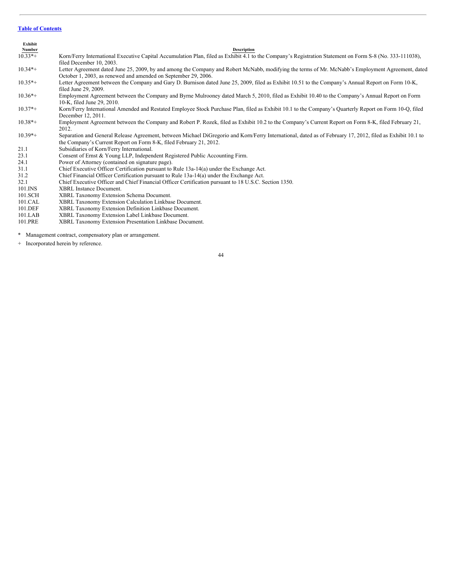# **Table of [Contents](#page-1-0)**

| <b>Exhibit</b><br>Number | <b>Description</b>                                                                                                                                                                                                               |
|--------------------------|----------------------------------------------------------------------------------------------------------------------------------------------------------------------------------------------------------------------------------|
| $10.33*+$                | Korn/Ferry International Executive Capital Accumulation Plan, filed as Exhibit 4.1 to the Company's Registration Statement on Form S-8 (No. 333-111038),<br>filed December 10, 2003.                                             |
| $10.34*+$                | Letter Agreement dated June 25, 2009, by and among the Company and Robert McNabb, modifying the terms of Mr. McNabb's Employment Agreement, dated<br>October 1, 2003, as renewed and amended on September 29, 2006.              |
| $10.35*+$                | Letter Agreement between the Company and Gary D. Burnison dated June 25, 2009, filed as Exhibit 10.51 to the Company's Annual Report on Form 10-K,<br>filed June 29, 2009.                                                       |
| $10.36*+$                | Employment Agreement between the Company and Byrne Mulrooney dated March 5, 2010, filed as Exhibit 10.40 to the Company's Annual Report on Form<br>10-K, filed June 29, 2010.                                                    |
| $10.37*+$                | Korn/Ferry International Amended and Restated Employee Stock Purchase Plan, filed as Exhibit 10.1 to the Company's Quarterly Report on Form 10-Q, filed<br>December 12, 2011.                                                    |
| $10.38*+$                | Employment Agreement between the Company and Robert P. Rozek, filed as Exhibit 10.2 to the Company's Current Report on Form 8-K, filed February 21,<br>2012.                                                                     |
| $10.39*+$                | Separation and General Release Agreement, between Michael DiGregorio and Korn/Ferry International, dated as of February 17, 2012, filed as Exhibit 10.1 to<br>the Company's Current Report on Form 8-K, filed February 21, 2012. |
| 21.1                     | Subsidiaries of Korn/Ferry International.                                                                                                                                                                                        |
| 23.1                     | Consent of Ernst & Young LLP, Independent Registered Public Accounting Firm.                                                                                                                                                     |
| 24.1                     | Power of Attorney (contained on signature page).                                                                                                                                                                                 |
| 31.1                     | Chief Executive Officer Certification pursuant to Rule 13a-14(a) under the Exchange Act.                                                                                                                                         |
| 31.2                     | Chief Financial Officer Certification pursuant to Rule 13a-14(a) under the Exchange Act.                                                                                                                                         |
| 32.1                     | Chief Executive Officer and Chief Financial Officer Certification pursuant to 18 U.S.C. Section 1350.                                                                                                                            |
| 101.INS                  | XBRL Instance Document.                                                                                                                                                                                                          |
| 101.SCH                  | XBRL Taxonomy Extension Schema Document.                                                                                                                                                                                         |
| 101.CAL                  | XBRL Taxonomy Extension Calculation Linkbase Document.                                                                                                                                                                           |
| 101.DEF                  | XBRL Taxonomy Extension Definition Linkbase Document.                                                                                                                                                                            |
| $101$ .LAB               | XBRL Taxonomy Extension Label Linkbase Document.                                                                                                                                                                                 |
| $101 \overline{N}$       |                                                                                                                                                                                                                                  |

101.PRE XBRL Taxonomy Extension Presentation Linkbase Document.

\* Management contract, compensatory plan or arrangement.

+ Incorporated herein by reference.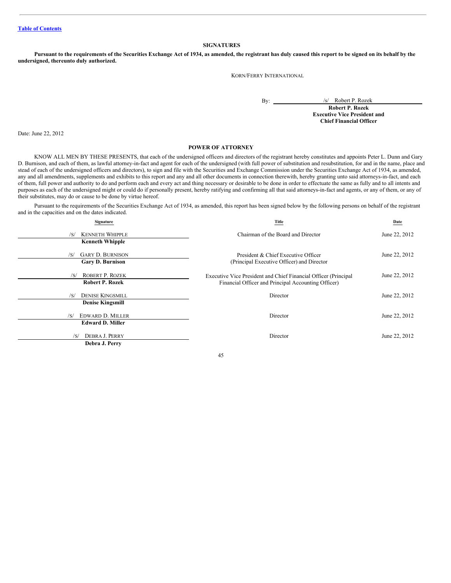# **SIGNATURES**

Pursuant to the requirements of the Securities Exchange Act of 1934, as amended, the registrant has duly caused this report to be signed on its behalf by the **undersigned, thereunto duly authorized.**

KORN/FERRY INTERNATIONAL

By:  $\sqrt{s}$  Robert P. Rozek

**Robert P. Rozek Executive Vice President and Chief Financial Officer**

Date: June 22, 2012

#### **POWER OF ATTORNEY**

KNOW ALL MEN BY THESE PRESENTS, that each of the undersigned officers and directors of the registrant hereby constitutes and appoints Peter L. Dunn and Gary D. Burnison, and each of them, as lawful attorney-in-fact and agent for each of the undersigned (with full power of substitution and resubstitution, for and in the name, place and stead of each of the undersigned officers and directors), to sign and file with the Securities and Exchange Commission under the Securities Exchange Act of 1934, as amended, any and all amendments, supplements and exhibits to this report and any and all other documents in connection therewith, hereby granting unto said attorneys-in-fact, and each of them, full power and authority to do and perform each and every act and thing necessary or desirable to be done in order to effectuate the same as fully and to all intents and purposes as each of the undersigned might or could do if personally present, hereby ratifying and confirming all that said attorneys-in-fact and agents, or any of them, or any of their substitutes, may do or cause to be done by virtue hereof.

Pursuant to the requirements of the Securities Exchange Act of 1934, as amended, this report has been signed below by the following persons on behalf of the registrant and in the capacities and on the dates indicated.

| Signature                                                 | Title                                                                                                                  | Date          |
|-----------------------------------------------------------|------------------------------------------------------------------------------------------------------------------------|---------------|
| <b>KENNETH WHIPPLE</b><br>/S/<br><b>Kenneth Whipple</b>   | Chairman of the Board and Director                                                                                     | June 22, 2012 |
| <b>GARY D. BURNISON</b><br>/S/<br><b>Gary D. Burnison</b> | President & Chief Executive Officer<br>(Principal Executive Officer) and Director                                      | June 22, 2012 |
| <b>ROBERT P. ROZEK</b><br>/S/<br><b>Robert P. Rozek</b>   | Executive Vice President and Chief Financial Officer (Principal<br>Financial Officer and Principal Accounting Officer) | June 22, 2012 |
| <b>DENISE KINGSMILL</b><br>/S/<br><b>Denise Kingsmill</b> | Director                                                                                                               | June 22, 2012 |
| <b>EDWARD D. MILLER</b><br>/S/<br><b>Edward D. Miller</b> | Director                                                                                                               | June 22, 2012 |
| <b>DEBRA J. PERRY</b><br>/S/<br>Debra J. Perry            | Director                                                                                                               | June 22, 2012 |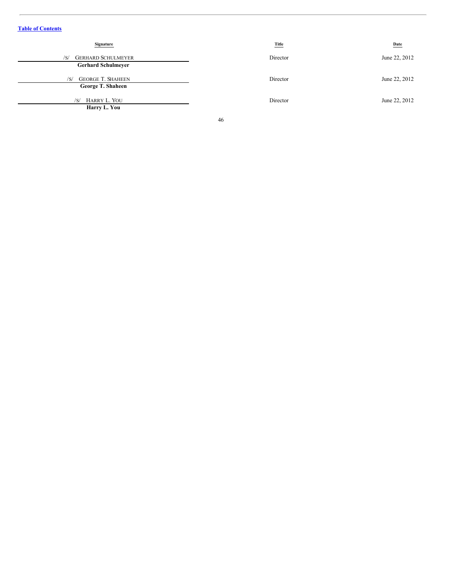#### **Tab[le](#page-1-0) of Contents**

| Signature                                                     | Title    | Date          |
|---------------------------------------------------------------|----------|---------------|
| <b>GERHARD SCHULMEYER</b><br>/S/<br><b>Gerhard Schulmeyer</b> | Director | June 22, 2012 |
| <b>GEORGE T. SHAHEEN</b><br>/S/<br>George T. Shaheen          | Director | June 22, 2012 |
| HARRY L. YOU<br>/S/<br>Harry L. You                           | Director | June 22, 2012 |
|                                                               | 46       |               |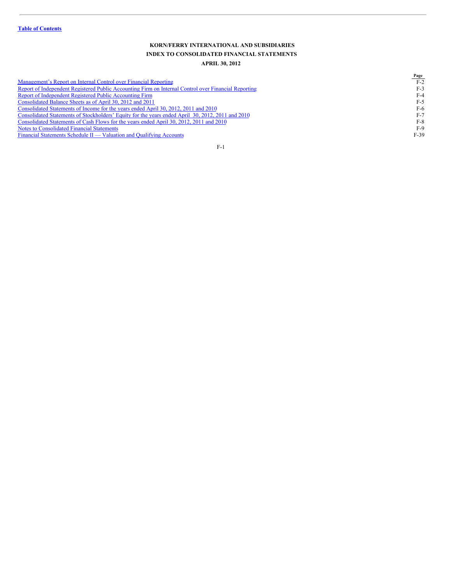# **INDEX TO CONSOLIDATED FINANCIAL STATEMENTS**

# **APRIL 30, 2012**

|                                                                                                      | Page   |
|------------------------------------------------------------------------------------------------------|--------|
| Management's Report on Internal Control over Financial Reporting                                     | $F-2$  |
| Report of Independent Registered Public Accounting Firm on Internal Control over Financial Reporting | $F-3$  |
| Report of Independent Registered Public Accounting Firm                                              | $F-4$  |
| Consolidated Balance Sheets as of April 30, 2012 and 2011                                            | $F-5$  |
| Consolidated Statements of Income for the years ended April 30, 2012, 2011 and 2010                  | F-6    |
| Consolidated Statements of Stockholders' Equity for the years ended April 30, 2012, 2011 and 2010    | $F-7$  |
| Consolidated Statements of Cash Flows for the years ended April 30, 2012, 2011 and 2010              | $F-8$  |
| <b>Notes to Consolidated Financial Statements</b>                                                    | $F-9$  |
| Financial Statements Schedule II — Valuation and Qualifying Accounts                                 | $F-39$ |
|                                                                                                      |        |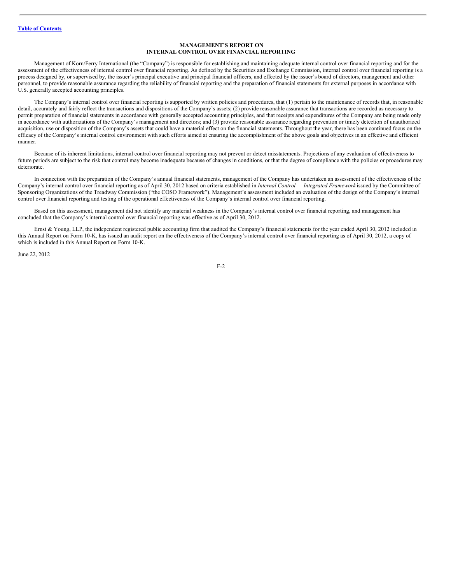# <span id="page-49-0"></span>**MANAGEMENT'S REPORT ON INTERNAL CONTROL OVER FINANCIAL REPORTING**

Management of Korn/Ferry International (the "Company") is responsible for establishing and maintaining adequate internal control over financial reporting and for the assessment of the effectiveness of internal control over financial reporting. As defined by the Securities and Exchange Commission, internal control over financial reporting is a process designed by, or supervised by, the issuer's principal executive and principal financial officers, and effected by the issuer's board of directors, management and other personnel, to provide reasonable assurance regarding the reliability of financial reporting and the preparation of financial statements for external purposes in accordance with U.S. generally accepted accounting principles.

The Company's internal control over financial reporting is supported by written policies and procedures, that (1) pertain to the maintenance of records that, in reasonable detail, accurately and fairly reflect the transactions and dispositions of the Company's assets; (2) provide reasonable assurance that transactions are recorded as necessary to permit preparation of financial statements in accordance with generally accepted accounting principles, and that receipts and expenditures of the Company are being made only in accordance with authorizations of the Company's management and directors; and (3) provide reasonable assurance regarding prevention or timely detection of unauthorized acquisition, use or disposition of the Company's assets that could have a material effect on the financial statements. Throughout the year, there has been continued focus on the efficacy of the Company's internal control environment with such efforts aimed at ensuring the accomplishment of the above goals and objectives in an effective and efficient manner.

Because of its inherent limitations, internal control over financial reporting may not prevent or detect misstatements. Projections of any evaluation of effectiveness to future periods are subject to the risk that control may become inadequate because of changes in conditions, or that the degree of compliance with the policies or procedures may deteriorate.

In connection with the preparation of the Company's annual financial statements, management of the Company has undertaken an assessment of the effectiveness of the Company's internal control over financial reporting as of April 30, 2012 based on criteria established in *Internal Control — Integrated Framework* issued by the Committee of Sponsoring Organizations of the Treadway Commission ("the COSO Framework"). Management's assessment included an evaluation of the design of the Company's internal control over financial reporting and testing of the operational effectiveness of the Company's internal control over financial reporting.

Based on this assessment, management did not identify any material weakness in the Company's internal control over financial reporting, and management has concluded that the Company's internal control over financial reporting was effective as of April 30, 2012.

Ernst & Young, LLP, the independent registered public accounting firm that audited the Company's financial statements for the year ended April 30, 2012 included in this Annual Report on Form 10-K, has issued an audit report on the effectiveness of the Company's internal control over financial reporting as of April 30, 2012, a copy of which is included in this Annual Report on Form 10-K.

June 22, 2012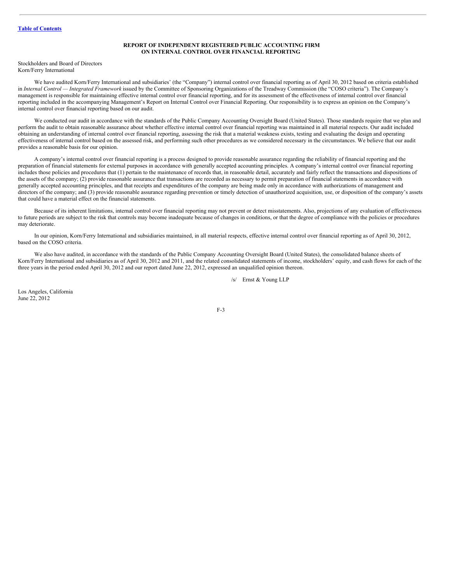# <span id="page-50-0"></span>**REPORT OF INDEPENDENT REGISTERED PUBLIC ACCOUNTING FIRM ON INTERNAL CONTROL OVER FINANCIAL REPORTING**

Stockholders and Board of Directors Korn/Ferry International

We have audited Korn/Ferry International and subsidiaries' (the "Company") internal control over financial reporting as of April 30, 2012 based on criteria established in *Internal Control — Integrated Framework* issued by the Committee of Sponsoring Organizations of the Treadway Commission (the "COSO criteria"). The Company's management is responsible for maintaining effective internal control over financial reporting, and for its assessment of the effectiveness of internal control over financial reporting included in the accompanying Management's Report on Internal Control over Financial Reporting. Our responsibility is to express an opinion on the Company's internal control over financial reporting based on our audit.

We conducted our audit in accordance with the standards of the Public Company Accounting Oversight Board (United States). Those standards require that we plan and perform the audit to obtain reasonable assurance about whether effective internal control over financial reporting was maintained in all material respects. Our audit included obtaining an understanding of internal control over financial reporting, assessing the risk that a material weakness exists, testing and evaluating the design and operating effectiveness of internal control based on the assessed risk, and performing such other procedures as we considered necessary in the circumstances. We believe that our audit provides a reasonable basis for our opinion.

A company's internal control over financial reporting is a process designed to provide reasonable assurance regarding the reliability of financial reporting and the preparation of financial statements for external purposes in accordance with generally accepted accounting principles. A company's internal control over financial reporting includes those policies and procedures that (1) pertain to the maintenance of records that, in reasonable detail, accurately and fairly reflect the transactions and dispositions of the assets of the company; (2) provide reasonable assurance that transactions are recorded as necessary to permit preparation of financial statements in accordance with generally accepted accounting principles, and that receipts and expenditures of the company are being made only in accordance with authorizations of management and directors of the company; and (3) provide reasonable assurance regarding prevention or timely detection of unauthorized acquisition, use, or disposition of the company's assets that could have a material effect on the financial statements.

Because of its inherent limitations, internal control over financial reporting may not prevent or detect misstatements. Also, projections of any evaluation of effectiveness to future periods are subject to the risk that controls may become inadequate because of changes in conditions, or that the degree of compliance with the policies or procedures may deteriorate.

In our opinion, Korn/Ferry International and subsidiaries maintained, in all material respects, effective internal control over financial reporting as of April 30, 2012, based on the COSO criteria.

We also have audited, in accordance with the standards of the Public Company Accounting Oversight Board (United States), the consolidated balance sheets of Korn/Ferry International and subsidiaries as of April 30, 2012 and 2011, and the related consolidated statements of income, stockholders' equity, and cash flows for each of the three years in the period ended April 30, 2012 and our report dated June 22, 2012, expressed an unqualified opinion thereon.

/s/ Ernst & Young LLP

Los Angeles, California June 22, 2012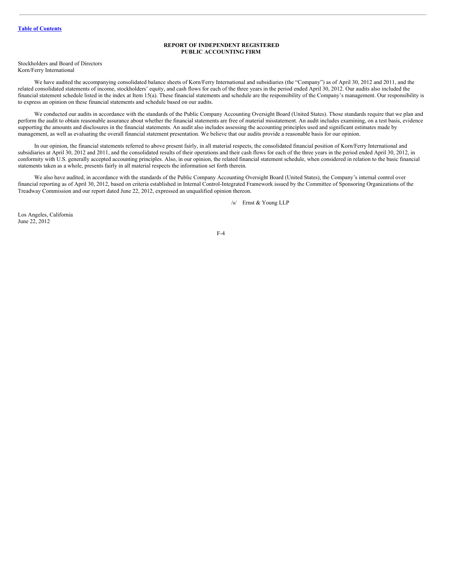# <span id="page-51-0"></span>**REPORT OF INDEPENDENT REGISTERED PUBLIC ACCOUNTING FIRM**

Stockholders and Board of Directors Korn/Ferry International

We have audited the accompanying consolidated balance sheets of Korn/Ferry International and subsidiaries (the "Company") as of April 30, 2012 and 2011, and the related consolidated statements of income, stockholders' equity, and cash flows for each of the three years in the period ended April 30, 2012. Our audits also included the financial statement schedule listed in the index at Item 15(a). These financial statements and schedule are the responsibility of the Company's management. Our responsibility is to express an opinion on these financial statements and schedule based on our audits.

We conducted our audits in accordance with the standards of the Public Company Accounting Oversight Board (United States). Those standards require that we plan and perform the audit to obtain reasonable assurance about whether the financial statements are free of material misstatement. An audit includes examining, on a test basis, evidence supporting the amounts and disclosures in the financial statements. An audit also includes assessing the accounting principles used and significant estimates made by management, as well as evaluating the overall financial statement presentation. We believe that our audits provide a reasonable basis for our opinion.

In our opinion, the financial statements referred to above present fairly, in all material respects, the consolidated financial position of Korn/Ferry International and subsidiaries at April 30, 2012 and 2011, and the consolidated results of their operations and their cash flows for each of the three years in the period ended April 30, 2012, in conformity with U.S. generally accepted accounting principles. Also, in our opinion, the related financial statement schedule, when considered in relation to the basic financial statements taken as a whole, presents fairly in all material respects the information set forth therein.

We also have audited, in accordance with the standards of the Public Company Accounting Oversight Board (United States), the Company's internal control over financial reporting as of April 30, 2012, based on criteria established in Internal Control-Integrated Framework issued by the Committee of Sponsoring Organizations of the Treadway Commission and our report dated June 22, 2012, expressed an unqualified opinion thereon.

/s/ Ernst & Young LLP

Los Angeles, California June 22, 2012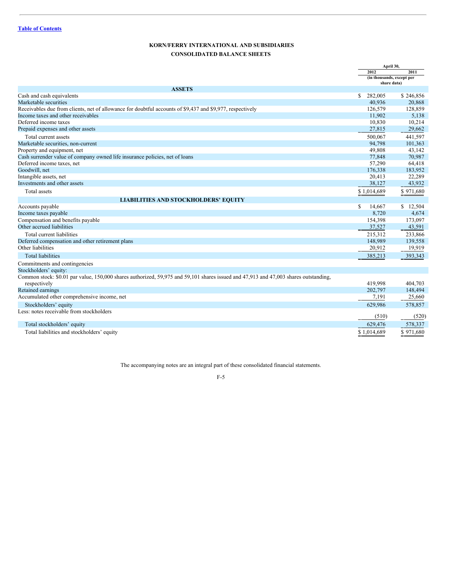# <span id="page-52-0"></span>**KORN/FERRY INTERNATIONAL AND SUBSIDIARIES CONSOLIDATED BALANCE SHEETS**

|                                                                                                                                      | April 30,     |                                          |
|--------------------------------------------------------------------------------------------------------------------------------------|---------------|------------------------------------------|
|                                                                                                                                      | 2012          | 2011                                     |
|                                                                                                                                      |               | (in thousands, except per<br>share data) |
| <b>ASSETS</b>                                                                                                                        |               |                                          |
| Cash and cash equivalents                                                                                                            | 282,005<br>\$ | \$246,856                                |
| Marketable securities                                                                                                                | 40.936        | 20.868                                   |
| Receivables due from clients, net of allowance for doubtful accounts of \$9,437 and \$9,977, respectively                            | 126,579       | 128,859                                  |
| Income taxes and other receivables                                                                                                   | 11,902        | 5,138                                    |
| Deferred income taxes                                                                                                                | 10,830        | 10,214                                   |
| Prepaid expenses and other assets                                                                                                    | 27,815        | 29,662                                   |
| Total current assets                                                                                                                 | 500,067       | 441,597                                  |
| Marketable securities, non-current                                                                                                   | 94,798        | 101,363                                  |
| Property and equipment, net                                                                                                          | 49,808        | 43,142                                   |
| Cash surrender value of company owned life insurance policies, net of loans                                                          | 77,848        | 70,987                                   |
| Deferred income taxes, net                                                                                                           | 57,290        | 64,418                                   |
| Goodwill, net                                                                                                                        | 176,338       | 183,952                                  |
| Intangible assets, net                                                                                                               | 20,413        | 22,289                                   |
| Investments and other assets                                                                                                         | 38,127        | 43,932                                   |
| <b>Total assets</b>                                                                                                                  | \$1,014,689   | \$971,680                                |
| <b>LIABILITIES AND STOCKHOLDERS' EQUITY</b>                                                                                          |               |                                          |
| Accounts payable                                                                                                                     | \$<br>14.667  | \$12,504                                 |
| Income taxes payable                                                                                                                 |               | 8,720<br>4,674                           |
| Compensation and benefits payable                                                                                                    | 154,398       | 173,097                                  |
| Other accrued liabilities                                                                                                            | 37,527        | 43,591                                   |
| Total current liabilities                                                                                                            | 215,312       | 233,866                                  |
| Deferred compensation and other retirement plans                                                                                     | 148,989       | 139,558                                  |
| Other liabilities                                                                                                                    | 20,912        | 19,919                                   |
| <b>Total liabilities</b>                                                                                                             | 385,213       | 393,343                                  |
| Commitments and contingencies                                                                                                        |               |                                          |
| Stockholders' equity:                                                                                                                |               |                                          |
| Common stock: \$0.01 par value, 150,000 shares authorized, 59,975 and 59,101 shares issued and 47,913 and 47,003 shares outstanding, |               |                                          |
| respectively                                                                                                                         | 419.998       | 404,703                                  |
| Retained earnings                                                                                                                    | 202,797       | 148,494                                  |
| Accumulated other comprehensive income, net                                                                                          | 7,191         | 25,660                                   |
| Stockholders' equity                                                                                                                 | 629,986       | 578,857                                  |
| Less: notes receivable from stockholders                                                                                             |               |                                          |
|                                                                                                                                      |               | (510)<br>(520)                           |
| Total stockholders' equity                                                                                                           | 629,476       | 578,337                                  |
| Total liabilities and stockholders' equity                                                                                           | \$1,014,689   | \$971,680                                |

The accompanying notes are an integral part of these consolidated financial statements.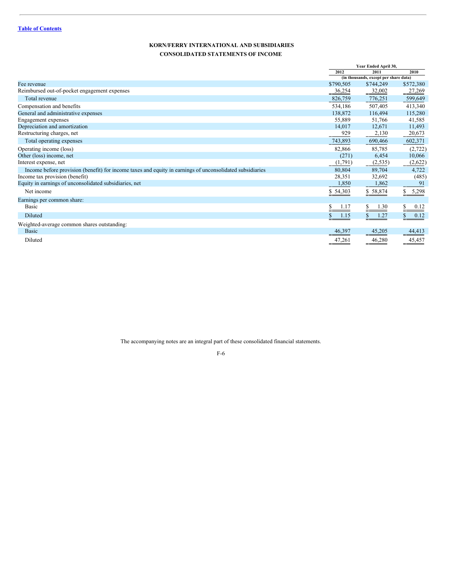# <span id="page-53-0"></span>**KORN/FERRY INTERNATIONAL AND SUBSIDIARIES CONSOLIDATED STATEMENTS OF INCOME**

|                                                                                                          | Year Ended April 30, |                                       |            |
|----------------------------------------------------------------------------------------------------------|----------------------|---------------------------------------|------------|
|                                                                                                          | 2012                 | 2011                                  | 2010       |
|                                                                                                          |                      | (in thousands, except per share data) |            |
| Fee revenue                                                                                              | \$790,505            | \$744,249                             | \$572,380  |
| Reimbursed out-of-pocket engagement expenses                                                             | 36,254               | 32,002                                | 27,269     |
| Total revenue                                                                                            | 826,759              | 776,251                               | 599,649    |
| Compensation and benefits                                                                                | 534,186              | 507,405                               | 413,340    |
| General and administrative expenses                                                                      | 138,872              | 116,494                               | 115,280    |
| Engagement expenses                                                                                      | 55,889               | 51,766                                | 41,585     |
| Depreciation and amortization                                                                            | 14,017               | 12,671                                | 11,493     |
| Restructuring charges, net                                                                               | 929                  | 2,130                                 | 20,673     |
| Total operating expenses                                                                                 | 743,893              | 690,466                               | 602,371    |
| Operating income (loss)                                                                                  | 82,866               | 85,785                                | (2,722)    |
| Other (loss) income, net                                                                                 | (271)                | 6,454                                 | 10,066     |
| Interest expense, net                                                                                    | (1,791)              | (2, 535)                              | (2,622)    |
| Income before provision (benefit) for income taxes and equity in earnings of unconsolidated subsidiaries | 80,804               | 89,704                                | 4,722      |
| Income tax provision (benefit)                                                                           | 28,351               | 32,692                                | (485)      |
| Equity in earnings of unconsolidated subsidiaries, net                                                   | 1,850                | 1,862                                 | 91         |
| Net income                                                                                               | \$54,303             | \$58,874                              | \$ 5,298   |
| Earnings per common share:                                                                               |                      |                                       |            |
| Basic                                                                                                    | \$<br>1.17           | 1.30                                  | S<br>0.12  |
| Diluted                                                                                                  | 1.15                 | 1.27                                  | \$<br>0.12 |
| Weighted-average common shares outstanding:                                                              |                      |                                       |            |
| <b>Basic</b>                                                                                             | 46,397               | 45,205                                | 44,413     |
| Diluted                                                                                                  | 47,261               | 46,280                                | 45,457     |

The accompanying notes are an integral part of these consolidated financial statements.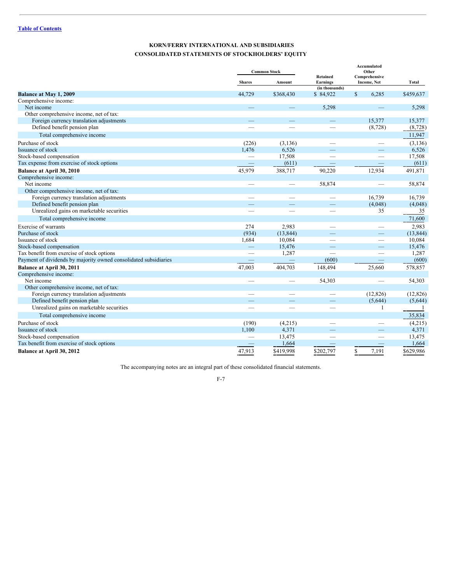# <span id="page-54-0"></span>**KORN/FERRY INTERNATIONAL AND SUBSIDIARIES CONSOLIDATED STATEMENTS OF STOCKHOLDERS' EQUITY**

|                                                                  |                          | <b>Common Stock</b>     |                                       | Accumulated<br>Other         |           |
|------------------------------------------------------------------|--------------------------|-------------------------|---------------------------------------|------------------------------|-----------|
|                                                                  |                          | <b>Shares</b><br>Amount |                                       | Comprehensive<br>Income, Net | Total     |
|                                                                  |                          |                         | <b>Earnings</b><br>(in thousands)     |                              |           |
| <b>Balance at May 1, 2009</b>                                    | 44.729                   | \$368,430               | \$84.922                              | $\mathbb{S}$<br>6,285        | \$459,637 |
| Comprehensive income:                                            |                          |                         |                                       |                              |           |
| Net income                                                       |                          |                         | 5,298                                 |                              | 5,298     |
| Other comprehensive income, net of tax:                          |                          |                         |                                       |                              |           |
| Foreign currency translation adjustments                         |                          |                         | -                                     | 15,377                       | 15,377    |
| Defined benefit pension plan                                     |                          |                         |                                       | (8, 728)                     | (8, 728)  |
| Total comprehensive income                                       |                          |                         |                                       |                              | 11,947    |
| Purchase of stock                                                | (226)                    | (3, 136)                |                                       |                              | (3, 136)  |
| Issuance of stock                                                | 1,476                    | 6,526                   |                                       |                              | 6,526     |
| Stock-based compensation                                         |                          | 17,508                  |                                       |                              | 17,508    |
| Tax expense from exercise of stock options                       | $\overline{\phantom{m}}$ | (611)                   | $\hspace{1.0cm} \rule{1.5cm}{0.15cm}$ | $\overline{\phantom{m}}$     | (611)     |
| Balance at April 30, 2010                                        | 45,979                   | 388,717                 | 90,220                                | 12,934                       | 491,871   |
| Comprehensive income:                                            |                          |                         |                                       |                              |           |
| Net income                                                       |                          |                         | 58,874                                |                              | 58,874    |
| Other comprehensive income, net of tax:                          |                          |                         |                                       |                              |           |
| Foreign currency translation adjustments                         |                          |                         |                                       | 16,739                       | 16,739    |
| Defined benefit pension plan                                     |                          |                         |                                       | (4,048)                      | (4,048)   |
| Unrealized gains on marketable securities                        |                          |                         |                                       | 35                           | 35        |
| Total comprehensive income                                       |                          |                         |                                       |                              | 71,600    |
| Exercise of warrants                                             | 274                      | 2,983                   |                                       |                              | 2,983     |
| Purchase of stock                                                | (934)                    | (13, 844)               |                                       |                              | (13, 844) |
| Issuance of stock                                                | 1,684                    | 10,084                  |                                       |                              | 10,084    |
| Stock-based compensation                                         | $\qquad \qquad -$        | 15,476                  | $\equiv$                              | <u>—</u>                     | 15,476    |
| Tax benefit from exercise of stock options                       |                          | 1,287                   |                                       |                              | 1,287     |
| Payment of dividends by majority owned consolidated subsidiaries | $\qquad \qquad -$        | $\qquad \qquad -$       | (600)                                 | $\qquad \qquad$              | (600)     |
| Balance at April 30, 2011                                        | 47,003                   | 404,703                 | 148,494                               | 25,660                       | 578,857   |
| Comprehensive income:                                            |                          |                         |                                       |                              |           |
| Net income                                                       |                          |                         | 54,303                                |                              | 54,303    |
| Other comprehensive income, net of tax:                          |                          |                         |                                       |                              |           |
| Foreign currency translation adjustments                         |                          |                         |                                       | (12, 826)                    | (12, 826) |
| Defined benefit pension plan                                     |                          |                         |                                       | (5,644)                      | (5,644)   |
| Unrealized gains on marketable securities                        |                          |                         |                                       | 1                            |           |
| Total comprehensive income                                       |                          |                         |                                       |                              | 35,834    |
| Purchase of stock                                                | (190)                    | (4,215)                 |                                       |                              | (4,215)   |
| Issuance of stock                                                | 1,100                    | 4,371                   |                                       |                              | 4,371     |
| Stock-based compensation                                         |                          | 13,475                  | $\overline{\phantom{0}}$              | $\overline{\phantom{0}}$     | 13,475    |
| Tax benefit from exercise of stock options                       |                          | 1,664                   |                                       |                              | 1,664     |
| Balance at April 30, 2012                                        | 47.913                   | \$419,998               | \$202,797                             | \$<br>7,191                  | \$629,986 |

The accompanying notes are an integral part of these consolidated financial statements.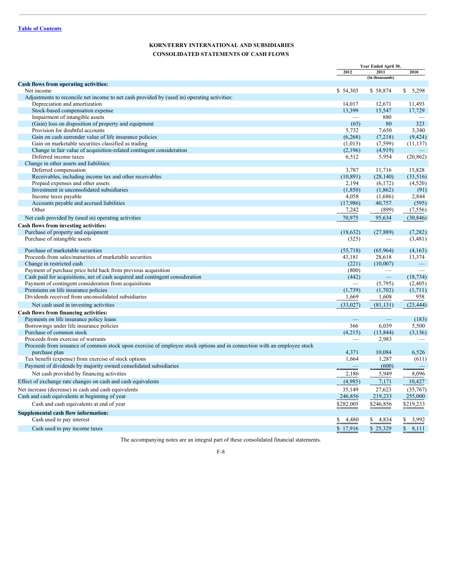# <span id="page-55-0"></span>**KORN/FERRY INTERNATIONAL AND SUBSIDIARIES CONSOLIDATED STATEMENTS OF CASH FLOWS**

|                                                                                                                         | Year Ended April 30,     |                        |             |
|-------------------------------------------------------------------------------------------------------------------------|--------------------------|------------------------|-------------|
|                                                                                                                         | 2012                     | 2011                   | 2010        |
|                                                                                                                         |                          | (in thousands)         |             |
| Cash flows from operating activities:<br>Net income                                                                     |                          |                        |             |
|                                                                                                                         | \$54,303                 | \$58,874               | \$5,298     |
| Adjustments to reconcile net income to net cash provided by (used in) operating activities:                             |                          |                        |             |
| Depreciation and amortization                                                                                           | 14,017                   | 12,671                 | 11,493      |
| Stock-based compensation expense                                                                                        | 13,399                   | 15,547                 | 17,729      |
| Impairment of intangible assets                                                                                         |                          | 880                    |             |
| (Gain) loss on disposition of property and equipment                                                                    | (65)                     | 80                     | 323         |
| Provision for doubtful accounts                                                                                         | 5,732                    | 7,650                  | 3,340       |
| Gain on cash surrender value of life insurance policies                                                                 | (6,268)                  | (7,218)                | (9, 424)    |
| Gain on marketable securities classified as trading                                                                     | (1,013)                  | (7, 599)               | (11, 137)   |
| Change in fair value of acquisition-related contingent consideration                                                    | (2,196)                  | (4,919)                |             |
| Deferred income taxes                                                                                                   | 6,512                    | 5,954                  | (20, 862)   |
| Change in other assets and liabilities:                                                                                 |                          |                        |             |
| Deferred compensation                                                                                                   | 3,787                    | 11,716                 | 15,828      |
| Receivables, including income tax and other receivables                                                                 | (10, 891)                | (28, 140)              | (33,516)    |
| Prepaid expenses and other assets                                                                                       | 2,194                    | (6,172)                | (4,520)     |
| Investment in unconsolidated subsidiaries                                                                               | (1, 850)                 | (1,862)                | (91)        |
| Income taxes payable                                                                                                    | 4,058                    | (1,686)                | 2,844       |
| Accounts payable and accrued liabilities                                                                                | (17,986)                 | 40,757                 | (595)       |
| Other                                                                                                                   | 7,242                    | (899)                  | (7, 556)    |
| Net cash provided by (used in) operating activities                                                                     | 70,975                   | 95,634                 | (30, 846)   |
| Cash flows from investing activities:                                                                                   |                          |                        |             |
| Purchase of property and equipment                                                                                      | (18, 632)                | (27, 889)              | (7, 282)    |
| Purchase of intangible assets                                                                                           | (325)                    |                        | (3,481)     |
|                                                                                                                         |                          |                        |             |
| Purchase of marketable securities                                                                                       | (55,718)                 | (65,964)               | (4,163)     |
| Proceeds from sales/maturities of marketable securities                                                                 | 43,181                   | 28,618                 | 13,374      |
| Change in restricted cash                                                                                               | (221)                    | (10,007)               |             |
| Payment of purchase price held back from previous acquisition                                                           | (800)                    |                        |             |
| Cash paid for acquisitions, net of cash acquired and contingent consideration                                           | (442)                    | $\equiv$               | (18, 734)   |
| Payment of contingent consideration from acquisitions                                                                   |                          | (5,795)                | (2,405)     |
| Premiums on life insurance policies                                                                                     | (1,739)                  | (1,702)                | (1,711)     |
| Dividends received from unconsolidated subsidiaries                                                                     | 1,669                    | 1,608                  | 958         |
| Net cash used in investing activities                                                                                   | (33,027)                 | (81, 131)              | (23, 444)   |
|                                                                                                                         |                          |                        |             |
| Cash flows from financing activities:                                                                                   |                          |                        |             |
| Payments on life insurance policy loans                                                                                 | 366                      | 6,039                  | (183)       |
| Borrowings under life insurance policies<br>Purchase of common stock                                                    |                          |                        | 5,500       |
|                                                                                                                         | (4,215)                  | (13, 844)              | (3, 136)    |
| Proceeds from exercise of warrants                                                                                      | $\overline{\phantom{0}}$ | 2,983                  |             |
| Proceeds from issuance of common stock upon exercise of employee stock options and in connection with an employee stock |                          |                        |             |
| purchase plan                                                                                                           | 4,371                    | 10,084                 | 6,526       |
| Tax benefit (expense) from exercise of stock options                                                                    | 1,664                    | 1,287                  | (611)       |
| Payment of dividends by majority owned consolidated subsidiaries                                                        | $\sim$                   | (600)                  |             |
| Net cash provided by financing activities                                                                               | 2,186                    | 5,949                  | 8,096       |
| Effect of exchange rate changes on cash and cash equivalents                                                            | (4,985)                  | 7,171                  | 10,427      |
| Net increase (decrease) in cash and cash equivalents                                                                    | 35,149                   | 27,623                 | (35,767)    |
| Cash and cash equivalents at beginning of year                                                                          | 246,856                  | 219,233                | 255,000     |
|                                                                                                                         |                          |                        |             |
| Cash and cash equivalents at end of year                                                                                | \$282,005                | \$246,856              | \$219,233   |
| Supplemental cash flow information:                                                                                     |                          |                        |             |
| Cash used to pay interest                                                                                               | 4,480<br>\$              | 4,834<br>\$            | \$<br>3,992 |
| Cash used to pay income taxes                                                                                           | \$17,916                 | 25,329<br>$\mathbb{S}$ | 8,111<br>S  |
|                                                                                                                         |                          |                        |             |

The accompanying notes are an integral part of these consolidated financial statements.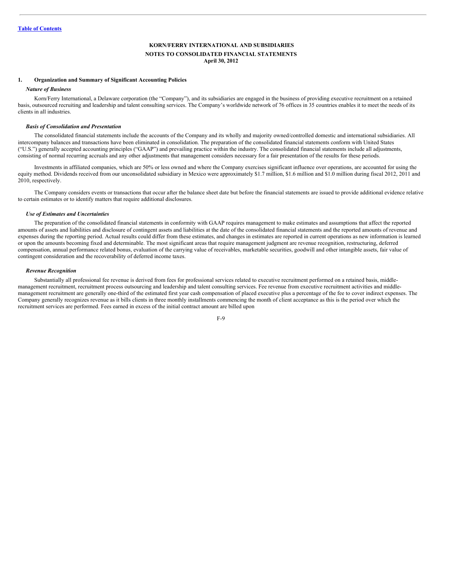## **1. Organization and Summary of Significant Accounting Policies**

#### <span id="page-56-0"></span>*Nature of Business*

Korn/Ferry International, a Delaware corporation (the "Company"), and its subsidiaries are engaged in the business of providing executive recruitment on a retained basis, outsourced recruiting and leadership and talent consulting services. The Company's worldwide network of 76 offices in 35 countries enables it to meet the needs of its clients in all industries.

### *Basis of Consolidation and Presentation*

The consolidated financial statements include the accounts of the Company and its wholly and majority owned/controlled domestic and international subsidiaries. All intercompany balances and transactions have been eliminated in consolidation. The preparation of the consolidated financial statements conform with United States ("U.S.") generally accepted accounting principles ("GAAP") and prevailing practice within the industry. The consolidated financial statements include all adjustments, consisting of normal recurring accruals and any other adjustments that management considers necessary for a fair presentation of the results for these periods.

Investments in affiliated companies, which are 50% or less owned and where the Company exercises significant influence over operations, are accounted for using the equity method. Dividends received from our unconsolidated subsidiary in Mexico were approximately \$1.7 million, \$1.6 million and \$1.0 million during fiscal 2012, 2011 and 2010, respectively.

The Company considers events or transactions that occur after the balance sheet date but before the financial statements are issued to provide additional evidence relative to certain estimates or to identify matters that require additional disclosures.

### *Use of Estimates and Uncertainties*

The preparation of the consolidated financial statements in conformity with GAAP requires management to make estimates and assumptions that affect the reported amounts of assets and liabilities and disclosure of contingent assets and liabilities at the date of the consolidated financial statements and the reported amounts of revenue and expenses during the reporting period. Actual results could differ from these estimates, and changes in estimates are reported in current operations as new information is learned or upon the amounts becoming fixed and determinable. The most significant areas that require management judgment are revenue recognition, restructuring, deferred compensation, annual performance related bonus, evaluation of the carrying value of receivables, marketable securities, goodwill and other intangible assets, fair value of contingent consideration and the recoverability of deferred income taxes.

#### *Revenue Recognition*

Substantially all professional fee revenue is derived from fees for professional services related to executive recruitment performed on a retained basis, middlemanagement recruitment, recruitment process outsourcing and leadership and talent consulting services. Fee revenue from executive recruitment activities and middlemanagement recruitment are generally one-third of the estimated first year cash compensation of placed executive plus a percentage of the fee to cover indirect expenses. The Company generally recognizes revenue as it bills clients in three monthly installments commencing the month of client acceptance as this is the period over which the recruitment services are performed. Fees earned in excess of the initial contract amount are billed upon

F-9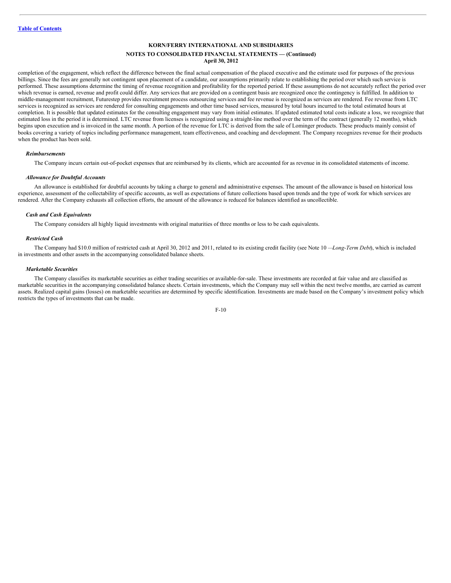# **NOTES TO CONSOLIDATED FINANCIAL STATEMENTS — (Continued) April 30, 2012**

completion of the engagement, which reflect the difference between the final actual compensation of the placed executive and the estimate used for purposes of the previous billings. Since the fees are generally not contingent upon placement of a candidate, our assumptions primarily relate to establishing the period over which such service is performed. These assumptions determine the timing of revenue recognition and profitability for the reported period. If these assumptions do not accurately reflect the period over which revenue is earned, revenue and profit could differ. Any services that are provided on a contingent basis are recognized once the contingency is fulfilled. In addition to middle-management recruitment, Futurestep provides recruitment process outsourcing services and fee revenue is recognized as services are rendered. Fee revenue from LTC services is recognized as services are rendered for consulting engagements and other time based services, measured by total hours incurred to the total estimated hours at completion. It is possible that updated estimates for the consulting engagement may vary from initial estimates. If updated estimated total costs indicate a loss, we recognize that estimated loss in the period it is determined. LTC revenue from licenses is recognized using a straight-line method over the term of the contract (generally 12 months), which begins upon execution and is invoiced in the same month. A portion of the revenue for LTC is derived from the sale of Lominger products. These products mainly consist of books covering a variety of topics including performance management, team effectiveness, and coaching and development. The Company recognizes revenue for their products when the product has been sold.

### *Reimbursements*

The Company incurs certain out-of-pocket expenses that are reimbursed by its clients, which are accounted for as revenue in its consolidated statements of income.

### *Allowance for Doubtful Accounts*

An allowance is established for doubtful accounts by taking a charge to general and administrative expenses. The amount of the allowance is based on historical loss experience, assessment of the collectability of specific accounts, as well as expectations of future collections based upon trends and the type of work for which services are rendered. After the Company exhausts all collection efforts, the amount of the allowance is reduced for balances identified as uncollectible.

#### *Cash and Cash Equivalents*

The Company considers all highly liquid investments with original maturities of three months or less to be cash equivalents.

#### *Restricted Cash*

The Company had \$10.0 million of restricted cash at April 30, 2012 and 2011, related to its existing credit facility (see Note 10 —*Long-Term Debt*), which is included in investments and other assets in the accompanying consolidated balance sheets.

#### *Marketable Securities*

The Company classifies its marketable securities as either trading securities or available-for-sale. These investments are recorded at fair value and are classified as marketable securities in the accompanying consolidated balance sheets. Certain investments, which the Company may sell within the next twelve months, are carried as current assets. Realized capital gains (losses) on marketable securities are determined by specific identification. Investments are made based on the Company's investment policy which restricts the types of investments that can be made.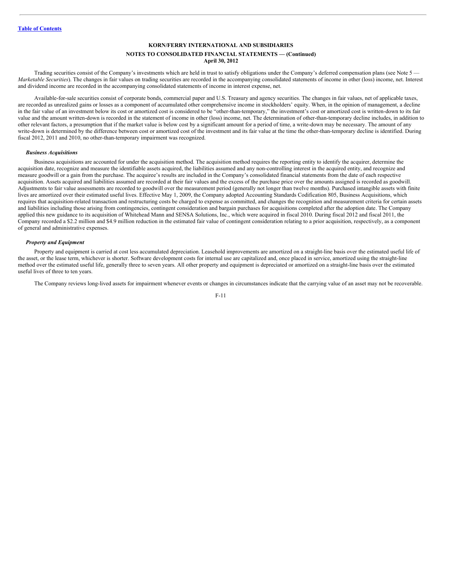# **NOTES TO CONSOLIDATED FINANCIAL STATEMENTS — (Continued) April 30, 2012**

Trading securities consist of the Company's investments which are held in trust to satisfy obligations under the Company's deferred compensation plans (see Note 5 — *Marketable Securities*). The changes in fair values on trading securities are recorded in the accompanying consolidated statements of income in other (loss) income, net. Interest and dividend income are recorded in the accompanying consolidated statements of income in interest expense, net.

Available-for-sale securities consist of corporate bonds, commercial paper and U.S. Treasury and agency securities. The changes in fair values, net of applicable taxes, are recorded as unrealized gains or losses as a component of accumulated other comprehensive income in stockholders' equity. When, in the opinion of management, a decline in the fair value of an investment below its cost or amortized cost is considered to be "other-than-temporary," the investment's cost or amortized cost is written-down to its fair value and the amount written-down is recorded in the statement of income in other (loss) income, net. The determination of other-than-temporary decline includes, in addition to other relevant factors, a presumption that if the market value is below cost by a significant amount for a period of time, a write-down may be necessary. The amount of any write-down is determined by the difference between cost or amortized cost of the investment and its fair value at the time the other-than-temporary decline is identified. During fiscal 2012, 2011 and 2010, no other-than-temporary impairment was recognized.

### *Business Acquisitions*

Business acquisitions are accounted for under the acquisition method. The acquisition method requires the reporting entity to identify the acquirer, determine the acquisition date, recognize and measure the identifiable assets acquired, the liabilities assumed and any non-controlling interest in the acquired entity, and recognize and measure goodwill or a gain from the purchase. The acquiree's results are included in the Company's consolidated financial statements from the date of each respective acquisition. Assets acquired and liabilities assumed are recorded at their fair values and the excess of the purchase price over the amounts assigned is recorded as goodwill. Adjustments to fair value assessments are recorded to goodwill over the measurement period (generally not longer than twelve months). Purchased intangible assets with finite lives are amortized over their estimated useful lives. Effective May 1, 2009, the Company adopted Accounting Standards Codification 805, Business Acquisitions, which requires that acquisition-related transaction and restructuring costs be charged to expense as committed, and changes the recognition and measurement criteria for certain assets and liabilities including those arising from contingencies, contingent consideration and bargain purchases for acquisitions completed after the adoption date. The Company applied this new guidance to its acquisition of Whitehead Mann and SENSA Solutions, Inc., which were acquired in fiscal 2010. During fiscal 2012 and fiscal 2011, the Company recorded a \$2.2 million and \$4.9 million reduction in the estimated fair value of contingent consideration relating to a prior acquisition, respectively, as a component of general and administrative expenses.

## *Property and Equipment*

Property and equipment is carried at cost less accumulated depreciation. Leasehold improvements are amortized on a straight-line basis over the estimated useful life of the asset, or the lease term, whichever is shorter. Software development costs for internal use are capitalized and, once placed in service, amortized using the straight-line method over the estimated useful life, generally three to seven years. All other property and equipment is depreciated or amortized on a straight-line basis over the estimated useful lives of three to ten years.

The Company reviews long-lived assets for impairment whenever events or changes in circumstances indicate that the carrying value of an asset may not be recoverable.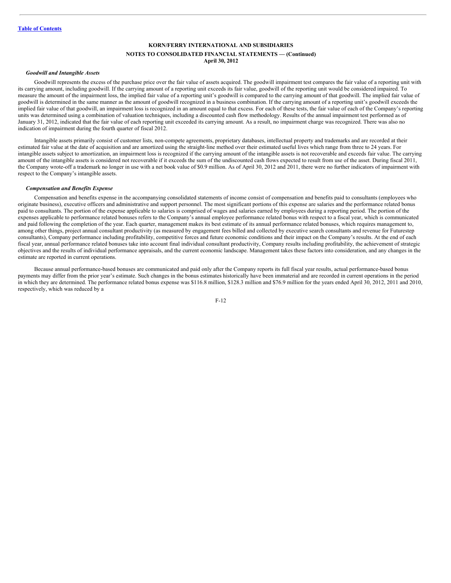## *Goodwill and Intangible Assets*

Goodwill represents the excess of the purchase price over the fair value of assets acquired. The goodwill impairment test compares the fair value of a reporting unit with its carrying amount, including goodwill. If the carrying amount of a reporting unit exceeds its fair value, goodwill of the reporting unit would be considered impaired. To measure the amount of the impairment loss, the implied fair value of a reporting unit's goodwill is compared to the carrying amount of that goodwill. The implied fair value of goodwill is determined in the same manner as the amount of goodwill recognized in a business combination. If the carrying amount of a reporting unit's goodwill exceeds the implied fair value of that goodwill, an impairment loss is recognized in an amount equal to that excess. For each of these tests, the fair value of each of the Company's reporting units was determined using a combination of valuation techniques, including a discounted cash flow methodology. Results of the annual impairment test performed as of January 31, 2012, indicated that the fair value of each reporting unit exceeded its carrying amount. As a result, no impairment charge was recognized. There was also no indication of impairment during the fourth quarter of fiscal 2012.

Intangible assets primarily consist of customer lists, non-compete agreements, proprietary databases, intellectual property and trademarks and are recorded at their estimated fair value at the date of acquisition and are amortized using the straight-line method over their estimated useful lives which range from three to 24 years. For intangible assets subject to amortization, an impairment loss is recognized if the carrying amount of the intangible assets is not recoverable and exceeds fair value. The carrying amount of the intangible assets is considered not recoverable if it exceeds the sum of the undiscounted cash flows expected to result from use of the asset. During fiscal 2011, the Company wrote-off a trademark no longer in use with a net book value of \$0.9 million. As of April 30, 2012 and 2011, there were no further indicators of impairment with respect to the Company's intangible assets.

#### *Compensation and Benefits Expense*

Compensation and benefits expense in the accompanying consolidated statements of income consist of compensation and benefits paid to consultants (employees who originate business), executive officers and administrative and support personnel. The most significant portions of this expense are salaries and the performance related bonus paid to consultants. The portion of the expense applicable to salaries is comprised of wages and salaries earned by employees during a reporting period. The portion of the expenses applicable to performance related bonuses refers to the Company's annual employee performance related bonus with respect to a fiscal year, which is communicated and paid following the completion of the year. Each quarter, management makes its best estimate of its annual performance related bonuses, which requires management to, among other things, project annual consultant productivity (as measured by engagement fees billed and collected by executive search consultants and revenue for Futurestep consultants), Company performance including profitability, competitive forces and future economic conditions and their impact on the Company's results. At the end of each fiscal year, annual performance related bonuses take into account final individual consultant productivity, Company results including profitability, the achievement of strategic objectives and the results of individual performance appraisals, and the current economic landscape. Management takes these factors into consideration, and any changes in the estimate are reported in current operations.

Because annual performance-based bonuses are communicated and paid only after the Company reports its full fiscal year results, actual performance-based bonus payments may differ from the prior year's estimate. Such changes in the bonus estimates historically have been immaterial and are recorded in current operations in the period in which they are determined. The performance related bonus expense was \$116.8 million, \$128.3 million and \$76.9 million for the years ended April 30, 2012, 2011 and 2010, respectively, which was reduced by a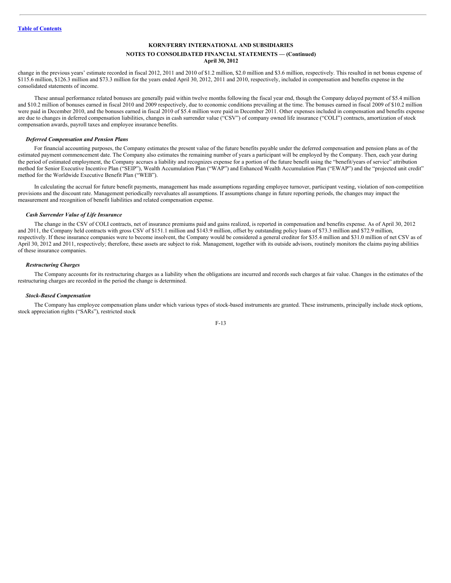# **NOTES TO CONSOLIDATED FINANCIAL STATEMENTS — (Continued) April 30, 2012**

change in the previous years' estimate recorded in fiscal 2012, 2011 and 2010 of \$1.2 million, \$2.0 million and \$3.6 million, respectively. This resulted in net bonus expense of \$115.6 million, \$126.3 million and \$73.3 million for the years ended April 30, 2012, 2011 and 2010, respectively, included in compensation and benefits expense in the consolidated statements of income.

These annual performance related bonuses are generally paid within twelve months following the fiscal year end, though the Company delayed payment of \$5.4 million and \$10.2 million of bonuses earned in fiscal 2010 and 2009 respectively, due to economic conditions prevailing at the time. The bonuses earned in fiscal 2009 of \$10.2 million were paid in December 2010, and the bonuses earned in fiscal 2010 of \$5.4 million were paid in December 2011. Other expenses included in compensation and benefits expense are due to changes in deferred compensation liabilities, changes in cash surrender value ("CSV") of company owned life insurance ("COLI") contracts, amortization of stock compensation awards, payroll taxes and employee insurance benefits.

#### *Deferred Compensation and Pension Plans*

For financial accounting purposes, the Company estimates the present value of the future benefits payable under the deferred compensation and pension plans as of the estimated payment commencement date. The Company also estimates the remaining number of years a participant will be employed by the Company. Then, each year during the period of estimated employment, the Company accrues a liability and recognizes expense for a portion of the future benefit using the "benefit/years of service" attribution method for Senior Executive Incentive Plan ("SEIP"), Wealth Accumulation Plan ("WAP") and Enhanced Wealth Accumulation Plan ("EWAP") and the "projected unit credit" method for the Worldwide Executive Benefit Plan ("WEB").

In calculating the accrual for future benefit payments, management has made assumptions regarding employee turnover, participant vesting, violation of non-competition provisions and the discount rate. Management periodically reevaluates all assumptions. If assumptions change in future reporting periods, the changes may impact the measurement and recognition of benefit liabilities and related compensation expense.

### *Cash Surrender Value of Life Insurance*

The change in the CSV of COLI contracts, net of insurance premiums paid and gains realized, is reported in compensation and benefits expense. As of April 30, 2012 and 2011, the Company held contracts with gross CSV of \$151.1 million and \$143.9 million, offset by outstanding policy loans of \$73.3 million and \$72.9 million, respectively. If these insurance companies were to become insolvent, the Company would be considered a general creditor for \$35.4 million and \$31.0 million of net CSV as of April 30, 2012 and 2011, respectively; therefore, these assets are subject to risk. Management, together with its outside advisors, routinely monitors the claims paying abilities of these insurance companies.

#### *Restructuring Charges*

The Company accounts for its restructuring charges as a liability when the obligations are incurred and records such charges at fair value. Changes in the estimates of the restructuring charges are recorded in the period the change is determined.

#### *Stock-Based Compensation*

The Company has employee compensation plans under which various types of stock-based instruments are granted. These instruments, principally include stock options, stock appreciation rights ("SARs"), restricted stock

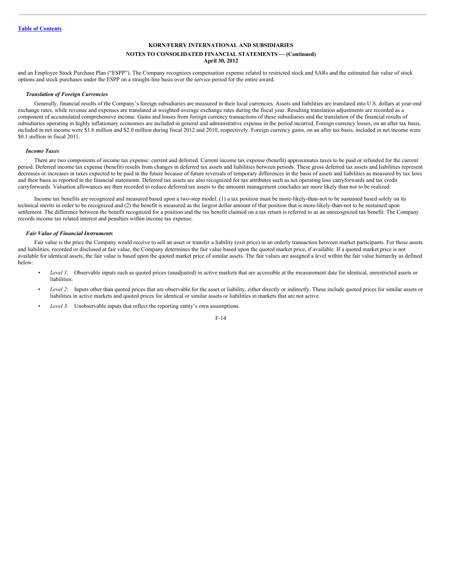# **NOTES TO CONSOLIDATED FINANCIAL STATEMENTS — (Continued) April 30, 2012**

and an Employee Stock Purchase Plan ("ESPP"). The Company recognizes compensation expense related to restricted stock and SARs and the estimated fair value of stock options and stock purchases under the ESPP on a straight-line basis over the service period for the entire award.

#### *Translation of Foreign Currencies*

Generally, financial results of the Company's foreign subsidiaries are measured in their local currencies. Assets and liabilities are translated into U.S. dollars at year-end exchange rates, while revenue and expenses are translated at weighted-average exchange rates during the fiscal year. Resulting translation adjustments are recorded as a component of accumulated comprehensive income. Gains and losses from foreign currency transactions of these subsidiaries and the translation of the financial results of subsidiaries operating in highly inflationary economies are included in general and administrative expense in the period incurred. Foreign currency losses, on an after tax basis, included in net income were \$1.6 million and \$2.0 million during fiscal 2012 and 2010, respectively. Foreign currency gains, on an after tax basis, included in net income were \$0.1 million in fiscal 2011.

#### *Income Taxes*

There are two components of income tax expense: current and deferred. Current income tax expense (benefit) approximates taxes to be paid or refunded for the current period. Deferred income tax expense (benefit) results from changes in deferred tax assets and liabilities between periods. These gross deferred tax assets and liabilities represent decreases or increases in taxes expected to be paid in the future because of future reversals of temporary differences in the basis of assets and liabilities as measured by tax laws and their basis as reported in the financial statements. Deferred tax assets are also recognized for tax attributes such as net operating loss carryforwards and tax credit carryforwards. Valuation allowances are then recorded to reduce deferred tax assets to the amounts management concludes are more likely than not to be realized.

Income tax benefits are recognized and measured based upon a two-step model: (1) a tax position must be more-likely-than-not to be sustained based solely on its technical merits in order to be recognized and (2) the benefit is measured as the largest dollar amount of that position that is more-likely-than-not to be sustained upon settlement. The difference between the benefit recognized for a position and the tax benefit claimed on a tax return is referred to as an unrecognized tax benefit. The Company records income tax related interest and penalties within income tax expense.

#### *Fair Value of Financial Instruments*

Fair value is the price the Company would receive to sell an asset or transfer a liability (exit price) in an orderly transaction between market participants. For those assets and liabilities, recorded or disclosed at fair value, the Company determines the fair value based upon the quoted market price, if available. If a quoted market price is not available for identical assets, the fair value is based upon the quoted market price of similar assets. The fair values are assigned a level within the fair value hierarchy as defined below:

- *Level 1*: Observable inputs such as quoted prices (unadjusted) in active markets that are accessible at the measurement date for identical, unrestricted assets or **liabilities**
- *Level 2*: Inputs other than quoted prices that are observable for the asset or liability, either directly or indirectly. These include quoted prices for similar assets or liabilities in active markets and quoted prices for identical or similar assets or liabilities in markets that are not active.
- *Level* 3: Unobservable inputs that reflect the reporting entity's own assumptions.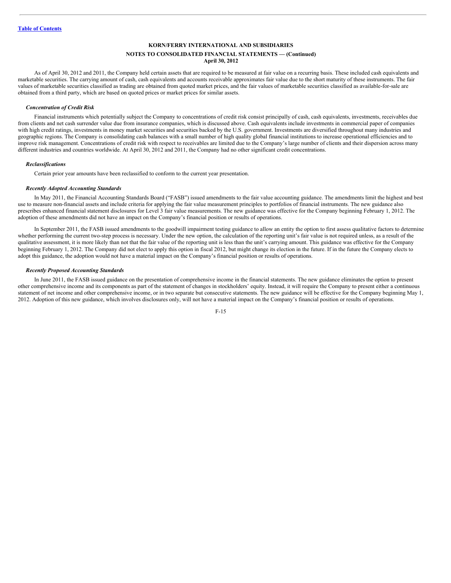## **NOTES TO CONSOLIDATED FINANCIAL STATEMENTS — (Continued) April 30, 2012**

As of April 30, 2012 and 2011, the Company held certain assets that are required to be measured at fair value on a recurring basis. These included cash equivalents and marketable securities. The carrying amount of cash, cash equivalents and accounts receivable approximates fair value due to the short maturity of these instruments. The fair values of marketable securities classified as trading are obtained from quoted market prices, and the fair values of marketable securities classified as available-for-sale are obtained from a third party, which are based on quoted prices or market prices for similar assets.

#### *Concentration of Credit Risk*

Financial instruments which potentially subject the Company to concentrations of credit risk consist principally of cash, cash equivalents, investments, receivables due from clients and net cash surrender value due from insurance companies, which is discussed above. Cash equivalents include investments in commercial paper of companies with high credit ratings, investments in money market securities and securities backed by the U.S. government. Investments are diversified throughout many industries and geographic regions. The Company is consolidating cash balances with a small number of high quality global financial institutions to increase operational efficiencies and to improve risk management. Concentrations of credit risk with respect to receivables are limited due to the Company's large number of clients and their dispersion across many different industries and countries worldwide. At April 30, 2012 and 2011, the Company had no other significant credit concentrations.

#### *Reclassifications*

Certain prior year amounts have been reclassified to conform to the current year presentation.

#### *Recently Adopted Accounting Standards*

In May 2011, the Financial Accounting Standards Board ("FASB") issued amendments to the fair value accounting guidance. The amendments limit the highest and best use to measure non-financial assets and include criteria for applying the fair value measurement principles to portfolios of financial instruments. The new guidance also prescribes enhanced financial statement disclosures for Level 3 fair value measurements. The new guidance was effective for the Company beginning February 1, 2012. The adoption of these amendments did not have an impact on the Company's financial position or results of operations.

In September 2011, the FASB issued amendments to the goodwill impairment testing guidance to allow an entity the option to first assess qualitative factors to determine whether performing the current two-step process is necessary. Under the new option, the calculation of the reporting unit's fair value is not required unless, as a result of the qualitative assessment, it is more likely than not that the fair value of the reporting unit is less than the unit's carrying amount. This guidance was effective for the Company beginning February 1, 2012. The Company did not elect to apply this option in fiscal 2012, but might change its election in the future. If in the future the Company elects to adopt this guidance, the adoption would not have a material impact on the Company's financial position or results of operations.

### *Recently Proposed Accounting Standards*

In June 2011, the FASB issued guidance on the presentation of comprehensive income in the financial statements. The new guidance eliminates the option to present other comprehensive income and its components as part of the statement of changes in stockholders' equity. Instead, it will require the Company to present either a continuous statement of net income and other comprehensive income, or in two separate but consecutive statements. The new guidance will be effective for the Company beginning May 1, 2012. Adoption of this new guidance, which involves disclosures only, will not have a material impact on the Company's financial position or results of operations.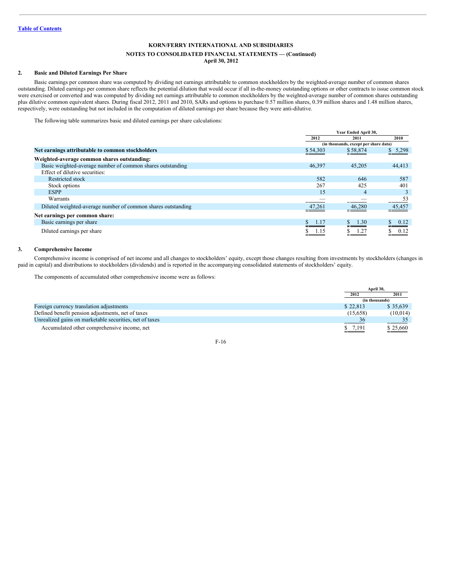## **NOTES TO CONSOLIDATED FINANCIAL STATEMENTS — (Continued) April 30, 2012**

# **2. Basic and Diluted Earnings Per Share**

Basic earnings per common share was computed by dividing net earnings attributable to common stockholders by the weighted-average number of common shares outstanding. Diluted earnings per common share reflects the potential dilution that would occur if all in-the-money outstanding options or other contracts to issue common stock were exercised or converted and was computed by dividing net earnings attributable to common stockholders by the weighted-average number of common shares outstanding plus dilutive common equivalent shares. During fiscal 2012, 2011 and 2010, SARs and options to purchase 0.57 million shares, 0.39 million shares and 1.48 million shares, respectively, were outstanding but not included in the computation of diluted earnings per share because they were anti-dilutive.

The following table summarizes basic and diluted earnings per share calculations:

|                                                              |          | Year Ended April 30,                  |         |  |
|--------------------------------------------------------------|----------|---------------------------------------|---------|--|
|                                                              | 2012     | 2011                                  | 2010    |  |
|                                                              |          | (in thousands, except per share data) |         |  |
| Net earnings attributable to common stockholders             | \$54,303 | \$58,874                              | \$5,298 |  |
| Weighted-average common shares outstanding:                  |          |                                       |         |  |
| Basic weighted-average number of common shares outstanding   | 46,397   | 45,205                                | 44,413  |  |
| Effect of dilutive securities:                               |          |                                       |         |  |
| Restricted stock                                             | 582      | 646                                   | 587     |  |
| Stock options                                                | 267      | 425                                   | 401     |  |
| <b>ESPP</b>                                                  | 15       | 4                                     |         |  |
| Warrants                                                     |          |                                       | 53      |  |
| Diluted weighted-average number of common shares outstanding | 47,261   | 46,280                                | 45,457  |  |
| Net earnings per common share:                               |          |                                       |         |  |
| Basic earnings per share                                     | 1.17     | 1.30                                  | 0.12    |  |
| Diluted earnings per share                                   |          | 1.27                                  | \$ 0.12 |  |

# **3. Comprehensive Income**

Comprehensive income is comprised of net income and all changes to stockholders' equity, except those changes resulting from investments by stockholders (changes in paid in capital) and distributions to stockholders (dividends) and is reported in the accompanying consolidated statements of stockholders' equity.

The components of accumulated other comprehensive income were as follows:

|                                                         |               | April 30.      |
|---------------------------------------------------------|---------------|----------------|
|                                                         | 2012          | 2011           |
|                                                         |               | (in thousands) |
| Foreign currency translation adjustments                | \$22.813      | \$35.639       |
| Defined benefit pension adjustments, net of taxes       | (15,658)      | (10,014)       |
| Unrealized gains on marketable securities, net of taxes | 36            | $\sim$         |
| Accumulated other comprehensive income, net             | 7,191<br>____ | \$25,660       |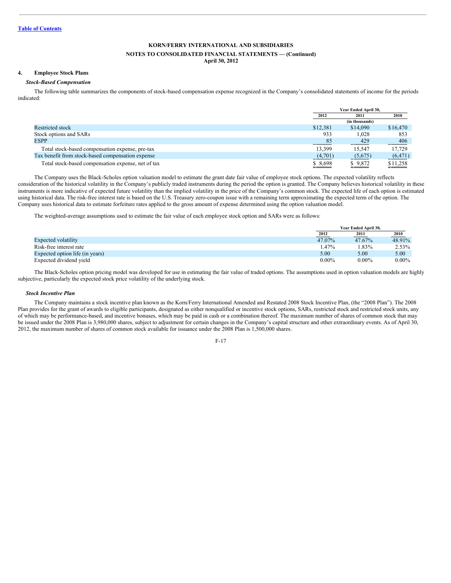# **NOTES TO CONSOLIDATED FINANCIAL STATEMENTS — (Continued)**

**April 30, 2012**

# **4. Employee Stock Plans**

## *Stock-Based Compensation*

The following table summarizes the components of stock-based compensation expense recognized in the Company's consolidated statements of income for the periods indicated:

|                                                    | Year Ended April 30, |                |          |
|----------------------------------------------------|----------------------|----------------|----------|
|                                                    | 2012                 | 2011           | 2010     |
|                                                    |                      | (in thousands) |          |
| Restricted stock                                   | \$12,381             | \$14,090       | \$16,470 |
| Stock options and SARs                             | 933                  | 1.028          | 853      |
| <b>ESPP</b>                                        | 85                   | 429            | 406      |
| Total stock-based compensation expense, pre-tax    | 13.399               | 15.547         | 17.729   |
| Tax benefit from stock-based compensation expense  | (4,701)              | (5,675)        | (6,471)  |
| Total stock-based compensation expense, net of tax | \$ 8,698<br>_____    | \$9,872        | \$11,258 |

The Company uses the Black-Scholes option valuation model to estimate the grant date fair value of employee stock options. The expected volatility reflects consideration of the historical volatility in the Company's publicly traded instruments during the period the option is granted. The Company believes historical volatility in these instruments is more indicative of expected future volatility than the implied volatility in the price of the Company's common stock. The expected life of each option is estimated using historical data. The risk-free interest rate is based on the U.S. Treasury zero-coupon issue with a remaining term approximating the expected term of the option. The Company uses historical data to estimate forfeiture rates applied to the gross amount of expense determined using the option valuation model.

The weighted-average assumptions used to estimate the fair value of each employee stock option and SARs were as follows:

|                                 |          | Year Ended April 30, |          |  |
|---------------------------------|----------|----------------------|----------|--|
|                                 | 2012     | 2011                 | 2010     |  |
| <b>Expected volatility</b>      | 47.07%   | 47.67%               | 48.91%   |  |
| Risk-free interest rate         | 1.47%    | 1.83%                | 2.53%    |  |
| Expected option life (in years) | 5.00     | 5.00                 | 5.00     |  |
| Expected dividend yield         | $0.00\%$ | $0.00\%$             | $0.00\%$ |  |

The Black-Scholes option pricing model was developed for use in estimating the fair value of traded options. The assumptions used in option valuation models are highly subjective, particularly the expected stock price volatility of the underlying stock.

#### *Stock Incentive Plan*

The Company maintains a stock incentive plan known as the Korn/Ferry International Amended and Restated 2008 Stock Incentive Plan, (the "2008 Plan"). The 2008 Plan provides for the grant of awards to eligible participants, designated as either nonqualified or incentive stock options, SARs, restricted stock and restricted stock units, any of which may be performance-based, and incentive bonuses, which may be paid in cash or a combination thereof. The maximum number of shares of common stock that may be issued under the 2008 Plan is 3,980,000 shares, subject to adjustment for certain changes in the Company's capital structure and other extraordinary events. As of April 30, 2012, the maximum number of shares of common stock available for issuance under the 2008 Plan is 1,500,000 shares.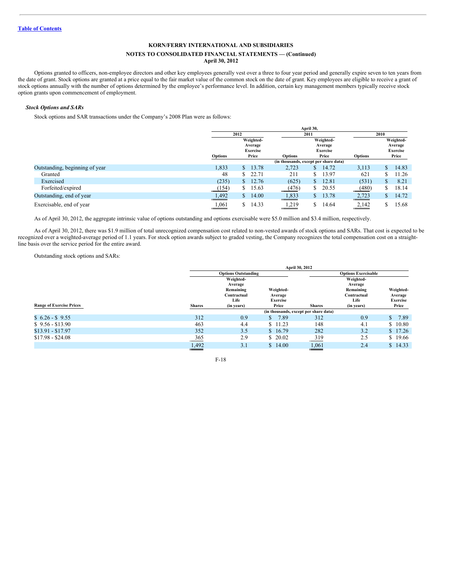## **NOTES TO CONSOLIDATED FINANCIAL STATEMENTS — (Continued) April 30, 2012**

Options granted to officers, non-employee directors and other key employees generally vest over a three to four year period and generally expire seven to ten years from the date of grant. Stock options are granted at a price equal to the fair market value of the common stock on the date of grant. Key employees are eligible to receive a grant of stock options annually with the number of options determined by the employee's performance level. In addition, certain key management members typically receive stock option grants upon commencement of employment.

# *Stock Options and SARs*

Stock options and SAR transactions under the Company's 2008 Plan were as follows:

|                                | April 30,      |                                  |                |                                                |                |                                  |      |  |
|--------------------------------|----------------|----------------------------------|----------------|------------------------------------------------|----------------|----------------------------------|------|--|
|                                | 2012           |                                  | 2011           |                                                |                |                                  | 2010 |  |
|                                |                | Weighted-<br>Average<br>Exercise |                | Weighted-<br>Average<br><b>Exercise</b>        |                | Weighted-<br>Average<br>Exercise |      |  |
|                                | <b>Options</b> | Price                            | <b>Options</b> | Price<br>(in thousands, except per share data) | <b>Options</b> | Price                            |      |  |
| Outstanding, beginning of year | 1,833          | \$13.78                          | 2.723          | S.<br>14.72                                    | 3,113          | 14.83<br>\$                      |      |  |
| Granted                        | 48             | \$22.71                          | 211            | 13.97<br>S.                                    | 621            | 1.26<br>S.                       |      |  |
| Exercised                      | (235)          | \$12.76                          | (625)          | 12.81<br>$\mathbb{S}^-$                        | (531)          | 8.21<br>\$                       |      |  |
| Forfeited/expired              | (154)          | 15.63<br>S.                      | (476)          | S.<br>20.55                                    | (480)          | S.<br>18.14                      |      |  |
| Outstanding, end of year       | 1,492          | 14.00<br>\$                      | 1,833          | \$13.78                                        | 2,723          | 14.72<br>\$                      |      |  |
| Exercisable, end of year       | 1,061          | 14.33<br>S.                      | 1,219          | S<br>14.64                                     | 2,142          | 15.68<br>\$                      |      |  |

As of April 30, 2012, the aggregate intrinsic value of options outstanding and options exercisable were \$5.0 million and \$3.4 million, respectively.

As of April 30, 2012, there was \$1.9 million of total unrecognized compensation cost related to non-vested awards of stock options and SARs. That cost is expected to be recognized over a weighted-average period of 1.1 years. For stock option awards subject to graded vesting, the Company recognizes the total compensation cost on a straightline basis over the service period for the entire award.

Outstanding stock options and SARs:

|                                 |               | April 30, 2012             |              |                                       |                            |                      |  |  |
|---------------------------------|---------------|----------------------------|--------------|---------------------------------------|----------------------------|----------------------|--|--|
|                                 |               | <b>Options Outstanding</b> |              |                                       | <b>Options Exercisable</b> |                      |  |  |
|                                 |               | Weighted-                  |              |                                       | Weighted-                  |                      |  |  |
|                                 |               | Average                    |              |                                       | Average                    |                      |  |  |
|                                 |               | Remaining                  | Weighted-    |                                       | Remaining                  | Weighted-            |  |  |
|                                 |               | Contractual                | Average      |                                       | Contractual                | Average              |  |  |
|                                 |               | Life                       | Exercise     |                                       | Life                       | <b>Exercise</b>      |  |  |
| <b>Range of Exercise Prices</b> | <b>Shares</b> | (in years)                 | Price        | <b>Shares</b>                         | (in years)                 | Price                |  |  |
|                                 |               |                            |              | (in thousands, except per share data) |                            |                      |  |  |
| $$6.26-S9.55$                   | 312           | 0.9                        | 7.89<br>\$.  | 312                                   | 0.9                        | 7.89<br>$\mathbf{s}$ |  |  |
| $$9.56 - $13.90$                | 463           | 4.4                        | 11.23<br>S.  | 148                                   | 4.1                        | \$10.80              |  |  |
| $$13.91 - $17.97$               | 352           | 3.5                        | \$16.79      | 282                                   | 3.2                        | \$17.26              |  |  |
| $$17.98 - $24.08$               | 365           | 2.9                        | \$20.02      | $\frac{319}{2}$                       | 2.5                        | \$19.66              |  |  |
|                                 | 1,492         | 3.1                        | 14.00<br>\$. | 1,061                                 | 2.4                        | \$14.33              |  |  |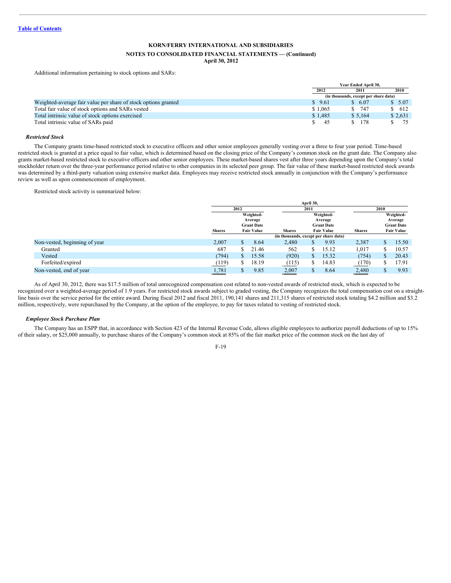Additional information pertaining to stock options and SARs:

|                                                                |         | Year Ended April 30.                  |         |  |
|----------------------------------------------------------------|---------|---------------------------------------|---------|--|
|                                                                | 2012    | 2011                                  | 2010    |  |
|                                                                |         | (in thousands, except per share data) |         |  |
| Weighted-average fair value per share of stock options granted | \$9.61  | \$6.07                                | \$5.07  |  |
| Total fair value of stock options and SARs vested              | \$1.065 | \$ 747                                | \$612   |  |
| Total intrinsic value of stock options exercised               | \$1.485 | \$5.164                               | \$2,631 |  |
| Total intrinsic value of SARs paid                             | -45     | 178<br>$\mathcal{S}$                  | 75      |  |

#### *Restricted Stock*

The Company grants time-based restricted stock to executive officers and other senior employees generally vesting over a three to four year period. Time-based restricted stock is granted at a price equal to fair value, which is determined based on the closing price of the Company's common stock on the grant date. The Company also grants market-based restricted stock to executive officers and other senior employees. These market-based shares vest after three years depending upon the Company's total stockholder return over the three-year performance period relative to other companies in its selected peer group. The fair value of these market-based restricted stock awards was determined by a third-party valuation using extensive market data. Employees may receive restricted stock annually in conjunction with the Company's performance review as well as upon commencement of employment.

Restricted stock activity is summarized below:

|                               | April 30,     |  |                   |                                       |      |                   |               |         |                   |
|-------------------------------|---------------|--|-------------------|---------------------------------------|------|-------------------|---------------|---------|-------------------|
|                               | 2012          |  |                   |                                       | 2011 |                   |               | 2010    |                   |
|                               |               |  | Weighted-         |                                       |      | Weighted-         |               |         | Weighted-         |
|                               |               |  | Average           |                                       |      | Average           |               |         | Average           |
|                               |               |  | <b>Grant Date</b> |                                       |      | <b>Grant Date</b> |               |         | <b>Grant Date</b> |
|                               | <b>Shares</b> |  | <b>Fair Value</b> | <b>Shares</b>                         |      | <b>Fair Value</b> | <b>Shares</b> |         | <b>Fair Value</b> |
|                               |               |  |                   | (in thousands, except per share data) |      |                   |               |         |                   |
| Non-vested, beginning of year | 2,007         |  | 8.64              | 2,480                                 |      | 9.93              | 2,387         |         | 15.50             |
| Granted                       | 687           |  | 21.46             | 562                                   |      | 15.12             | 1,017         |         | 10.57             |
| Vested                        | (794)         |  | 15.58             | (920)                                 | S    | 15.32             | (754)         | S       | 20.43             |
| Forfeited/expired             | (119)         |  | 18.19             | (115)                                 | \$   | 14.83             | (170)         | S       | 17.91             |
| Non-vested, end of year       | 1,781         |  | 9.85              | 2,007                                 | D    | 8.64              | 2,480         | Φ<br>D. | 9.93              |

As of April 30, 2012, there was \$17.5 million of total unrecognized compensation cost related to non-vested awards of restricted stock, which is expected to be recognized over a weighted-average period of 1.9 years. For restricted stock awards subject to graded vesting, the Company recognizes the total compensation cost on a straightline basis over the service period for the entire award. During fiscal 2012 and fiscal 2011, 190,141 shares and 211,315 shares of restricted stock totaling \$4.2 million and \$3.2 million, respectively, were repurchased by the Company, at the option of the employee, to pay for taxes related to vesting of restricted stock.

## *Employee Stock Purchase Plan*

The Company has an ESPP that, in accordance with Section 423 of the Internal Revenue Code, allows eligible employees to authorize payroll deductions of up to 15% of their salary, or \$25,000 annually, to purchase shares of the Company's common stock at 85% of the fair market price of the common stock on the last day of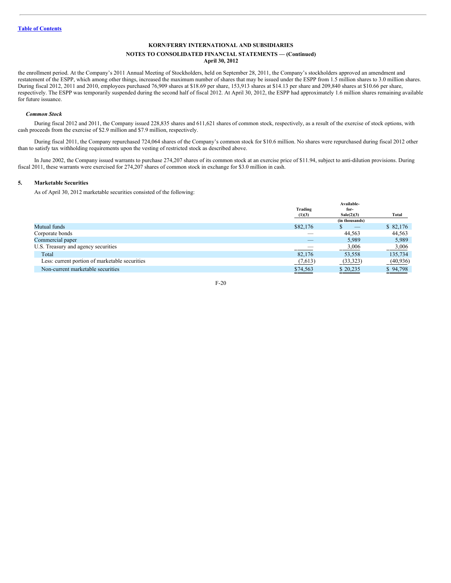## **NOTES TO CONSOLIDATED FINANCIAL STATEMENTS — (Continued) April 30, 2012**

the enrollment period. At the Company's 2011 Annual Meeting of Stockholders, held on September 28, 2011, the Company's stockholders approved an amendment and restatement of the ESPP, which among other things, increased the maximum number of shares that may be issued under the ESPP from 1.5 million shares to 3.0 million shares. During fiscal 2012, 2011 and 2010, employees purchased 76,909 shares at \$18.69 per share, 153,913 shares at \$14.13 per share and 209,840 shares at \$10.66 per share, respectively. The ESPP was temporarily suspended during the second half of fiscal 2012. At April 30, 2012, the ESPP had approximately 1.6 million shares remaining available for future issuance.

#### *Common Stock*

During fiscal 2012 and 2011, the Company issued 228,835 shares and 611,621 shares of common stock, respectively, as a result of the exercise of stock options, with cash proceeds from the exercise of \$2.9 million and \$7.9 million, respectively.

During fiscal 2011, the Company repurchased 724,064 shares of the Company's common stock for \$10.6 million. No shares were repurchased during fiscal 2012 other than to satisfy tax withholding requirements upon the vesting of restricted stock as described above.

In June 2002, the Company issued warrants to purchase 274,207 shares of its common stock at an exercise price of \$11.94, subject to anti-dilution provisions. During fiscal 2011, these warrants were exercised for 274,207 shares of common stock in exchange for \$3.0 million in cash.

## **5. Marketable Securities**

As of April 30, 2012 marketable securities consisted of the following:

|                                                |          | Available-     |          |  |
|------------------------------------------------|----------|----------------|----------|--|
|                                                | Trading  | for-           |          |  |
|                                                | (1)(3)   | Sale(2)(3)     | Total    |  |
|                                                |          | (in thousands) |          |  |
| Mutual funds                                   | \$82,176 |                | \$82,176 |  |
| Corporate bonds                                |          | 44,563         | 44,563   |  |
| Commercial paper                               |          | 5,989          | 5,989    |  |
| U.S. Treasury and agency securities            |          | 3,006          | 3,006    |  |
| Total                                          | 82.176   | 53,558         | 135,734  |  |
| Less: current portion of marketable securities | (7,613)  | (33, 323)      | (40,936) |  |
| Non-current marketable securities              | \$74,563 | \$20,235       | \$94,798 |  |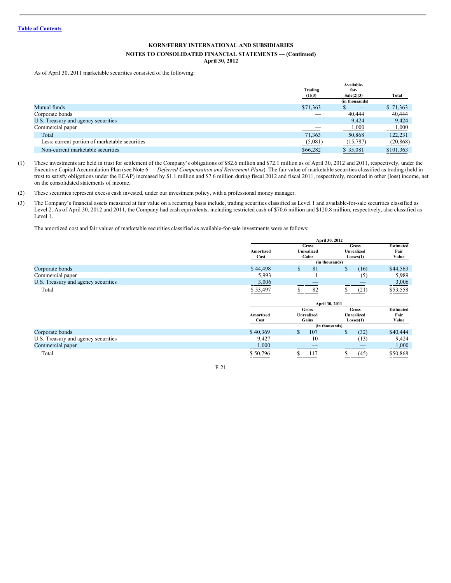As of April 30, 2011 marketable securities consisted of the following:

|                                                |          | Available-               |           |
|------------------------------------------------|----------|--------------------------|-----------|
|                                                | Trading  | for-                     |           |
|                                                | (1)(3)   | Sale(2)(3)               | Total     |
|                                                |          | (in thousands)           |           |
| Mutual funds                                   | \$71,363 | $\overline{\phantom{a}}$ | \$71,363  |
| Corporate bonds                                |          | 40,444                   | 40,444    |
| U.S. Treasury and agency securities            | _        | 9.424                    | 9,424     |
| Commercial paper                               |          | 1,000                    | 1,000     |
| Total                                          | 71,363   | 50,868                   | 122,231   |
| Less: current portion of marketable securities | (5,081)  | (15,787)                 | (20, 868) |
| Non-current marketable securities              | \$66,282 | \$35,081                 | \$101,363 |

(1) These investments are held in trust for settlement of the Company's obligations of \$82.6 million and \$72.1 million as of April 30, 2012 and 2011, respectively, under the Executive Capital Accumulation Plan (see Note 6 — *Deferred Compensation and Retirement Plans*). The fair value of marketable securities classified as trading (held in trust to satisfy obligations under the ECAP) increased by \$1.1 million and \$7.6 million during fiscal 2012 and fiscal 2011, respectively, recorded in other (loss) income, net on the consolidated statements of income.

(2) These securities represent excess cash invested, under our investment policy, with a professional money manager.

(3) The Company's financial assets measured at fair value on a recurring basis include, trading securities classified as Level 1 and available-for-sale securities classified as Level 2. As of April 30, 2012 and 2011, the Company had cash equivalents, including restricted cash of \$70.6 million and \$120.8 million, respectively, also classified as Level 1.

The amortized cost and fair values of marketable securities classified as available-for-sale investments were as follows:

|                                     |                   | April 30, 2012                             |                                                |                                   |  |
|-------------------------------------|-------------------|--------------------------------------------|------------------------------------------------|-----------------------------------|--|
|                                     | Amortized<br>Cost | <b>Gross</b><br><b>Unrealized</b><br>Gains | <b>Gross</b><br><b>Unrealized</b><br>Losses(1) | <b>Estimated</b><br>Fair<br>Value |  |
|                                     |                   | (in thousands)                             |                                                |                                   |  |
| Corporate bonds                     | \$44,498          | 81<br>$\mathbb{S}$                         | \$<br>(16)                                     | \$44,563                          |  |
| Commercial paper                    | 5,993             |                                            | (5)                                            | 5,989                             |  |
| U.S. Treasury and agency securities | 3,006             |                                            |                                                | 3,006                             |  |
| Total                               | \$53,497          | 82                                         | (21)                                           | \$53,558                          |  |
|                                     |                   | April 30, 2011                             |                                                |                                   |  |
|                                     |                   | Gross                                      | <b>Gross</b>                                   | <b>Estimated</b>                  |  |
|                                     | Amortized<br>Cost | Unrealized<br>Gains                        | Unrealized<br>Losses(1)                        | Fair<br>Value                     |  |
|                                     |                   | (in thousands)                             |                                                |                                   |  |
| Corporate bonds                     | \$40,369          | 107<br>S                                   | \$<br>(32)                                     | \$40,444                          |  |
|                                     |                   |                                            |                                                |                                   |  |
| U.S. Treasury and agency securities | 9,427             | 10                                         | (13)                                           | 9,424                             |  |
| Commercial paper                    | 1,000             |                                            |                                                | 1,000                             |  |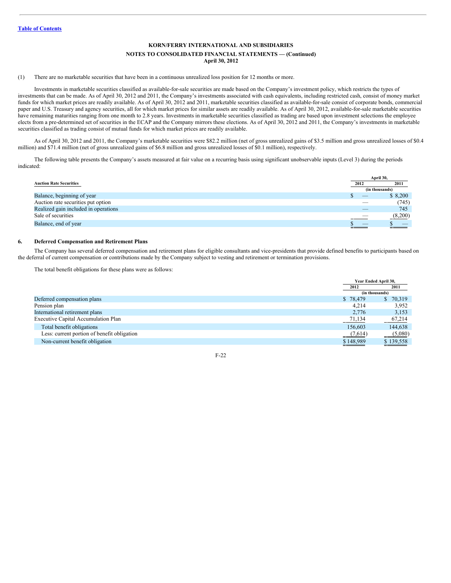(1) There are no marketable securities that have been in a continuous unrealized loss position for 12 months or more.

Investments in marketable securities classified as available-for-sale securities are made based on the Company's investment policy, which restricts the types of investments that can be made. As of April 30, 2012 and 2011, the Company's investments associated with cash equivalents, including restricted cash, consist of money market funds for which market prices are readily available. As of April 30, 2012 and 2011, marketable securities classified as available-for-sale consist of corporate bonds, commercial paper and U.S. Treasury and agency securities, all for which market prices for similar assets are readily available. As of April 30, 2012, available-for-sale marketable securities have remaining maturities ranging from one month to 2.8 years. Investments in marketable securities classified as trading are based upon investment selections the employee elects from a pre-determined set of securities in the ECAP and the Company mirrors these elections. As of April 30, 2012 and 2011, the Company's investments in marketable securities classified as trading consist of mutual funds for which market prices are readily available.

As of April 30, 2012 and 2011, the Company's marketable securities were \$82.2 million (net of gross unrealized gains of \$3.5 million and gross unrealized losses of \$0.4 million) and \$71.4 million (net of gross unrealized gains of \$6.8 million and gross unrealized losses of \$0.1 million), respectively.

The following table presents the Company's assets measured at fair value on a recurring basis using significant unobservable inputs (Level 3) during the periods indicated:

|                                      |      | April 30,      |
|--------------------------------------|------|----------------|
| <b>Auction Rate Securities</b>       | 2012 | 2011           |
|                                      |      | (in thousands) |
| Balance, beginning of year           |      | \$8,200        |
| Auction rate securities put option   |      | (745)          |
| Realized gain included in operations |      | 745            |
| Sale of securities                   |      | (8,200)        |
| Balance, end of year                 |      |                |

## **6. Deferred Compensation and Retirement Plans**

The Company has several deferred compensation and retirement plans for eligible consultants and vice-presidents that provide defined benefits to participants based on the deferral of current compensation or contributions made by the Company subject to vesting and retirement or termination provisions.

The total benefit obligations for these plans were as follows:

| Year Ended April 30, |                             |
|----------------------|-----------------------------|
| 2012                 | 2011                        |
|                      |                             |
| \$ 78,479            | \$70,319                    |
| 4.214                | 3.952                       |
| 2.776                | 3,153                       |
| 71,134               | 67,214                      |
| 156,603              | 144,638                     |
| (7,614)              | (5,080)                     |
|                      | \$139,558                   |
|                      | (in thousands)<br>\$148,989 |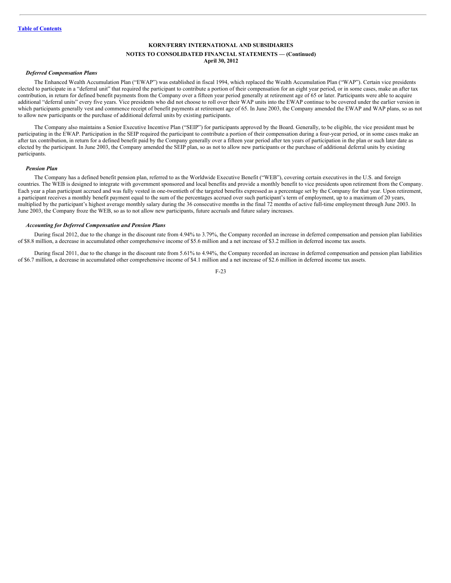## *Deferred Compensation Plans*

The Enhanced Wealth Accumulation Plan ("EWAP") was established in fiscal 1994, which replaced the Wealth Accumulation Plan ("WAP"). Certain vice presidents elected to participate in a "deferral unit" that required the participant to contribute a portion of their compensation for an eight year period, or in some cases, make an after tax contribution, in return for defined benefit payments from the Company over a fifteen year period generally at retirement age of 65 or later. Participants were able to acquire additional "deferral units" every five years. Vice presidents who did not choose to roll over their WAP units into the EWAP continue to be covered under the earlier version in which participants generally vest and commence receipt of benefit payments at retirement age of 65. In June 2003, the Company amended the EWAP and WAP plans, so as not to allow new participants or the purchase of additional deferral units by existing participants.

The Company also maintains a Senior Executive Incentive Plan ("SEIP") for participants approved by the Board. Generally, to be eligible, the vice president must be participating in the EWAP. Participation in the SEIP required the participant to contribute a portion of their compensation during a four-year period, or in some cases make an after tax contribution, in return for a defined benefit paid by the Company generally over a fifteen year period after ten years of participation in the plan or such later date as elected by the participant. In June 2003, the Company amended the SEIP plan, so as not to allow new participants or the purchase of additional deferral units by existing participants.

#### *Pension Plan*

The Company has a defined benefit pension plan, referred to as the Worldwide Executive Benefit ("WEB"), covering certain executives in the U.S. and foreign countries. The WEB is designed to integrate with government sponsored and local benefits and provide a monthly benefit to vice presidents upon retirement from the Company. Each year a plan participant accrued and was fully vested in one-twentieth of the targeted benefits expressed as a percentage set by the Company for that year. Upon retirement, a participant receives a monthly benefit payment equal to the sum of the percentages accrued over such participant's term of employment, up to a maximum of 20 years, multiplied by the participant's highest average monthly salary during the 36 consecutive months in the final 72 months of active full-time employment through June 2003. In June 2003, the Company froze the WEB, so as to not allow new participants, future accruals and future salary increases.

## *Accounting for Deferred Compensation and Pension Plans*

During fiscal 2012, due to the change in the discount rate from 4.94% to 3.79%, the Company recorded an increase in deferred compensation and pension plan liabilities of \$8.8 million, a decrease in accumulated other comprehensive income of \$5.6 million and a net increase of \$3.2 million in deferred income tax assets.

During fiscal 2011, due to the change in the discount rate from 5.61% to 4.94%, the Company recorded an increase in deferred compensation and pension plan liabilities of \$6.7 million, a decrease in accumulated other comprehensive income of \$4.1 million and a net increase of \$2.6 million in deferred income tax assets.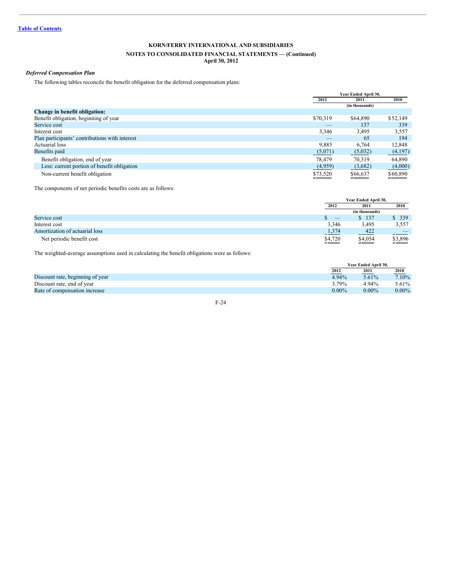**April 30, 2012**

# *Deferred Compensation Plan*

The following tables reconcile the benefit obligation for the deferred compensation plans:

|                                                | Year Ended April 30, |                |          |
|------------------------------------------------|----------------------|----------------|----------|
|                                                | 2012                 | 2011           | 2010     |
|                                                |                      | (in thousands) |          |
| Change in benefit obligation:                  |                      |                |          |
| Benefit obligation, beginning of year          | \$70,319             | \$64,890       | \$52,149 |
| Service cost                                   |                      | 137            | 339      |
| Interest cost                                  | 3,346                | 3,495          | 3,557    |
| Plan participants' contributions with interest |                      | 65             | 194      |
| Actuarial loss                                 | 9.885                | 6,764          | 12,848   |
| Benefits paid                                  | (5,071)              | (5,032)        | (4,197)  |
| Benefit obligation, end of year                | 78,479               | 70,319         | 64,890   |
| Less: current portion of benefit obligation    | (4,959)              | (3,682)        | (4,000)  |
| Non-current benefit obligation                 | \$73,520             | \$66,637       | \$60,890 |

The components of net periodic benefits costs are as follows:

|                                |         | Year Ended April 30, |         |  |
|--------------------------------|---------|----------------------|---------|--|
|                                | 2012    | 2011                 | 2010    |  |
|                                |         | (in thousands)       |         |  |
| Service cost                   |         | 137                  | \$339   |  |
| Interest cost                  | 3,346   | 3.495                | 3,557   |  |
| Amortization of actuarial loss | 1,374   | 422                  |         |  |
| Net periodic benefit cost      | \$4,720 | \$4,054              | \$3,896 |  |

The weighted-average assumptions used in calculating the benefit obligations were as follows:

|                                  |          | Year Ended April 30. |          |  |
|----------------------------------|----------|----------------------|----------|--|
|                                  | 2012     | 2011                 | 2010     |  |
| Discount rate, beginning of year | 4.94%    | $5.61\%$             | 7.10%    |  |
| Discount rate, end of year       | 3.79%    | 4.94%                | 5.61%    |  |
| Rate of compensation increase    | $0.00\%$ | $0.00\%$             | $0.00\%$ |  |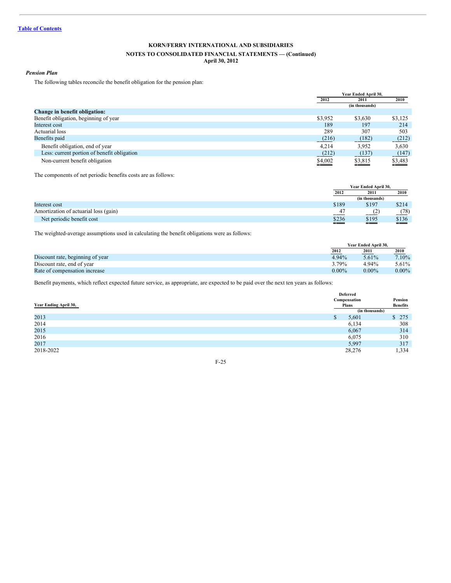# *Pension Plan*

The following tables reconcile the benefit obligation for the pension plan:

|                                             | Year Ended April 30, |                |         |  |
|---------------------------------------------|----------------------|----------------|---------|--|
|                                             | 2012<br>2011         |                | 2010    |  |
|                                             |                      | (in thousands) |         |  |
| Change in benefit obligation:               |                      |                |         |  |
| Benefit obligation, beginning of year       | \$3,952              | \$3,630        | \$3,125 |  |
| Interest cost                               | 189                  | 197            | 214     |  |
| Actuarial loss                              | 289                  | 307            | 503     |  |
| Benefits paid                               | (216)                | (182)          | (212)   |  |
| Benefit obligation, end of year             | 4.214                | 3,952          | 3,630   |  |
| Less: current portion of benefit obligation | (212)                | (137)          | (147)   |  |
| Non-current benefit obligation              | \$4,002              | \$3,815        | \$3,483 |  |

The components of net periodic benefits costs are as follows:

|                                       |             | Year Ended April 30, |                  |  |
|---------------------------------------|-------------|----------------------|------------------|--|
|                                       | 2012        | 2011                 | 2010             |  |
|                                       |             | (in thousands)       |                  |  |
| Interest cost                         | \$189       | \$197                | \$214            |  |
| Amortization of actuarial loss (gain) | $4^{\circ}$ |                      | (78)             |  |
| Net periodic benefit cost             | \$236       | $\frac{$195}{2}$     | $\frac{$136}{2}$ |  |

The weighted-average assumptions used in calculating the benefit obligations were as follows:

|                                  |          | Year Ended April 30. |          |
|----------------------------------|----------|----------------------|----------|
|                                  | 2012     | 2011                 | 2010     |
| Discount rate, beginning of year | 4.94%    | $5.61\%$             | $7.10\%$ |
| Discount rate, end of year       | 3.79%    | 4.94%                | 5.61%    |
| Rate of compensation increase    | $0.00\%$ | $0.00\%$             | $0.00\%$ |

Benefit payments, which reflect expected future service, as appropriate, are expected to be paid over the next ten years as follows:

|                       |          | <b>Deferred</b> |                 |
|-----------------------|----------|-----------------|-----------------|
|                       |          | Compensation    | Pension         |
| Year Ending April 30, |          | Plans           | <b>Benefits</b> |
|                       |          |                 | (in thousands)  |
| 2013                  | $\Delta$ | 5,601           | 275             |
| 2014                  |          | 6,134           | 308             |
| 2015                  |          | 6,067           | 314             |
| 2016                  |          | 6,075           | 310             |
| 2017                  |          | 5,997           | 317             |
| 2018-2022             |          | 28,276          | 1,334           |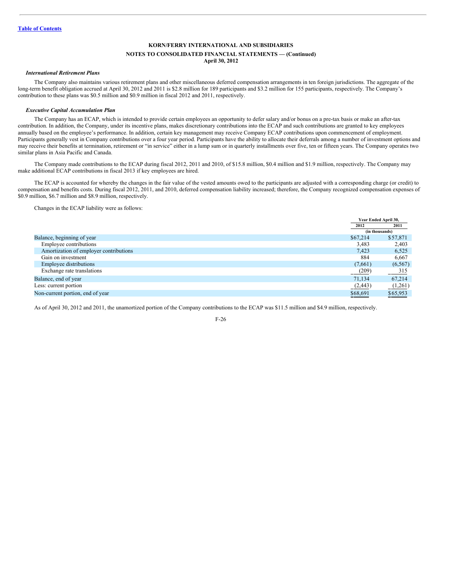### **NOTES TO CONSOLIDATED FINANCIAL STATEMENTS — (Continued) April 30, 2012**

#### *International Retirement Plans*

The Company also maintains various retirement plans and other miscellaneous deferred compensation arrangements in ten foreign jurisdictions. The aggregate of the long-term benefit obligation accrued at April 30, 2012 and 2011 is \$2.8 million for 189 participants and \$3.2 million for 155 participants, respectively. The Company's contribution to these plans was \$0.5 million and \$0.9 million in fiscal 2012 and 2011, respectively.

#### *Executive Capital Accumulation Plan*

The Company has an ECAP, which is intended to provide certain employees an opportunity to defer salary and/or bonus on a pre-tax basis or make an after-tax contribution. In addition, the Company, under its incentive plans, makes discretionary contributions into the ECAP and such contributions are granted to key employees annually based on the employee's performance. In addition, certain key management may receive Company ECAP contributions upon commencement of employment. Participants generally vest in Company contributions over a four year period. Participants have the ability to allocate their deferrals among a number of investment options and may receive their benefits at termination, retirement or "in service" either in a lump sum or in quarterly installments over five, ten or fifteen years. The Company operates two similar plans in Asia Pacific and Canada.

The Company made contributions to the ECAP during fiscal 2012, 2011 and 2010, of \$15.8 million, \$0.4 million and \$1.9 million, respectively. The Company may make additional ECAP contributions in fiscal 2013 if key employees are hired.

The ECAP is accounted for whereby the changes in the fair value of the vested amounts owed to the participants are adjusted with a corresponding charge (or credit) to compensation and benefits costs. During fiscal 2012, 2011, and 2010, deferred compensation liability increased; therefore, the Company recognized compensation expenses of \$0.9 million, \$6.7 million and \$8.9 million, respectively.

Changes in the ECAP liability were as follows:

|                                        |          | Year Ended April 30, |
|----------------------------------------|----------|----------------------|
|                                        | 2012     | 2011                 |
|                                        |          | (in thousands)       |
| Balance, beginning of year             | \$67,214 | \$57,871             |
| Employee contributions                 | 3,483    | 2,403                |
| Amortization of employer contributions | 7,423    | 6,525                |
| Gain on investment                     | 884      | 6,667                |
| <b>Employee distributions</b>          | (7,661)  | (6, 567)             |
| Exchange rate translations             | (209)    | $-315$               |
| Balance, end of year                   | 71,134   | 67,214               |
| Less: current portion                  | (2,443)  | (1,261)              |
| Non-current portion, end of year       | \$68,691 | \$65,953             |

As of April 30, 2012 and 2011, the unamortized portion of the Company contributions to the ECAP was \$11.5 million and \$4.9 million, respectively.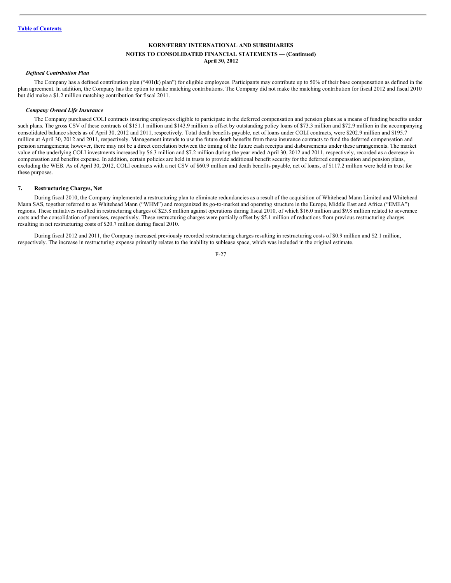### **NOTES TO CONSOLIDATED FINANCIAL STATEMENTS — (Continued) April 30, 2012**

### *Defined Contribution Plan*

The Company has a defined contribution plan ("401(k) plan") for eligible employees. Participants may contribute up to 50% of their base compensation as defined in the plan agreement. In addition, the Company has the option to make matching contributions. The Company did not make the matching contribution for fiscal 2012 and fiscal 2010 but did make a \$1.2 million matching contribution for fiscal 2011.

#### *Company Owned Life Insurance*

The Company purchased COLI contracts insuring employees eligible to participate in the deferred compensation and pension plans as a means of funding benefits under such plans. The gross CSV of these contracts of \$151.1 million and \$143.9 million is offset by outstanding policy loans of \$73.3 million and \$72.9 million in the accompanying consolidated balance sheets as of April 30, 2012 and 2011, respectively. Total death benefits payable, net of loans under COLI contracts, were \$202.9 million and \$195.7 million at April 30, 2012 and 2011, respectively. Management intends to use the future death benefits from these insurance contracts to fund the deferred compensation and pension arrangements; however, there may not be a direct correlation between the timing of the future cash receipts and disbursements under these arrangements. The market value of the underlying COLI investments increased by \$6.3 million and \$7.2 million during the year ended April 30, 2012 and 2011, respectively, recorded as a decrease in compensation and benefits expense. In addition, certain policies are held in trusts to provide additional benefit security for the deferred compensation and pension plans, excluding the WEB. As of April 30, 2012, COLI contracts with a net CSV of \$60.9 million and death benefits payable, net of loans, of \$117.2 million were held in trust for these purposes.

#### **7. Restructuring Charges, Net**

During fiscal 2010, the Company implemented a restructuring plan to eliminate redundancies as a result of the acquisition of Whitehead Mann Limited and Whitehead Mann SAS, together referred to as Whitehead Mann ("WHM") and reorganized its go-to-market and operating structure in the Europe, Middle East and Africa ("EMEA") regions. These initiatives resulted in restructuring charges of \$25.8 million against operations during fiscal 2010, of which \$16.0 million and \$9.8 million related to severance costs and the consolidation of premises, respectively. These restructuring charges were partially offset by \$5.1 million of reductions from previous restructuring charges resulting in net restructuring costs of \$20.7 million during fiscal 2010.

During fiscal 2012 and 2011, the Company increased previously recorded restructuring charges resulting in restructuring costs of \$0.9 million and \$2.1 million, respectively. The increase in restructuring expense primarily relates to the inability to sublease space, which was included in the original estimate.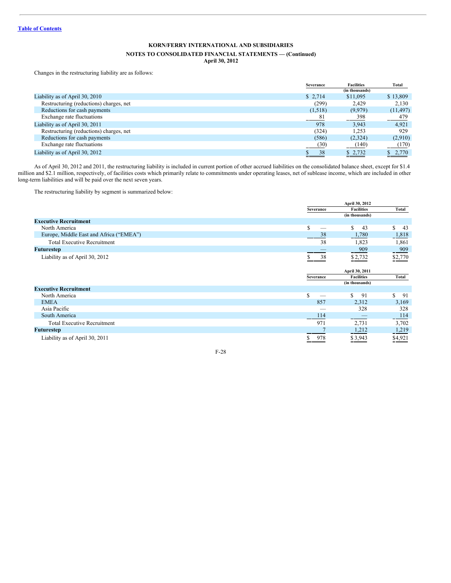Changes in the restructuring liability are as follows:

|                                         | Severance | <b>Facilities</b> | Total       |
|-----------------------------------------|-----------|-------------------|-------------|
|                                         |           | (in thousands)    |             |
| Liability as of April 30, 2010          | \$2,714   | \$11,095          | \$13,809    |
| Restructuring (reductions) charges, net | (299)     | 2.429             | 2,130       |
| Reductions for cash payments            | (1,518)   | (9,979)           | (11, 497)   |
| Exchange rate fluctuations              | 81        | 398               | 479         |
| Liability as of April 30, 2011          | 978       | 3.943             | 4,921       |
| Restructuring (reductions) charges, net | (324)     | 1.253             | 929         |
| Reductions for cash payments            | (586)     | (2,324)           | (2,910)     |
| Exchange rate fluctuations              | (30)      | (140)             | (170)       |
| Liability as of April 30, 2012          | 38        | \$2,732           | 2,770<br>S. |

As of April 30, 2012 and 2011, the restructuring liability is included in current portion of other accrued liabilities on the consolidated balance sheet, except for \$1.4 million and \$2.1 million, respectively, of facilities costs which primarily relate to commitments under operating leases, net of sublease income, which are included in other long-term liabilities and will be paid over the next seven years.

The restructuring liability by segment is summarized below:

|                                         |           | April 30, 2012    |                    |  |
|-----------------------------------------|-----------|-------------------|--------------------|--|
|                                         | Severance | <b>Facilities</b> | Total              |  |
|                                         |           | (in thousands)    |                    |  |
| <b>Executive Recruitment</b>            |           |                   |                    |  |
| North America                           | \$        | S<br>43           | S<br>43            |  |
| Europe, Middle East and Africa ("EMEA") | 38        | 1,780             | 1,818              |  |
| <b>Total Executive Recruitment</b>      | 38        | 1,823             | 1,861              |  |
| <b>Futurestep</b>                       |           | 909               | 909                |  |
| Liability as of April 30, 2012          | 38        | \$2,732           | \$2,770            |  |
|                                         |           | April 30, 2011    |                    |  |
|                                         | Severance | <b>Facilities</b> | Total              |  |
|                                         |           | (in thousands)    |                    |  |
| <b>Executive Recruitment</b>            |           |                   |                    |  |
| North America                           | S         | \$.<br>91         | \$<br>91           |  |
| <b>EMEA</b>                             | 857       | 2,312             | 3,169              |  |
| Asia Pacific                            |           | 328               | 328                |  |
| South America                           | 114       |                   | 114                |  |
| <b>Total Executive Recruitment</b>      | 971       | 2,731             | 3,702              |  |
| <b>Futurestep</b>                       |           | 1,212             | 1,219              |  |
| Liability as of April 30, 2011          | 978       | \$3,943           | $\frac{$4,921}{2}$ |  |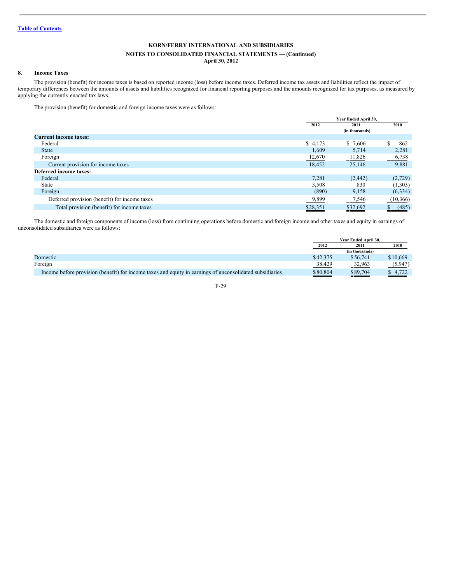### **NOTES TO CONSOLIDATED FINANCIAL STATEMENTS — (Continued) April 30, 2012**

### **8. Income Taxes**

The provision (benefit) for income taxes is based on reported income (loss) before income taxes. Deferred income tax assets and liabilities reflect the impact of temporary differences between the amounts of assets and liabilities recognized for financial reporting purposes and the amounts recognized for tax purposes, as measured by temporary differences between the amounts of asset applying the currently enacted tax laws.

The provision (benefit) for domestic and foreign income taxes were as follows:

|                                               |          | Year Ended April 30, |             |  |
|-----------------------------------------------|----------|----------------------|-------------|--|
|                                               | 2012     | 2011                 | 2010        |  |
|                                               |          | (in thousands)       |             |  |
| <b>Current income taxes:</b>                  |          |                      |             |  |
| Federal                                       | \$4,173  | \$ 7,606             | S<br>862    |  |
| <b>State</b>                                  | 1.609    | 5.714                | 2,281       |  |
| Foreign                                       | 12,670   | 11,826               | 6,738       |  |
| Current provision for income taxes            | 18,452   | 25,146               | 9,881       |  |
| Deferred income taxes:                        |          |                      |             |  |
| Federal                                       | 7,281    | (2, 442)             | (2,729)     |  |
| <b>State</b>                                  | 3,508    | 830                  | (1,303)     |  |
| Foreign                                       | (890)    | 9,158                | (6, 334)    |  |
| Deferred provision (benefit) for income taxes | 9,899    | 7,546                | (10, 366)   |  |
| Total provision (benefit) for income taxes    | \$28,351 | \$32,692             | (485)<br>Y. |  |

The domestic and foreign components of income (loss) from continuing operations before domestic and foreign income and other taxes and equity in earnings of unconsolidated subsidiaries were as follows:

|                                                                                                                      | Year Ended April 30. |          |
|----------------------------------------------------------------------------------------------------------------------|----------------------|----------|
| 2012                                                                                                                 | 2011                 | 2010     |
|                                                                                                                      | (in thousands)       |          |
| \$42,375<br>Domestic                                                                                                 | \$56,741             | \$10,669 |
| 38,429<br>Foreign                                                                                                    | 32,963               | (5,947)  |
| \$80,804<br>Income before provision (benefit) for income taxes and equity in earnings of unconsolidated subsidiaries | \$89,704             | 4,722    |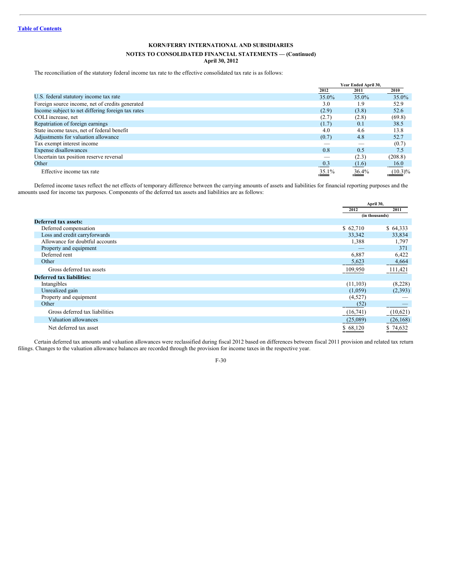# **NOTES TO CONSOLIDATED FINANCIAL STATEMENTS — (Continued)**

**April 30, 2012**

The reconciliation of the statutory federal income tax rate to the effective consolidated tax rate is as follows:

|                                                   | Year Ended April 30, |       |            |
|---------------------------------------------------|----------------------|-------|------------|
|                                                   | 2012                 | 2011  | 2010       |
| U.S. federal statutory income tax rate            | 35.0%                | 35.0% | 35.0%      |
| Foreign source income, net of credits generated   | 3.0                  | 1.9   | 52.9       |
| Income subject to net differing foreign tax rates | (2.9)                | (3.8) | 52.6       |
| COLI increase, net                                | (2.7)                | (2.8) | (69.8)     |
| Repatriation of foreign earnings                  | (1.7)                | 0.1   | 38.5       |
| State income taxes, net of federal benefit        | 4.0                  | 4.6   | 13.8       |
| Adjustments for valuation allowance               | (0.7)                | 4.8   | 52.7       |
| Tax exempt interest income                        |                      |       | (0.7)      |
| <b>Expense disallowances</b>                      | 0.8                  | 0.5   | 7.5        |
| Uncertain tax position reserve reversal           |                      | (2.3) | (208.8)    |
| Other                                             | 0.3                  | (1.6) | 16.0       |
| Effective income tax rate                         | 35.1%                | 36.4% | $(10.3)\%$ |

Deferred income taxes reflect the net effects of temporary difference between the carrying amounts of assets and liabilities for financial reporting purposes and the amounts used for income tax purposes. Components of the deferred tax assets and liabilities are as follows:

|                                  |           | April 30,      |
|----------------------------------|-----------|----------------|
|                                  | 2012      | 2011           |
|                                  |           | (in thousands) |
| <b>Deferred tax assets:</b>      |           |                |
| Deferred compensation            | \$62,710  | \$64,333       |
| Loss and credit carryforwards    | 33,342    | 33,834         |
| Allowance for doubtful accounts  | 1,388     | 1,797          |
| Property and equipment           |           | 371            |
| Deferred rent                    | 6,887     | 6,422          |
| Other                            | 5,623     | 4,664          |
| Gross deferred tax assets        | 109,950   | 111,421        |
| <b>Deferred tax liabilities:</b> |           |                |
| Intangibles                      | (11, 103) | (8,228)        |
| Unrealized gain                  | (1,059)   | (2,393)        |
| Property and equipment           | (4,527)   |                |
| Other                            | (52)      |                |
| Gross deferred tax liabilities   | (16,741)  | (10,621)       |
| Valuation allowances             | (25,089)  | (26, 168)      |
| Net deferred tax asset           | \$68,120  | \$74,632       |

Certain deferred tax amounts and valuation allowances were reclassified during fiscal 2012 based on differences between fiscal 2011 provision and related tax return filings. Changes to the valuation allowance balances are recorded through the provision for income taxes in the respective year.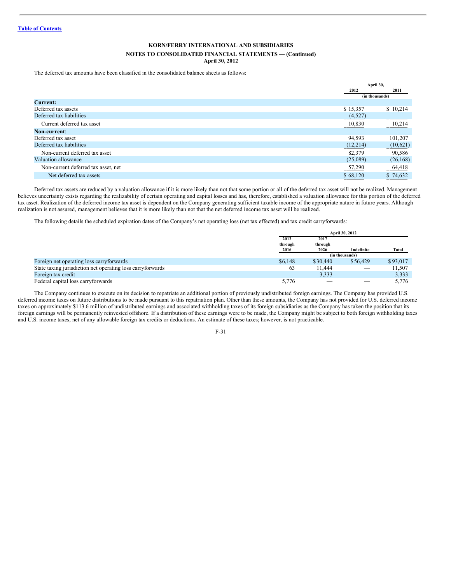The deferred tax amounts have been classified in the consolidated balance sheets as follows:

| 2012<br>2011<br>(in thousands)<br><b>Current:</b><br>Deferred tax assets<br>\$15,357<br>\$10,214<br>Deferred tax liabilities<br>(4,527)<br>10,214<br>10,830<br>Current deferred tax asset<br>Non-current:<br>101,207<br>Deferred tax asset<br>94.593<br>Deferred tax liabilities<br>(12,214)<br>(10,621)<br>90,586<br>82,379<br>Non-current deferred tax asset<br>Valuation allowance<br>(25,089)<br>(26,168)<br>Non-current deferred tax asset, net<br>64,418<br>57,290 |                         |          | April 30, |
|--------------------------------------------------------------------------------------------------------------------------------------------------------------------------------------------------------------------------------------------------------------------------------------------------------------------------------------------------------------------------------------------------------------------------------------------------------------------------|-------------------------|----------|-----------|
|                                                                                                                                                                                                                                                                                                                                                                                                                                                                          |                         |          |           |
|                                                                                                                                                                                                                                                                                                                                                                                                                                                                          |                         |          |           |
|                                                                                                                                                                                                                                                                                                                                                                                                                                                                          |                         |          |           |
|                                                                                                                                                                                                                                                                                                                                                                                                                                                                          |                         |          |           |
|                                                                                                                                                                                                                                                                                                                                                                                                                                                                          |                         |          |           |
|                                                                                                                                                                                                                                                                                                                                                                                                                                                                          |                         |          |           |
|                                                                                                                                                                                                                                                                                                                                                                                                                                                                          |                         |          |           |
|                                                                                                                                                                                                                                                                                                                                                                                                                                                                          |                         |          |           |
|                                                                                                                                                                                                                                                                                                                                                                                                                                                                          |                         |          |           |
|                                                                                                                                                                                                                                                                                                                                                                                                                                                                          |                         |          |           |
|                                                                                                                                                                                                                                                                                                                                                                                                                                                                          |                         |          |           |
|                                                                                                                                                                                                                                                                                                                                                                                                                                                                          |                         |          |           |
|                                                                                                                                                                                                                                                                                                                                                                                                                                                                          | Net deferred tax assets | \$68,120 | \$74,632  |

Deferred tax assets are reduced by a valuation allowance if it is more likely than not that some portion or all of the deferred tax asset will not be realized. Management believes uncertainty exists regarding the realizability of certain operating and capital losses and has, therefore, established a valuation allowance for this portion of the deferred tax asset. Realization of the deferred income tax asset is dependent on the Company generating sufficient taxable income of the appropriate nature in future years. Although realization is not assured, management believes that it is more likely than not that the net deferred income tax asset will be realized.

The following details the scheduled expiration dates of the Company's net operating loss (net tax effected) and tax credit carryforwards:

|                                                             |         | April 30, 2012 |                          |          |  |  |  |  |
|-------------------------------------------------------------|---------|----------------|--------------------------|----------|--|--|--|--|
|                                                             | 2012    | 2017           |                          |          |  |  |  |  |
|                                                             | through | through        |                          |          |  |  |  |  |
|                                                             | 2016    | 2026           | Indefinite               | Total    |  |  |  |  |
|                                                             |         |                | (in thousands)           |          |  |  |  |  |
| Foreign net operating loss carryforwards                    | \$6,148 | \$30,440       | \$56,429                 | \$93,017 |  |  |  |  |
| State taxing jurisdiction net operating loss carry forwards | 63      | 11.444         | $\hspace{0.05cm}$        | 11.507   |  |  |  |  |
| Foreign tax credit                                          | _       | 3,333          | $\overline{\phantom{a}}$ | 3,333    |  |  |  |  |
| Federal capital loss carryforwards                          | 5.776   | _              | $\overline{\phantom{a}}$ | 5.776    |  |  |  |  |

The Company continues to execute on its decision to repatriate an additional portion of previously undistributed foreign earnings. The Company has provided U.S. deferred income taxes on future distributions to be made pursuant to this repatriation plan. Other than these amounts, the Company has not provided for U.S. deferred income taxes on approximately \$113.6 million of undistributed earnings and associated withholding taxes of its foreign subsidiaries as the Company has taken the position that its foreign earnings will be permanently reinvested offshore. If a distribution of these earnings were to be made, the Company might be subject to both foreign withholding taxes and U.S. income taxes, net of any allowable foreign tax credits or deductions. An estimate of these taxes; however, is not practicable.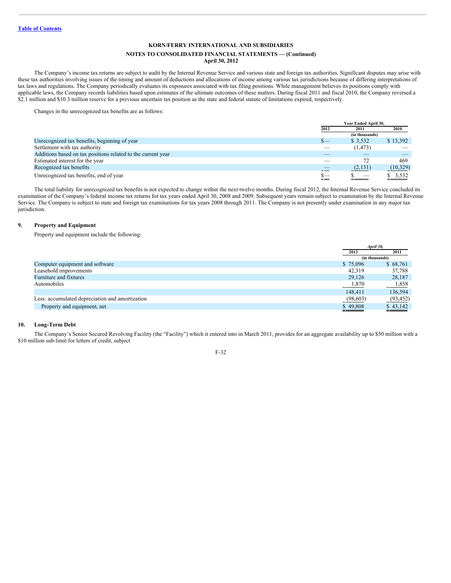### **NOTES TO CONSOLIDATED FINANCIAL STATEMENTS — (Continued) April 30, 2012**

The Company's income tax returns are subject to audit by the Internal Revenue Service and various state and foreign tax authorities. Significant disputes may arise with these tax authorities involving issues of the timing and amount of deductions and allocations of income among various tax jurisdictions because of differing interpretations of tax laws and regulations. The Company periodically evaluates its exposures associated with tax filing positions. While management believes its positions comply with applicable laws, the Company records liabilities based upon estimates of the ultimate outcomes of these matters. During fiscal 2011 and fiscal 2010, the Company reversed a \$2.1 million and \$10.3 million reserve for a previous uncertain tax position as the state and federal statute of limitations expired, respectively.

Changes in the unrecognized tax benefits are as follows:

|                                                              |      | Year Ended April 30, |          |
|--------------------------------------------------------------|------|----------------------|----------|
|                                                              | 2012 | 2011                 | 2010     |
|                                                              |      | (in thousands)       |          |
| Unrecognized tax benefits, beginning of year                 | $S-$ | \$3,532              | \$13,392 |
| Settlement with tax authority                                | -    | (1, 473)             |          |
| Additions based on tax positions related to the current year |      |                      |          |
| Estimated interest for the year                              |      | 72                   | 469      |
| Recognized tax benefits                                      |      | (2,131)              | (10,329) |
| Unrecognized tax benefits, end of year                       | ა—   |                      | \$3,532  |

The total liability for unrecognized tax benefits is not expected to change within the next twelve months. During fiscal 2012, the Internal Revenue Service concluded its examination of the Company's federal income tax returns for tax years ended April 30, 2008 and 2009. Subsequent years remain subject to examination by the Internal Revenue Service. The Company is subject to state and foreign tax examinations for tax years 2008 through 2011. The Company is not presently under examination in any major tax jurisdiction.

### **9. Property and Equipment**

Property and equipment include the following:

|                                                 |           | April 30,      |
|-------------------------------------------------|-----------|----------------|
|                                                 | 2012      | 2011           |
|                                                 |           | (in thousands) |
| Computer equipment and software                 | \$75,096  | \$68,761       |
| Leasehold improvements                          | 42.319    | 37,788         |
| Furniture and fixtures                          | 29,126    | 28,187         |
| Automobiles                                     | 1,870     | 1,858          |
|                                                 | 148,411   | 136,594        |
| Less: accumulated depreciation and amortization | (98, 603) | (93, 452)      |
| Property and equipment, net                     | \$49,808  | \$43,142       |
|                                                 |           |                |

### **10. Long-Term Debt**

The Company's Senior Secured Revolving Facility (the "Facility") which it entered into in March 2011, provides for an aggregate availability up to \$50 million with a \$10 million sub-limit for letters of credit, subject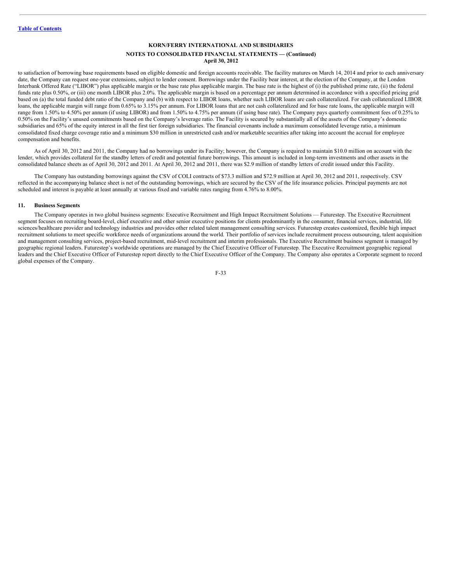### **NOTES TO CONSOLIDATED FINANCIAL STATEMENTS — (Continued) April 30, 2012**

to satisfaction of borrowing base requirements based on eligible domestic and foreign accounts receivable. The facility matures on March 14, 2014 and prior to each anniversary date, the Company can request one-year extensions, subject to lender consent. Borrowings under the Facility bear interest, at the election of the Company, at the London Interbank Offered Rate ("LIBOR") plus applicable margin or the base rate plus applicable margin. The base rate is the highest of (i) the published prime rate, (ii) the federal funds rate plus 0.50%, or (iii) one month LIBOR plus 2.0%. The applicable margin is based on a percentage per annum determined in accordance with a specified pricing grid based on (a) the total funded debt ratio of the Company and (b) with respect to LIBOR loans, whether such LIBOR loans are cash collateralized. For cash collateralized LIBOR loans, the applicable margin will range from 0.65% to 3.15% per annum. For LIBOR loans that are not cash collateralized and for base rate loans, the applicable margin will range from 1.50% to 4.50% per annum (if using LIBOR) and from 1.50% to 4.75% per annum (if using base rate). The Company pays quarterly commitment fees of 0.25% to 0.50% on the Facility's unused commitments based on the Company's leverage ratio. The Facility is secured by substantially all of the assets of the Company's domestic subsidiaries and 65% of the equity interest in all the first tier foreign subsidiaries. The financial covenants include a maximum consolidated leverage ratio, a minimum consolidated fixed charge coverage ratio and a minimum \$30 million in unrestricted cash and/or marketable securities after taking into account the accrual for employee compensation and benefits.

As of April 30, 2012 and 2011, the Company had no borrowings under its Facility; however, the Company is required to maintain \$10.0 million on account with the lender, which provides collateral for the standby letters of credit and potential future borrowings. This amount is included in long-term investments and other assets in the consolidated balance sheets as of April 30, 2012 and 2011. At April 30, 2012 and 2011, there was \$2.9 million of standby letters of credit issued under this Facility.

The Company has outstanding borrowings against the CSV of COLI contracts of \$73.3 million and \$72.9 million at April 30, 2012 and 2011, respectively. CSV reflected in the accompanying balance sheet is net of the outstanding borrowings, which are secured by the CSV of the life insurance policies. Principal payments are not scheduled and interest is payable at least annually at various fixed and variable rates ranging from 4.76% to 8.00%.

### **11. Business Segments**

The Company operates in two global business segments: Executive Recruitment and High Impact Recruitment Solutions — Futurestep. The Executive Recruitment segment focuses on recruiting board-level, chief executive and other senior executive positions for clients predominantly in the consumer, financial services, industrial, life sciences/healthcare provider and technology industries and provides other related talent management consulting services. Futurestep creates customized, flexible high impact recruitment solutions to meet specific workforce needs of organizations around the world. Their portfolio of services include recruitment process outsourcing, talent acquisition and management consulting services, project-based recruitment, mid-level recruitment and interim professionals. The Executive Recruitment business segment is managed by geographic regional leaders. Futurestep's worldwide operations are managed by the Chief Executive Officer of Futurestep. The Executive Recruitment geographic regional leaders and the Chief Executive Officer of Futurestep report directly to the Chief Executive Officer of the Company. The Company also operates a Corporate segment to record global expenses of the Company.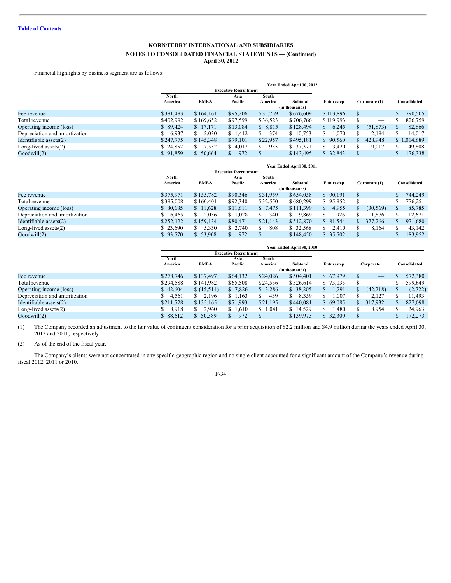Financial highlights by business segment are as follows:

|                               |           | Year Ended April 30, 2012 |                              |           |                |             |                         |              |  |  |  |  |  |  |
|-------------------------------|-----------|---------------------------|------------------------------|-----------|----------------|-------------|-------------------------|--------------|--|--|--|--|--|--|
|                               |           |                           | <b>Executive Recruitment</b> |           |                |             |                         |              |  |  |  |  |  |  |
|                               | North     |                           | Asia                         | South     |                |             |                         |              |  |  |  |  |  |  |
|                               | America   | <b>EMEA</b>               | Pacific                      | America   | Subtotal       | Futurestep  | Corporate (1)           | Consolidated |  |  |  |  |  |  |
|                               |           |                           |                              |           | (in thousands) |             |                         |              |  |  |  |  |  |  |
| Fee revenue                   | \$381,483 | \$164,161                 | \$95,206                     | \$35,759  | \$676,609      | \$113,896   | <sup>\$</sup>           | 790,505      |  |  |  |  |  |  |
| Total revenue                 | \$402,992 | \$169,652                 | \$97,599                     | \$36,523  | \$706,766      | \$119.993   | S                       | 826,759      |  |  |  |  |  |  |
| Operating income (loss)       | \$ 89,424 | \$17,171                  | \$13,084                     | \$ 8,815  | \$128,494      | 6,245<br>S. | (51, 873)<br>ж          | 82,866<br>ж  |  |  |  |  |  |  |
| Depreciation and amortization | 6,937     | 2,030<br>S.               | \$1,412                      | 374<br>\$ | \$10,753       | 1,070<br>\$ | 2.194<br>S.             | 14,017       |  |  |  |  |  |  |
| Identifiable $asserts(2)$     | \$247,775 | \$145,348                 | \$79,101                     | \$22,957  | \$495,181      | \$90,560    | 428,948<br>$\mathbf{s}$ | \$1,014,689  |  |  |  |  |  |  |
| Long-lived assets $(2)$       | \$24,852  | 7,552<br>S.               | \$4,012                      | 955<br>S  | \$ 37,371      | 3,420<br>S. | S.<br>9,017             | 49,808       |  |  |  |  |  |  |
| Goodwill(2)                   | \$91,859  | \$ 50,664                 | 972                          |           | \$143,495      | \$32,843    | \$                      | 176,338      |  |  |  |  |  |  |
|                               |           |                           |                              |           |                |             |                         |              |  |  |  |  |  |  |

|                               | Year Ended April 30, 2011 |             |                              |          |                |                   |                    |              |  |  |  |  |
|-------------------------------|---------------------------|-------------|------------------------------|----------|----------------|-------------------|--------------------|--------------|--|--|--|--|
|                               |                           |             | <b>Executive Recruitment</b> |          |                |                   |                    |              |  |  |  |  |
|                               | North                     |             | Asia                         | South    |                |                   |                    |              |  |  |  |  |
|                               | America                   | <b>EMEA</b> | Pacific                      | America  | Subtotal       | <b>Futurestep</b> | Corporate (1)      | Consolidated |  |  |  |  |
|                               |                           |             |                              |          | (in thousands) |                   |                    |              |  |  |  |  |
| Fee revenue                   | \$375,971                 | \$155,782   | \$90,346                     | \$31,959 | \$654,058      | \$90,191          | <sup>\$</sup>      | 744.249      |  |  |  |  |
| Total revenue                 | \$395,008                 | \$160,401   | \$92,340                     | \$32,550 | \$680,299      | \$95,952          | <sup>\$</sup>      | 776,251      |  |  |  |  |
| Operating income (loss)       | \$ 80,685                 | \$11,628    | \$11,611                     | \$ 7,475 | \$111,399      | 4,955<br>S.       | (30, 569)<br>S     | 85,785<br>S  |  |  |  |  |
| Depreciation and amortization | 6,465<br>D                | 2,036       | \$1,028                      | 340      | 9,869<br>S.    | 926               | . 876<br>Ъ.        | 12,671       |  |  |  |  |
| Identifiable assets(2)        | \$252,122                 | \$159,134   | \$80,471                     | \$21,143 | \$512,870      | \$81,544          | 377,266            | 971,680<br>S |  |  |  |  |
| Long-lived assets $(2)$       | \$23,690                  | 5,330       | \$2,740                      | 808      | \$ 32,568      | 2,410<br>S.       | 8,164<br>\$        | 43,142       |  |  |  |  |
| Goodwill(2)                   | \$93,570                  | \$53,908    | 972                          | _        | \$148,450      | \$35,502          | <sup>\$</sup><br>_ | 183,952      |  |  |  |  |

|                               |            | Year Ended April 30, 2010 |                              |                          |                |                       |                                      |    |              |  |  |  |  |
|-------------------------------|------------|---------------------------|------------------------------|--------------------------|----------------|-----------------------|--------------------------------------|----|--------------|--|--|--|--|
|                               |            |                           | <b>Executive Recruitment</b> |                          |                |                       |                                      |    |              |  |  |  |  |
|                               | North      |                           | Asia                         | South                    |                |                       |                                      |    |              |  |  |  |  |
|                               | America    | <b>EMEA</b>               | Pacific                      | America                  | Subtotal       | Futurestep            | Corporate                            |    | Consolidated |  |  |  |  |
|                               |            |                           |                              |                          | (in thousands) |                       |                                      |    |              |  |  |  |  |
| Fee revenue                   | \$278,746  | \$137,497                 | \$64,132                     | \$24,026                 | \$504,401      | \$67,979              | S<br>$\hspace{0.1mm}-\hspace{0.1mm}$ |    | 572,380      |  |  |  |  |
| Total revenue                 | \$294,588  | \$141,982                 | \$65,508                     | \$24,536                 | \$526,614      | \$73,035              |                                      |    | 599,649      |  |  |  |  |
| Operating income (loss)       | \$42,604   | \$(15,511)                | \$7,826                      | \$3,286                  | \$ 38,205      | 1,291<br>$\mathbb{S}$ | (42, 218)                            | ъ  | (2,722)      |  |  |  |  |
| Depreciation and amortization | 4,561      | 2,196<br>S.               | \$1,163                      | 439                      | 8.359<br>S.    | 1,007<br>S.           | 2,127                                |    | 11,493       |  |  |  |  |
| Identifiable assets(2)        | \$211,728  | \$135,165                 | \$71,993                     | \$21,195                 | \$440,081      | \$69,085              | 317,932<br>S.                        | \$ | 827,098      |  |  |  |  |
| Long-lived assets $(2)$       | 8,918<br>S | 2,960<br>S                | \$1,610                      | \$1,041                  | \$14.529       | \$<br>1,480           | 8,954                                | S  | 24,963       |  |  |  |  |
| Goodwill(2)                   | \$88,612   | \$ 50,389                 | 972                          | $\overline{\phantom{m}}$ | \$139,973      | \$32,300              | \$<br>$-$                            |    | 172,273      |  |  |  |  |
|                               |            |                           |                              |                          |                |                       |                                      |    |              |  |  |  |  |

(1) The Company recorded an adjustment to the fair value of contingent consideration for a prior acquisition of \$2.2 million and \$4.9 million during the years ended April 30, 2012 and 2011, respectively.

(2) As of the end of the fiscal year.

The Company's clients were not concentrated in any specific geographic region and no single client accounted for a significant amount of the Company's revenue during fiscal 2012, 2011 or 2010.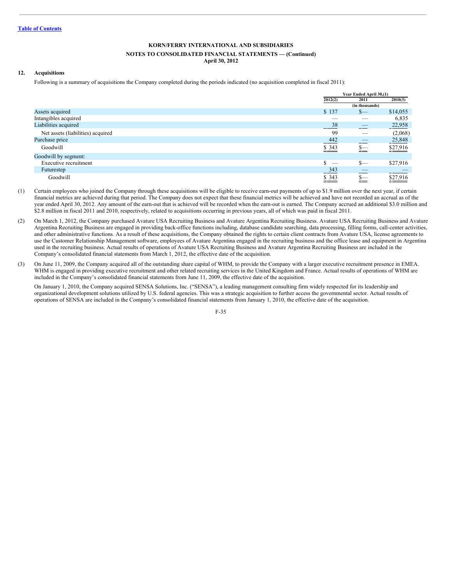# **NOTES TO CONSOLIDATED FINANCIAL STATEMENTS — (Continued)**

**April 30, 2012**

### **12. Acquisitions**

Following is a summary of acquisitions the Company completed during the periods indicated (no acquisition completed in fiscal 2011):

|                                   |                                 | Year Ended April 30,(1) |               |
|-----------------------------------|---------------------------------|-------------------------|---------------|
|                                   | 2012(2)                         | 2011                    | 2010(3)       |
|                                   |                                 | (in thousands)          |               |
| Assets acquired                   | \$137                           | $S-$                    | \$14,055      |
| Intangibles acquired              | $\overline{\phantom{a}}$        | _                       | 6,835         |
| Liabilities acquired              | 38                              |                         | 22,958        |
| Net assets (liabilities) acquired | 99                              |                         | (2,068)       |
| Purchase price                    | 442                             |                         | 25,848        |
| Goodwill                          | \$343                           | s—<br>__                | \$27,916      |
| Goodwill by segment:              |                                 |                         |               |
| Executive recruitment             | \$.<br>$\overline{\phantom{m}}$ | $S-$                    | \$27,916      |
| Futurestep                        | $\frac{343}{ }$                 |                         | $\sim$ $\sim$ |
| Goodwill                          | $\frac{$343}{$}$                | $\mathbf{s}-$<br>__     | \$27,916      |

- (1) Certain employees who joined the Company through these acquisitions will be eligible to receive earn-out payments of up to \$1.9 million over the next year, if certain financial metrics are achieved during that period. The Company does not expect that these financial metrics will be achieved and have not recorded an accrual as of the year ended April 30, 2012. Any amount of the earn-out that is achieved will be recorded when the earn-out is earned. The Company accrued an additional \$3.0 million and \$2.8 million in fiscal 2011 and 2010, respectively, related to acquisitions occurring in previous years, all of which was paid in fiscal 2011.
- (2) On March 1, 2012, the Company purchased Avature USA Recruiting Business and Avature Argentina Recruiting Business. Avature USA Recruiting Business and Avature Argentina Recruiting Business are engaged in providing back-office functions including, database candidate searching, data processing, filling forms, call-center activities, and other administrative functions. As a result of these acquisitions, the Company obtained the rights to certain client contracts from Avature USA, license agreements to use the Customer Relationship Management software, employees of Avature Argentina engaged in the recruiting business and the office lease and equipment in Argentina used in the recruiting business. Actual results of operations of Avature USA Recruiting Business and Avature Argentina Recruiting Business are included in the Company's consolidated financial statements from March 1, 2012, the effective date of the acquisition.
- (3) On June 11, 2009, the Company acquired all of the outstanding share capital of WHM, to provide the Company with a larger executive recruitment presence in EMEA. WHM is engaged in providing executive recruitment and other related recruiting services in the United Kingdom and France. Actual results of operations of WHM are included in the Company's consolidated financial statements from June 11, 2009, the effective date of the acquisition.

On January 1, 2010, the Company acquired SENSA Solutions, Inc. ("SENSA"), a leading management consulting firm widely respected for its leadership and organizational development solutions utilized by U.S. federal agencies. This was a strategic acquisition to further access the governmental sector. Actual results of operations of SENSA are included in the Company's consolidated financial statements from January 1, 2010, the effective date of the acquisition.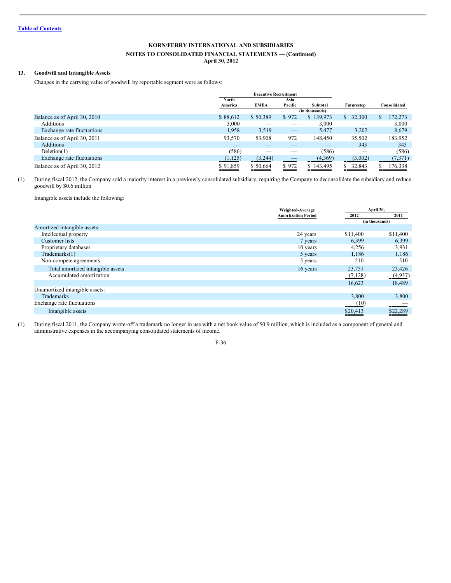# **13. Goodwill and Intangible Assets**

Changes in the carrying value of goodwill by reportable segment were as follows:

|                              |          | <b>Executive Recruitment</b> |       |                |                   |    |              |
|------------------------------|----------|------------------------------|-------|----------------|-------------------|----|--------------|
|                              | North    |                              |       |                |                   |    |              |
|                              | America  | <b>EMEA</b>                  |       | Subtotal       | <b>Futurestep</b> |    | Consolidated |
|                              |          |                              |       | (in thousands) |                   |    |              |
| Balance as of April 30, 2010 | \$88,612 | \$50,389                     | \$972 | \$139,973      | \$32,300          | S. | 172,273      |
| <b>Additions</b>             | 3,000    |                              |       | 3,000          |                   |    | 3,000        |
| Exchange rate fluctuations   | 1,958    | 3,519                        |       | 5,477          | 3,202             |    | 8,679        |
| Balance as of April 30, 2011 | 93,570   | 53,908                       | 972   | 148,450        | 35,502            |    | 183,952      |
| <b>Additions</b>             |          |                              |       |                | 343               |    | 343          |
| Deletion(1)                  | (586)    |                              |       | (586)          |                   |    | (586)        |
| Exchange rate fluctuations   | (1,125)  | (3,244)                      |       | (4,369)        | (3,002)           |    | (7, 371)     |
| Balance as of April 30, 2012 | \$91,859 | \$50,664                     | \$972 | \$143,495      | 32,843            |    | 176,338      |

(1) During fiscal 2012, the Company sold a majority interest in a previously consolidated subsidiary, requiring the Company to deconsolidate the subsidiary and reduce goodwill by \$0.6 million

Intangible assets include the following:

|                                   | Weighted-Average           |            | April 30,       |
|-----------------------------------|----------------------------|------------|-----------------|
|                                   | <b>Amortization Period</b> | 2012       | 2011            |
|                                   |                            |            | (in thousands)  |
| Amortized intangible assets:      |                            |            |                 |
| Intellectual property             | 24 years                   | \$11,400   | \$11,400        |
| Customer lists                    | 7 years                    | 6,399      | 6,399           |
| Proprietary databases             | 10 years                   | 4,256      | 3,931           |
| Trademarks(1)                     | 5 years                    | 1,186      | 1,186           |
| Non-compete agreements            | 5 years                    | <u>510</u> | $-510$          |
| Total amortized intangible assets | 16 years                   | 23,751     | 23,426          |
| Accumulated amortization          |                            | (7,128)    | (4,937)         |
|                                   |                            | 16,623     | 18,489          |
| Unamortized intangible assets:    |                            |            |                 |
| Trademarks                        |                            | 3,800      | 3,800           |
| Exchange rate fluctuations        |                            | (10)       |                 |
| Intangible assets                 |                            | \$20,413   | <u>\$22,289</u> |
|                                   |                            |            |                 |

(1) During fiscal 2011, the Company wrote-off a trademark no longer in use with a net book value of \$0.9 million, which is included as a component of general and administrative expenses in the accompanying consolidated statements of income.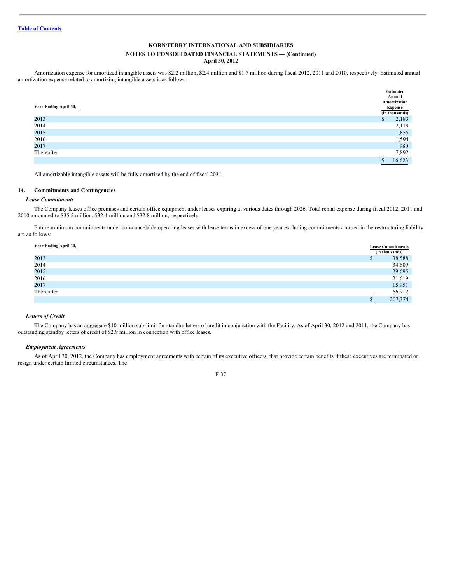# **NOTES TO CONSOLIDATED FINANCIAL STATEMENTS — (Continued)**

### **April 30, 2012**

Amortization expense for amortized intangible assets was \$2.2 million, \$2.4 million and \$1.7 million during fiscal 2012, 2011 and 2010, respectively. Estimated annual amortization expense related to amortizing intangible assets is as follows:

|                       | <b>Estimated</b> |
|-----------------------|------------------|
|                       | Annual           |
|                       | Amortization     |
| Year Ending April 30, | <b>Expense</b>   |
|                       | (in thousands)   |
| 2013                  | 2,183<br>\$      |
| 2014                  | 2,119            |
| 2015                  | 1,855            |
| 2016                  | 1,594            |
| 2017                  | 980              |
| Thereafter            | 7,892            |
|                       | 16,623<br>Φ      |
|                       | _____            |

All amortizable intangible assets will be fully amortized by the end of fiscal 2031.

### **14. Commitments and Contingencies**

### *Lease Commitments*

The Company leases office premises and certain office equipment under leases expiring at various dates through 2026. Total rental expense during fiscal 2012, 2011 and 2010 amounted to \$35.5 million, \$32.4 million and \$32.8 million, respectively.

Future minimum commitments under non-cancelable operating leases with lease terms in excess of one year excluding commitments accrued in the restructuring liability are as follows:

| Year Ending April 30, | <b>Lease Commitments</b> |
|-----------------------|--------------------------|
|                       | (in thousands)           |
| 2013                  | 38,588                   |
| 2014                  | 34,609                   |
| 2015                  | 29,695                   |
| 2016                  | 21,619                   |
| 2017                  | 15,951                   |
| Thereafter            | 66,912                   |
|                       | 207,374                  |

### *Letters of Credit*

The Company has an aggregate \$10 million sub-limit for standby letters of credit in conjunction with the Facility. As of April 30, 2012 and 2011, the Company has outstanding standby letters of credit of \$2.9 million in connection with office leases.

### *Employment Agreements*

As of April 30, 2012, the Company has employment agreements with certain of its executive officers, that provide certain benefits if these executives are terminated or resign under certain limited circumstances. The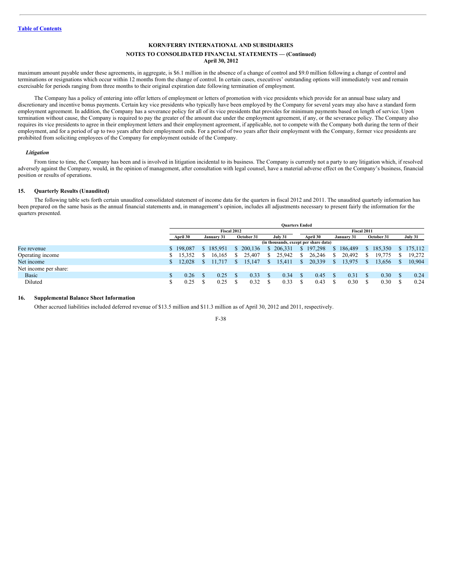### **NOTES TO CONSOLIDATED FINANCIAL STATEMENTS — (Continued) April 30, 2012**

maximum amount payable under these agreements, in aggregate, is \$6.1 million in the absence of a change of control and \$9.0 million following a change of control and terminations or resignations which occur within 12 months from the change of control. In certain cases, executives' outstanding options will immediately vest and remain exercisable for periods ranging from three months to their original expiration date following termination of employment.

The Company has a policy of entering into offer letters of employment or letters of promotion with vice presidents which provide for an annual base salary and discretionary and incentive bonus payments. Certain key vice presidents who typically have been employed by the Company for several years may also have a standard form employment agreement. In addition, the Company has a severance policy for all of its vice presidents that provides for minimum payments based on length of service. Upon termination without cause, the Company is required to pay the greater of the amount due under the employment agreement, if any, or the severance policy. The Company also requires its vice presidents to agree in their employment letters and their employment agreement, if applicable, not to compete with the Company both during the term of their employment, and for a period of up to two years after their employment ends. For a period of two years after their employment with the Company, former vice presidents are prohibited from soliciting employees of the Company for employment outside of the Company.

### *Litigation*

From time to time, the Company has been and is involved in litigation incidental to its business. The Company is currently not a party to any litigation which, if resolved adversely against the Company, would, in the opinion of management, after consultation with legal counsel, have a material adverse effect on the Company's business, financial position or results of operations.

### **15. Quarterly Results (Unaudited)**

The following table sets forth certain unaudited consolidated statement of income data for the quarters in fiscal 2012 and 2011. The unaudited quarterly information has been prepared on the same basis as the annual financial statements and, in management's opinion, includes all adjustments necessary to present fairly the information for the quarters presented.

|                       |    | <b>Ouarters Ended</b> |    |             |    |            |    |                                       |    |             |              |            |              |            |  |           |
|-----------------------|----|-----------------------|----|-------------|----|------------|----|---------------------------------------|----|-------------|--------------|------------|--------------|------------|--|-----------|
|                       |    |                       |    | Fiscal 2012 |    |            |    |                                       |    | Fiscal 2011 |              |            |              |            |  |           |
|                       |    | April 30              |    | January 31  |    | October 31 |    | July 31                               |    | April 30    |              | January 31 |              | October 31 |  | July 31   |
|                       |    |                       |    |             |    |            |    | (in thousands, except per share data) |    |             |              |            |              |            |  |           |
| Fee revenue           |    | \$198,087             |    | \$185,951   |    | \$200.136  |    | \$ 206,331                            |    | \$197,298   |              | \$186,489  |              | \$185,350  |  | \$175,112 |
| Operating income      |    | 15.352                |    | 16.165      |    | 25.407     |    | 25,942                                |    | 26,246      |              | 20,492     |              | 19,775     |  | 19,272    |
| Net income            | S. | 12.028                | S. | 1.717       | S. | 15,147     | S. | 15,411                                | S. | 20,339      | <sup>S</sup> | 13,975     | <sup>S</sup> | 13,656     |  | 10,904    |
| Net income per share: |    |                       |    |             |    |            |    |                                       |    |             |              |            |              |            |  |           |
| <b>Basic</b>          |    | 0.26                  |    | 0.25        |    | 0.33       |    | 0.34                                  |    | 0.45        |              | 0.31       |              | 0.30       |  | 0.24      |
| Diluted               |    | 0.25                  |    | 0.25        |    | 0.32       |    | 0.33                                  |    | 0.43        |              | 0.30       |              | 0.30       |  | 0.24      |

### **16. Supplemental Balance Sheet Information**

Other accrued liabilities included deferred revenue of \$13.5 million and \$11.3 million as of April 30, 2012 and 2011, respectively.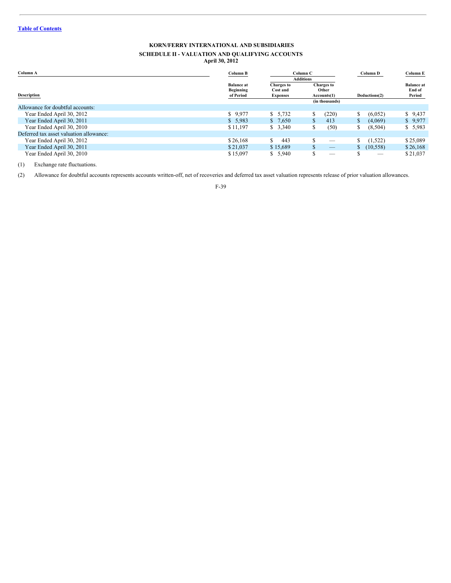# **KORN/FERRY INTERNATIONAL AND SUBSIDIARIES SCHEDULE II - VALUATION AND QUALIFYING ACCOUNTS April 30, 2012**

| Column A                                | Column B                                    |                                                  | Column C                                                      | Column D                    | Column E                              |
|-----------------------------------------|---------------------------------------------|--------------------------------------------------|---------------------------------------------------------------|-----------------------------|---------------------------------------|
| <b>Description</b>                      | <b>Balance</b> at<br>Beginning<br>of Period | <b>Charges to</b><br>Cost and<br><b>Expenses</b> | <b>Additions</b><br><b>Charges to</b><br>Other<br>Accounts(1) | Deductions(2)               | <b>Balance</b> at<br>End of<br>Period |
|                                         |                                             |                                                  | (in thousands)                                                |                             |                                       |
| Allowance for doubtful accounts:        |                                             |                                                  |                                                               |                             |                                       |
| Year Ended April 30, 2012               | \$9.977                                     | \$5,732                                          | S<br>(220)                                                    | \$<br>(6.052)               | \$9,437                               |
| Year Ended April 30, 2011               | \$5,983                                     | \$7,650                                          | 413<br>S                                                      | \$<br>(4,069)               | \$9,977                               |
| Year Ended April 30, 2010               | \$11,197                                    | \$3,340                                          | S<br>(50)                                                     | \$<br>(8, 504)              | \$5,983                               |
| Deferred tax asset valuation allowance: |                                             |                                                  |                                                               |                             |                                       |
| Year Ended April 30, 2012               | \$26,168                                    | \$.<br>443                                       | S<br>$\overline{\phantom{a}}$                                 | \$<br>1,522                 | \$25,089                              |
| Year Ended April 30, 2011               | \$21,037                                    | \$15,689                                         | D.                                                            | (10, 558)<br>$\mathbb{S}^-$ | \$26,168                              |
| Year Ended April 30, 2010               | \$15,097                                    | \$5,940                                          | c<br>ъ<br>_                                                   | \$<br>_                     | \$21,037                              |

(1) Exchange rate fluctuations.

(2) Allowance for doubtful accounts represents accounts written-off, net of recoveries and deferred tax asset valuation represents release of prior valuation allowances.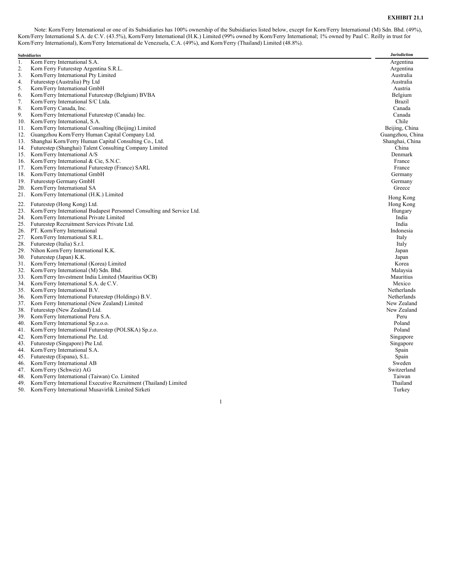### **EXHIBIT 21.1**

Note: Korn/Ferry International or one of its Subsidiaries has 100% ownership of the Subsidiaries listed below, except for Korn/Ferry International (M) Sdn. Bhd. (49%), Korn/Ferry International S.A. de C.V. (43.5%), Korn/Ferry International (H.K.) Limited (99% owned by Korn/Ferry International; 1% owned by Paul C. Reilly in trust for Korn/Ferry International), Korn/Ferry International de Venezuela, C.A. (49%), and Korn/Ferry (Thailand) Limited (48.8%).

|     | <b>Subsidiaries</b>                                                     | <b>Jurisdiction</b> |
|-----|-------------------------------------------------------------------------|---------------------|
| 1.  | Korn Ferry International S.A.                                           | Argentina           |
| 2.  | Korn Ferry Futurestep Argentina S.R.L.                                  | Argentina           |
| 3.  | Korn/Ferry International Pty Limited                                    | Australia           |
| 4.  | Futurestep (Australia) Pty Ltd                                          | Australia           |
| 5.  | Korn/Ferry International GmbH                                           | Austria             |
| 6.  | Korn/Ferry International Futurestep (Belgium) BVBA                      | Belgium             |
| 7.  | Korn/Ferry International S/C Ltda.                                      | <b>Brazil</b>       |
| 8.  | Korn/Ferry Canada, Inc.                                                 | Canada              |
| 9.  | Korn/Ferry International Futurestep (Canada) Inc.                       | Canada              |
| 10. | Korn/Ferry International, S.A.                                          | Chile               |
| 11. | Korn/Ferry International Consulting (Beijing) Limited                   | Beijing, China      |
| 12. | Guangzhou Korn/Ferry Human Capital Company Ltd.                         | Guangzhou, China    |
| 13. | Shanghai Korn/Ferry Human Capital Consulting Co., Ltd.                  | Shanghai, China     |
| 14. | Futurestep (Shanghai) Talent Consulting Company Limited                 | China               |
| 15. | Korn/Ferry International A/S                                            | Denmark             |
| 16. | Korn/Ferry International & Cie, S.N.C.                                  | France              |
| 17. | Korn/Ferry International Futurestep (France) SARL                       | France              |
| 18. | Korn/Ferry International GmbH                                           | Germany             |
| 19. | Futurestep Germany GmbH                                                 | Germany             |
| 20. | Korn/Ferry International SA                                             | Greece              |
| 21. | Korn/Ferry International (H.K.) Limited                                 |                     |
|     |                                                                         | Hong Kong           |
| 22. | Futurestep (Hong Kong) Ltd.                                             | Hong Kong           |
| 23. | Korn/Ferry International Budapest Personnel Consulting and Service Ltd. | Hungary             |
| 24. | Korn/Ferry International Private Limited                                | India               |
| 25. | Futurestep Recruitment Services Private Ltd.                            | India               |
| 26. | PT. Korn/Ferry International                                            | Indonesia           |
| 27. | Korn/Ferry International S.R.L.                                         | Italy               |
| 28. | Futurestep (Italia) S.r.l.                                              | Italy               |
| 29. | Nihon Korn/Ferry International K.K.                                     | Japan               |
| 30. | Futurestep (Japan) K.K.                                                 | Japan               |
| 31. | Korn/Ferry International (Korea) Limited                                | Korea               |
| 32. | Korn/Ferry International (M) Sdn. Bhd.                                  | Malaysia            |
| 33. | Korn/Ferry Investment India Limited (Mauritius OCB)                     | Mauritius           |
| 34. | Korn/Ferry International S.A. de C.V.                                   | Mexico              |
| 35. | Korn/Ferry International B.V.                                           | Netherlands         |
| 36. | Korn/Ferry International Futurestep (Holdings) B.V.                     | Netherlands         |
| 37. | Korn Ferry International (New Zealand) Limited                          | New Zealand         |
| 38. | Futurestep (New Zealand) Ltd.                                           | New Zealand         |
| 39. | Korn/Ferry International Peru S.A.                                      | Peru                |
| 40. | Korn/Ferry International Sp.z.o.o.                                      | Poland              |
| 41. | Korn/Ferry International Futurestep (POLSKA) Sp.z.o.                    | Poland              |
| 42. | Korn/Ferry International Pte. Ltd.                                      | Singapore           |
| 43. | Futurestep (Singapore) Pte Ltd.                                         | Singapore           |
| 44. | Korn/Ferry International S.A.                                           | Spain               |
| 45. | Futurestep (Espana), S.L.                                               | Spain               |
| 46. | Korn/Ferry International AB                                             | Sweden              |
| 47. | Korn/Ferry (Schweiz) AG                                                 | Switzerland         |
| 48. | Korn/Ferry International (Taiwan) Co. Limited                           | Taiwan              |
| 49. | Korn/Ferry International Executive Recruitment (Thailand) Limited       | Thailand            |
| 50. | Korn/Ferry International Musavirlik Limited Sirketi                     | Turkey              |

1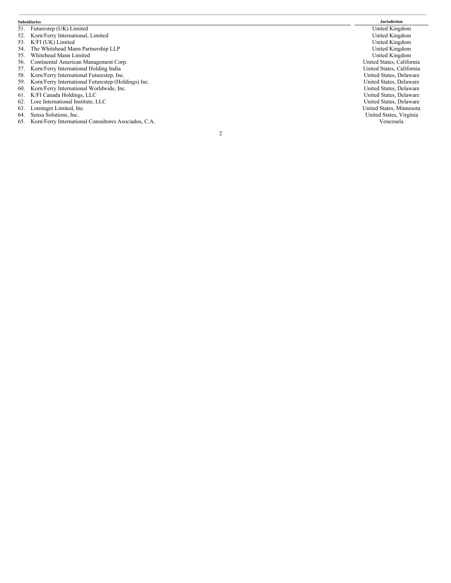#### **Subsidiaries**

- 51. Futurestep (UK) Limited
- 52. 2. Korn/Ferry International, Limited
- 53. 3. K/FI (UK) Limited
- 54. 4. The Whitehead Mann Partnership LLP
- 55. Whitehead Mann Limited
- 5 6. Continental American Management Cor
- 57. 7. Korn/Ferry International Holding India
- 58. 8. Korn/Ferry International Futurestep, Inc
- 59. 9. Korn/Ferry International Futurestep (Holdings) Inc
- 6 0. Korn/Ferry International Worldwide, Inc c. Under the contract of the contract of the contract of the contract of the contract of the contract of the contract of the contract of the contract of the contract of the contract of the contract of the contract of the c
- 61. 1. K/FI Canada Holdings, LLC
- 6 2. L ore International Institute, LLC
- 63. 3. Lominger Limited, Inc
- 64. 4. Sensa Solutions, Inc
- 65. Korn/Ferry International Consultores Asociados

**J u r i s d ic t i o n** United Kingdom United Kingdom United Kingdom United Kingdom United Kingdom rp. Un nited States, California United States, California c. Under the contract of the contract of the contract of the contract of the contract of the contract of the contract of the contract of the contract of the contract of the contract of the contract of the contract of the c nited States, Delaware c. C. nited States, Delaware nited States, Delaware United States, Delaware United States, Delaware c. C. nited States, Minnesota c. C. nited States, Virginia s, C.A. Ve enezuela

2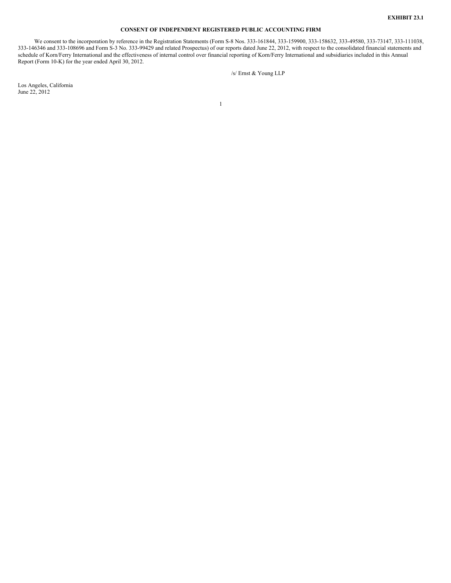# **CONSENT OF INDEPENDENT REGISTERED PUBLIC ACCOUNTING FIRM**

We consent to the incorporation by reference in the Registration Statements (Form S-8 Nos. 333-161844, 333-159900, 333-158632, 333-49580, 333-73147, 333-111038, 333-146346 and 333-108696 and Form S-3 No. 333-99429 and related Prospectus) of our reports dated June 22, 2012, with respect to the consolidated financial statements and schedule of Korn/Ferry International and the effectiveness of internal control over financial reporting of Korn/Ferry International and subsidiaries included in this Annual Report (Form 10-K) for the year ended April 30, 2012.

/s/ Ernst & Young LLP

Los Angeles, California June 22, 2012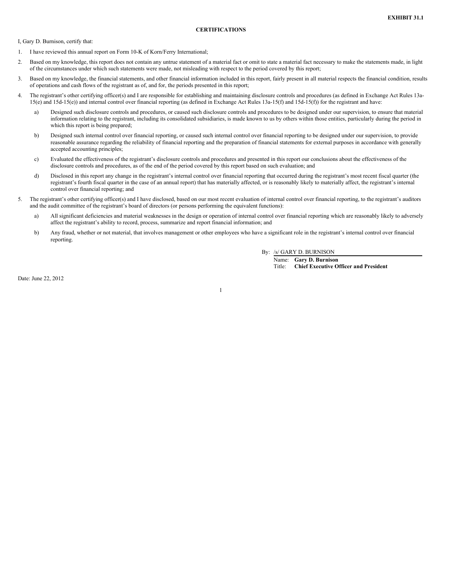I, Gary D. Burnison, certify that:

- 1. I have reviewed this annual report on Form 10-K of Korn/Ferry International;
- 2. Based on my knowledge, this report does not contain any untrue statement of a material fact or omit to state a material fact necessary to make the statements made, in light of the circumstances under which such statements were made, not misleading with respect to the period covered by this report;
- 3. Based on my knowledge, the financial statements, and other financial information included in this report, fairly present in all material respects the financial condition, results of operations and cash flows of the registrant as of, and for, the periods presented in this report;
- 4. The registrant's other certifying officer(s) and I are responsible for establishing and maintaining disclosure controls and procedures (as defined in Exchange Act Rules 13a-15(e) and 15d-15(e)) and internal control over financial reporting (as defined in Exchange Act Rules 13a-15(f) and 15d-15(f)) for the registrant and have:
	- a) Designed such disclosure controls and procedures, or caused such disclosure controls and procedures to be designed under our supervision, to ensure that material information relating to the registrant, including its consolidated subsidiaries, is made known to us by others within those entities, particularly during the period in which this report is being prepared;
	- b) Designed such internal control over financial reporting, or caused such internal control over financial reporting to be designed under our supervision, to provide reasonable assurance regarding the reliability of financial reporting and the preparation of financial statements for external purposes in accordance with generally accepted accounting principles;
	- c) Evaluated the effectiveness of the registrant's disclosure controls and procedures and presented in this report our conclusions about the effectiveness of the disclosure controls and procedures, as of the end of the period covered by this report based on such evaluation; and
	- d) Disclosed in this report any change in the registrant's internal control over financial reporting that occurred during the registrant's most recent fiscal quarter (the registrant's fourth fiscal quarter in the case of an annual report) that has materially affected, or is reasonably likely to materially affect, the registrant's internal control over financial reporting; and
- 5. The registrant's other certifying officer(s) and I have disclosed, based on our most recent evaluation of internal control over financial reporting, to the registrant's auditors and the audit committee of the registrant's board of directors (or persons performing the equivalent functions):
	- a) All significant deficiencies and material weaknesses in the design or operation of internal control over financial reporting which are reasonably likely to adversely affect the registrant's ability to record, process, summarize and report financial information; and
	- b) Any fraud, whether or not material, that involves management or other employees who have a significant role in the registrant's internal control over financial reporting.

1

By: /s/ GARY D. BURNISON

Name: **Gary D. Burnison** Title: **Chief Executive Officer and President**

Date: June 22, 2012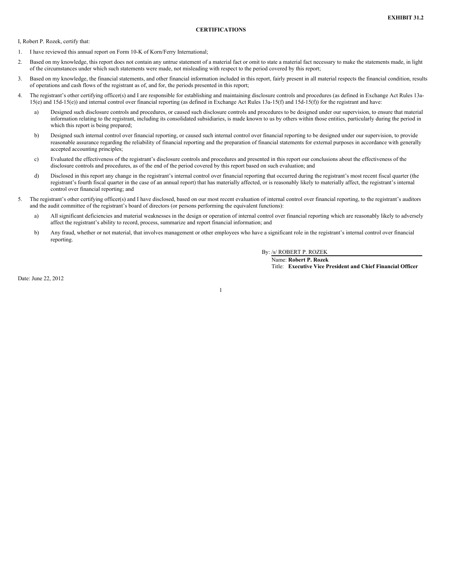I, Robert P. Rozek, certify that:

- 1. I have reviewed this annual report on Form 10-K of Korn/Ferry International;
- 2. Based on my knowledge, this report does not contain any untrue statement of a material fact or omit to state a material fact necessary to make the statements made, in light of the circumstances under which such statements were made, not misleading with respect to the period covered by this report;
- 3. Based on my knowledge, the financial statements, and other financial information included in this report, fairly present in all material respects the financial condition, results of operations and cash flows of the registrant as of, and for, the periods presented in this report;
- 4. The registrant's other certifying officer(s) and I are responsible for establishing and maintaining disclosure controls and procedures (as defined in Exchange Act Rules 13a-15(e) and 15d-15(e)) and internal control over financial reporting (as defined in Exchange Act Rules 13a-15(f) and 15d-15(f)) for the registrant and have:
	- a) Designed such disclosure controls and procedures, or caused such disclosure controls and procedures to be designed under our supervision, to ensure that material information relating to the registrant, including its consolidated subsidiaries, is made known to us by others within those entities, particularly during the period in which this report is being prepared;
	- b) Designed such internal control over financial reporting, or caused such internal control over financial reporting to be designed under our supervision, to provide reasonable assurance regarding the reliability of financial reporting and the preparation of financial statements for external purposes in accordance with generally accepted accounting principles;
	- c) Evaluated the effectiveness of the registrant's disclosure controls and procedures and presented in this report our conclusions about the effectiveness of the disclosure controls and procedures, as of the end of the period covered by this report based on such evaluation; and
	- d) Disclosed in this report any change in the registrant's internal control over financial reporting that occurred during the registrant's most recent fiscal quarter (the registrant's fourth fiscal quarter in the case of an annual report) that has materially affected, or is reasonably likely to materially affect, the registrant's internal control over financial reporting; and
- 5. The registrant's other certifying officer(s) and I have disclosed, based on our most recent evaluation of internal control over financial reporting, to the registrant's auditors and the audit committee of the registrant's board of directors (or persons performing the equivalent functions):
	- a) All significant deficiencies and material weaknesses in the design or operation of internal control over financial reporting which are reasonably likely to adversely affect the registrant's ability to record, process, summarize and report financial information; and
	- b) Any fraud, whether or not material, that involves management or other employees who have a significant role in the registrant's internal control over financial reporting.

1

### By: /s/ ROBERT P. ROZEK

Name: **Robert P. Rozek** Title: **Executive Vice President and Chief Financial Officer**

Date: June 22, 2012